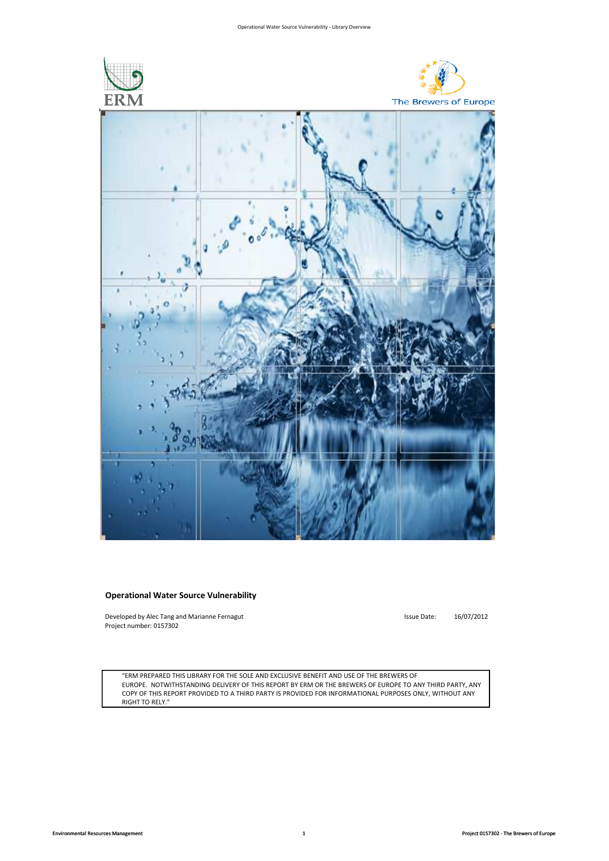





# **Operational Water Source Vulnerability**

Developed by Alec Tang and Marianne Fernagut Issue Date: In the Unit of the Date: Project number: 0157302

16/07/2012

"ERM PREPARED THIS LIBRARY FOR THE SOLE AND EXCLUSIVE BENEFIT AND USE OF THE BREWERS OF EUROPE. NOTWITHSTANDING DELIVERY OF THIS REPORT BY ERM OR THE BREWERS OF EUROPE TO ANY THIRD PARTY, ANY COPY OF THIS REPORT PROVIDED TO A THIRD PARTY IS PROVIDED FOR INFORMATIONAL PURPOSES ONLY, WITHOUT ANY RIGHT TO RELY."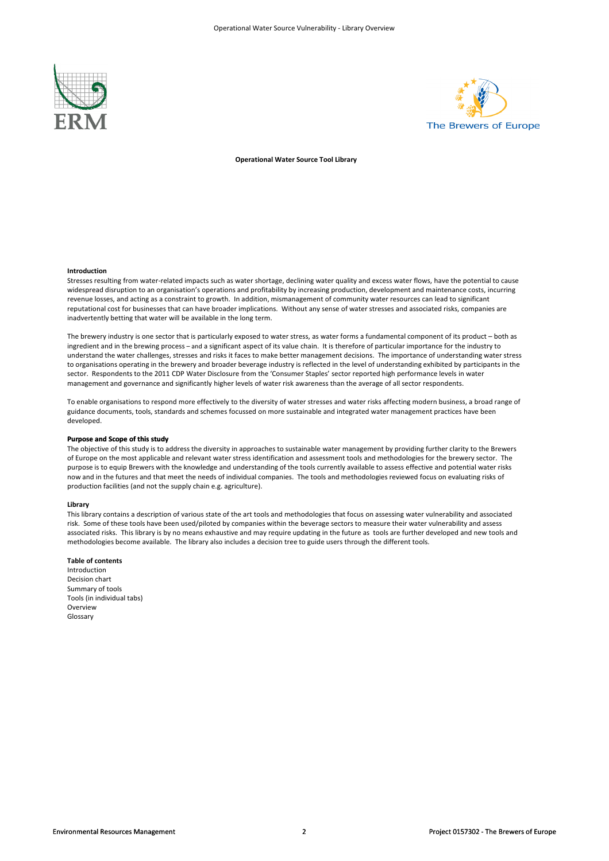



# **Operational Water Source Tool Library**

#### **Introduction**

Stresses resulting from water-related impacts such as water shortage, declining water quality and excess water flows, have the potential to cause widespread disruption to an organisation's operations and profitability by increasing production, development and maintenance costs, incurring revenue losses, and acting as a constraint to growth. In addition, mismanagement of community water resources can lead to significant reputational cost for businesses that can have broader implications. Without any sense of water stresses and associated risks, companies are inadvertently betting that water will be available in the long term.

The brewery industry is one sector that is particularly exposed to water stress, as water forms a fundamental component of its product – both as ingredient and in the brewing process – and a significant aspect of its value chain. It is therefore of particular importance for the industry to understand the water challenges, stresses and risks it faces to make better management decisions. The importance of understanding water stress to organisations operating in the brewery and broader beverage industry is reflected in the level of understanding exhibited by participants in the sector. Respondents to the 2011 CDP Water Disclosure from the 'Consumer Staples' sector reported high performance levels in water management and governance and significantly higher levels of water risk awareness than the average of all sector respondents.

To enable organisations to respond more effectively to the diversity of water stresses and water risks affecting modern business, a broad range of guidance documents, tools, standards and schemes focussed on more sustainable and integrated water management practices have been developed.

### **Purpose and Scope of this study**

The objective of this study is to address the diversity in approaches to sustainable water management by providing further clarity to the Brewers of Europe on the most applicable and relevant water stress identification and assessment tools and methodologies for the brewery sector. The purpose is to equip Brewers with the knowledge and understanding of the tools currently available to assess effective and potential water risks now and in the futures and that meet the needs of individual companies. The tools and methodologies reviewed focus on evaluating risks of production facilities (and not the supply chain e.g. agriculture).

# **Library**

This library contains a description of various state of the art tools and methodologies that focus on assessing water vulnerability and associated risk. Some of these tools have been used/piloted by companies within the beverage sectors to measure their water vulnerability and assess associated risks. This library is by no means exhaustive and may require updating in the future as tools are further developed and new tools and methodologies become available. The library also includes a decision tree to guide users through the different tools.

#### **Table of contents**

Introduction Decision chart Summary of tools Tools (in individual tabs) Overview Glossary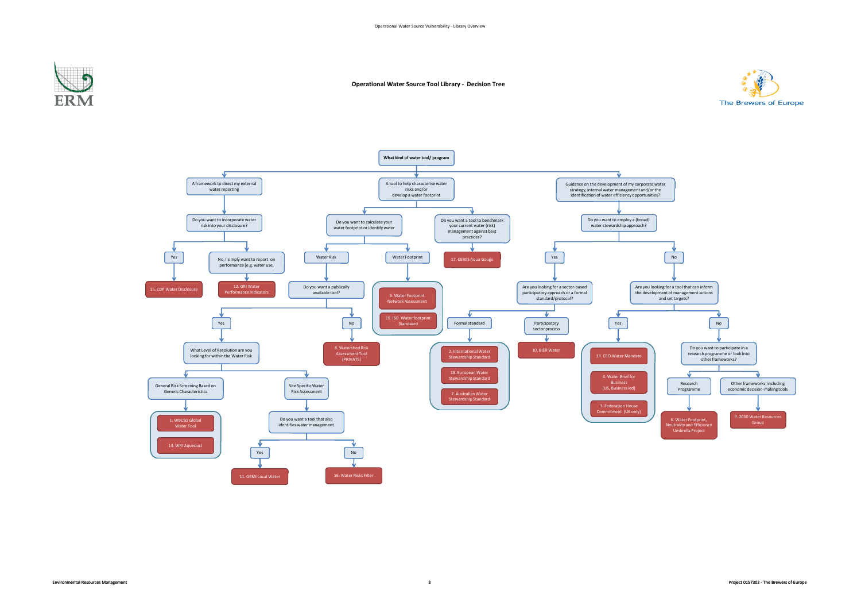

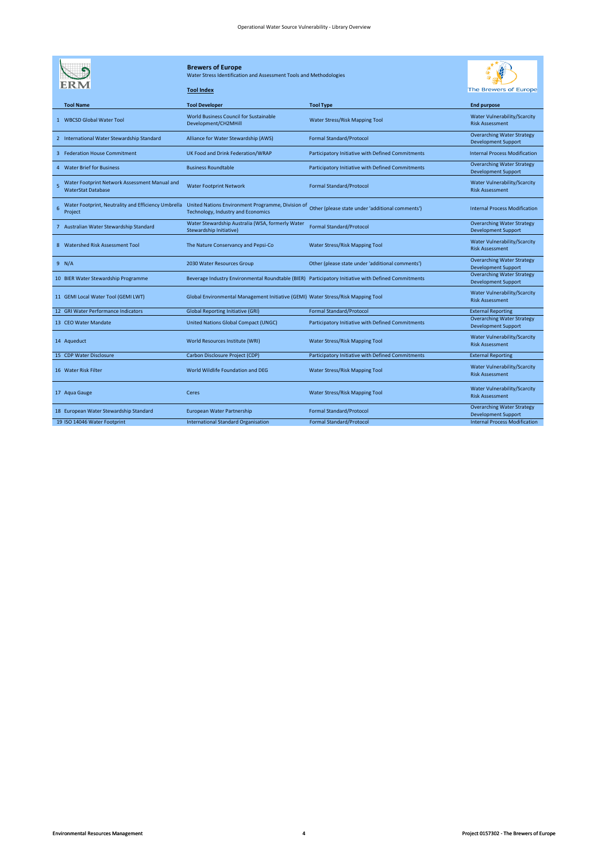|                                                                                 | <b>Brewers of Europe</b><br>Water Stress Identification and Assessment Tools and Methodologies<br><b>Tool Index</b>                         |                                                   | The Brewers of Europe                                           |
|---------------------------------------------------------------------------------|---------------------------------------------------------------------------------------------------------------------------------------------|---------------------------------------------------|-----------------------------------------------------------------|
| <b>Tool Name</b>                                                                | <b>Tool Developer</b>                                                                                                                       | <b>Tool Type</b>                                  | <b>End purpose</b>                                              |
| 1 WBCSD Global Water Tool                                                       | World Business Council for Sustainable<br>Development/CH2MHill                                                                              | <b>Water Stress/Risk Mapping Tool</b>             | Water Vulnerability/Scarcity<br><b>Risk Assessment</b>          |
| 2 International Water Stewardship Standard                                      | Alliance for Water Stewardship (AWS)                                                                                                        | <b>Formal Standard/Protocol</b>                   | <b>Overarching Water Strategy</b><br><b>Development Support</b> |
| 3 Federation House Commitment                                                   | UK Food and Drink Federation/WRAP                                                                                                           | Participatory Initiative with Defined Commitments | <b>Internal Process Modification</b>                            |
| 4 Water Brief for Business                                                      | <b>Business Roundtable</b>                                                                                                                  | Participatory Initiative with Defined Commitments | <b>Overarching Water Strategy</b><br><b>Development Support</b> |
| Water Footprint Network Assessment Manual and<br>5<br><b>WaterStat Database</b> | <b>Water Footprint Network</b>                                                                                                              | <b>Formal Standard/Protocol</b>                   | <b>Water Vulnerability/Scarcity</b><br><b>Risk Assessment</b>   |
| $6\phantom{1}6$<br>Project                                                      | Water Footprint, Neutrality and Efficiency Umbrella United Nations Environment Programme, Division of<br>Technology, Industry and Economics | Other (please state under 'additional comments')  | <b>Internal Process Modification</b>                            |
| 7 Australian Water Stewardship Standard                                         | Water Stewardship Australia (WSA, formerly Water<br>Stewardship Initiative)                                                                 | <b>Formal Standard/Protocol</b>                   | <b>Overarching Water Strategy</b><br><b>Development Support</b> |
| 8 Watershed Risk Assessment Tool                                                | The Nature Conservancy and Pepsi-Co                                                                                                         | <b>Water Stress/Risk Mapping Tool</b>             | <b>Water Vulnerability/Scarcity</b><br><b>Risk Assessment</b>   |
| 9 N/A                                                                           | 2030 Water Resources Group                                                                                                                  | Other (please state under 'additional comments')  | <b>Overarching Water Strategy</b><br><b>Development Support</b> |
| 10 BIER Water Stewardship Programme                                             | Beverage Industry Environmental Roundtable (BIER) Participatory Initiative with Defined Commitments                                         |                                                   | <b>Overarching Water Strategy</b><br><b>Development Support</b> |
| 11 GEMI Local Water Tool (GEMI LWT)                                             | Global Environmental Management Initiative (GEMI) Water Stress/Risk Mapping Tool                                                            |                                                   | <b>Water Vulnerability/Scarcity</b><br><b>Risk Assessment</b>   |
| 12 GRI Water Performance Indicators                                             | <b>Global Reporting Initiative (GRI)</b>                                                                                                    | <b>Formal Standard/Protocol</b>                   | <b>External Reporting</b>                                       |
| 13 CEO Water Mandate                                                            | United Nations Global Compact (UNGC)                                                                                                        | Participatory Initiative with Defined Commitments | <b>Overarching Water Strategy</b><br><b>Development Support</b> |
| 14 Aqueduct                                                                     | World Resources Institute (WRI)                                                                                                             | <b>Water Stress/Risk Mapping Tool</b>             | <b>Water Vulnerability/Scarcity</b><br><b>Risk Assessment</b>   |
| 15 CDP Water Disclosure                                                         | Carbon Disclosure Project (CDP)                                                                                                             | Participatory Initiative with Defined Commitments | <b>External Reporting</b>                                       |
| 16 Water Risk Filter                                                            | World Wildlife Foundation and DEG                                                                                                           | <b>Water Stress/Risk Mapping Tool</b>             | <b>Water Vulnerability/Scarcity</b><br><b>Risk Assessment</b>   |
| 17 Aqua Gauge                                                                   | Ceres                                                                                                                                       | <b>Water Stress/Risk Mapping Tool</b>             | <b>Water Vulnerability/Scarcity</b><br><b>Risk Assessment</b>   |
| 18 European Water Stewardship Standard                                          | European Water Partnership                                                                                                                  | <b>Formal Standard/Protocol</b>                   | <b>Overarching Water Strategy</b><br><b>Development Support</b> |
| 19 ISO 14046 Water Footprint                                                    | International Standard Organisation                                                                                                         | <b>Formal Standard/Protocol</b>                   | <b>Internal Process Modification</b>                            |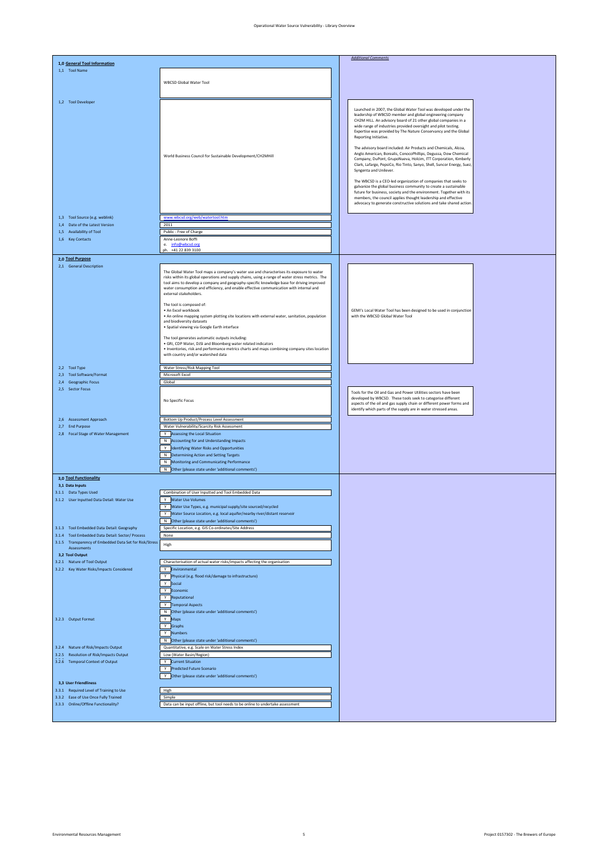| 1,0 General Tool Information                                                |                                                                                                                                                                                              | <b>Additional Comments</b>                                                                                                           |
|-----------------------------------------------------------------------------|----------------------------------------------------------------------------------------------------------------------------------------------------------------------------------------------|--------------------------------------------------------------------------------------------------------------------------------------|
| 1,1 Tool Name                                                               |                                                                                                                                                                                              |                                                                                                                                      |
|                                                                             |                                                                                                                                                                                              |                                                                                                                                      |
|                                                                             | WBCSD Global Water Tool                                                                                                                                                                      |                                                                                                                                      |
|                                                                             |                                                                                                                                                                                              |                                                                                                                                      |
|                                                                             |                                                                                                                                                                                              |                                                                                                                                      |
| 1,2 Tool Developer                                                          |                                                                                                                                                                                              | Launched in 2007, the Global Water Tool was developed under the                                                                      |
|                                                                             |                                                                                                                                                                                              | leadership of WBCSD member and global engineering company                                                                            |
|                                                                             |                                                                                                                                                                                              | CH2M HILL. An advisory board of 21 other global companies in a                                                                       |
|                                                                             |                                                                                                                                                                                              | wide range of industries provided oversight and pilot testing.                                                                       |
|                                                                             |                                                                                                                                                                                              | Expertise was provided by The Nature Conservancy and the Global<br>Reporting Initiative.                                             |
|                                                                             |                                                                                                                                                                                              |                                                                                                                                      |
|                                                                             |                                                                                                                                                                                              | The advisory board included: Air Products and Chemicals, Alcoa,                                                                      |
|                                                                             | World Business Council for Sustainable Development/CH2MHill                                                                                                                                  | Anglo American, Borealis, ConocoPhillips, Degussa, Dow Chemical                                                                      |
|                                                                             |                                                                                                                                                                                              | Company, DuPont, GrupoNueva, Holcim, ITT Corporation, Kimberly                                                                       |
|                                                                             |                                                                                                                                                                                              | Clark, Lafarge, PepsiCo, Rio Tinto, Sanyo, Shell, Suncor Energy, Suez,<br>Syngenta and Unilever.                                     |
|                                                                             |                                                                                                                                                                                              |                                                                                                                                      |
|                                                                             |                                                                                                                                                                                              | The WBCSD is a CEO-led organization of companies that seeks to                                                                       |
|                                                                             |                                                                                                                                                                                              | galvanize the global business community to create a sustainable                                                                      |
|                                                                             |                                                                                                                                                                                              | future for business, society and the environment. Together with its<br>members, the council applies thought leadership and effective |
|                                                                             |                                                                                                                                                                                              | advocacy to generate constructive solutions and take shared action.                                                                  |
|                                                                             |                                                                                                                                                                                              |                                                                                                                                      |
| 1,3 Tool Source (e.g. weblink)                                              | www.wbcsd.org/web/watertool.htm                                                                                                                                                              |                                                                                                                                      |
| 1,4 Date of the Latest Version                                              | 2011                                                                                                                                                                                         |                                                                                                                                      |
| 1,5 Availability of Tool                                                    | Public - Free of Charge                                                                                                                                                                      |                                                                                                                                      |
| 1,6 Key Contacts                                                            | Anne-Leonore Boffi                                                                                                                                                                           |                                                                                                                                      |
|                                                                             | e. info@wbcsd.org                                                                                                                                                                            |                                                                                                                                      |
|                                                                             | ph. +41 22 839 3100                                                                                                                                                                          |                                                                                                                                      |
| 2,0 Tool Purpose                                                            |                                                                                                                                                                                              |                                                                                                                                      |
| 2,1 General Description                                                     |                                                                                                                                                                                              |                                                                                                                                      |
|                                                                             | The Global Water Tool maps a company's water use and characterises its exposure to water<br>risks within its global operations and supply chains, using a range of water stress metrics. The |                                                                                                                                      |
|                                                                             | tool aims to develop a company and geography-specific knowledge base for driving improved                                                                                                    |                                                                                                                                      |
|                                                                             | water consumption and efficiency, and enable effective communication with internal and                                                                                                       |                                                                                                                                      |
|                                                                             | external stakeholders.                                                                                                                                                                       |                                                                                                                                      |
|                                                                             | The tool is composed of:                                                                                                                                                                     |                                                                                                                                      |
|                                                                             | · An Excel workbook                                                                                                                                                                          | GEMI's Local Water Tool has been designed to be used in conjunction                                                                  |
|                                                                             | . An online mapping system plotting site locations with external water, sanitation, population                                                                                               | with the WBCSD Global Water Tool                                                                                                     |
|                                                                             | and biodiversity datasets                                                                                                                                                                    |                                                                                                                                      |
|                                                                             | · Spatial viewing via Google Earth interface                                                                                                                                                 |                                                                                                                                      |
|                                                                             | The tool generates automatic outputs including:                                                                                                                                              |                                                                                                                                      |
|                                                                             | · GRI, CDP Water, DJSI and Bloomberg water related indicators                                                                                                                                |                                                                                                                                      |
|                                                                             | . Inventories, risk and performance metrics charts and maps combining company sites location<br>with country and/or watershed data                                                           |                                                                                                                                      |
|                                                                             |                                                                                                                                                                                              |                                                                                                                                      |
| 2,2 Tool Type                                                               | Water Stress/Risk Mapping Tool                                                                                                                                                               |                                                                                                                                      |
| 2,3 Tool Software/Format                                                    | Microsoft Excel                                                                                                                                                                              |                                                                                                                                      |
| 2,4 Geographic Focus                                                        | Global                                                                                                                                                                                       |                                                                                                                                      |
| 2,5 Sector Focus                                                            |                                                                                                                                                                                              |                                                                                                                                      |
|                                                                             |                                                                                                                                                                                              | Tools for the Oil and Gas and Power Utilities sectors have been<br>developed by WBCSD. These tools seek to categorise different      |
|                                                                             | No Specific Focus                                                                                                                                                                            | aspects of the oil and gas supply chain or different power forms and                                                                 |
|                                                                             |                                                                                                                                                                                              | identify which parts of the supply are in water stressed areas.                                                                      |
| 2,6 Assessment Approach                                                     | Bottom Up Product/Process Level Assessment                                                                                                                                                   |                                                                                                                                      |
| 2,7 End Purpose                                                             | Water Vulnerability/Scarcity Risk Assessment                                                                                                                                                 |                                                                                                                                      |
| 2,8 Focal Stage of Water Management                                         | Y Assessing the Local Situation                                                                                                                                                              |                                                                                                                                      |
|                                                                             | N Accounting for and Understanding Impacts                                                                                                                                                   |                                                                                                                                      |
|                                                                             | Y Identifying Water Risks and Opportunities                                                                                                                                                  |                                                                                                                                      |
|                                                                             | N Determining Action and Setting Targets                                                                                                                                                     |                                                                                                                                      |
|                                                                             | N Monitoring and Communicating Performance                                                                                                                                                   |                                                                                                                                      |
|                                                                             | N Other (please state under 'additional comments')                                                                                                                                           |                                                                                                                                      |
| 3,0 Tool Functionality                                                      |                                                                                                                                                                                              |                                                                                                                                      |
| 3,1 Data Inputs                                                             |                                                                                                                                                                                              |                                                                                                                                      |
| 3.1.1 Data Types Used                                                       | Combination of User Inputted and Tool Embedded Data                                                                                                                                          |                                                                                                                                      |
| 3.1.2 User Inputted Data Detail: Water Use                                  | Y Water Use Volumes                                                                                                                                                                          |                                                                                                                                      |
|                                                                             | Water Use Types, e.g. municipal supply/site sourced/recycled<br>Y                                                                                                                            |                                                                                                                                      |
|                                                                             | Y Water Source Location, e.g. local aquifer/nearby river/distant reservoir                                                                                                                   |                                                                                                                                      |
|                                                                             | N Other (please state under 'additional comments')                                                                                                                                           |                                                                                                                                      |
| 3.1.3 Tool Embedded Data Detail: Geography                                  | Specific Location, e.g. GIS Co-ordinates/Site Address                                                                                                                                        |                                                                                                                                      |
| 3.1.4 Tool Embedded Data Detail: Sector/ Process                            | None                                                                                                                                                                                         |                                                                                                                                      |
| 3.1.5 Transparency of Embedded Data Set for Risk/Stress                     | High                                                                                                                                                                                         |                                                                                                                                      |
| Assessments<br>3,2 Tool Output                                              |                                                                                                                                                                                              |                                                                                                                                      |
| 3.2.1 Nature of Tool Output                                                 | Characterisation of actual water risks/impacts affecting the organisation                                                                                                                    |                                                                                                                                      |
|                                                                             |                                                                                                                                                                                              |                                                                                                                                      |
| 3.2.2 Key Water Risks/Impacts Considered                                    | Y Environmental                                                                                                                                                                              |                                                                                                                                      |
|                                                                             | Y Physical (e.g. flood risk/damage to infrastructure)<br>Y Social                                                                                                                            |                                                                                                                                      |
|                                                                             | Y Economic                                                                                                                                                                                   |                                                                                                                                      |
|                                                                             | Y Reputational                                                                                                                                                                               |                                                                                                                                      |
|                                                                             |                                                                                                                                                                                              |                                                                                                                                      |
|                                                                             | Y Temporal Aspects<br>N Other (please state under 'additional comments')                                                                                                                     |                                                                                                                                      |
|                                                                             |                                                                                                                                                                                              |                                                                                                                                      |
| 3.2.3 Output Format                                                         | Y Maps                                                                                                                                                                                       |                                                                                                                                      |
|                                                                             | Y Graphs                                                                                                                                                                                     |                                                                                                                                      |
|                                                                             | Y Numbers                                                                                                                                                                                    |                                                                                                                                      |
|                                                                             | N Other (please state under 'additional comments')                                                                                                                                           |                                                                                                                                      |
| 3.2.4 Nature of Risk/Impacts Output                                         | Quantitative, e.g. Scale on Water Stress Index                                                                                                                                               |                                                                                                                                      |
| 3.2.5 Resolution of Risk/Impacts Output                                     | Low (Water Basin/Region)                                                                                                                                                                     |                                                                                                                                      |
| 3.2.6 Temporal Context of Output                                            | Y Current Situation                                                                                                                                                                          |                                                                                                                                      |
|                                                                             | Y Predicted Future Scenario                                                                                                                                                                  |                                                                                                                                      |
| <b>3.3 User Friendliness</b>                                                | Y Other (please state under 'additional comments')                                                                                                                                           |                                                                                                                                      |
|                                                                             |                                                                                                                                                                                              |                                                                                                                                      |
| 3.3.1 Required Level of Training to Use                                     | High                                                                                                                                                                                         |                                                                                                                                      |
| 3.3.2 Ease of Use Once Fully Trained<br>3.3.3 Online/Offline Functionality? | Simple<br>Data can be input offline, but tool needs to be online to undertake assessment                                                                                                     |                                                                                                                                      |
|                                                                             |                                                                                                                                                                                              |                                                                                                                                      |
|                                                                             |                                                                                                                                                                                              |                                                                                                                                      |
|                                                                             |                                                                                                                                                                                              |                                                                                                                                      |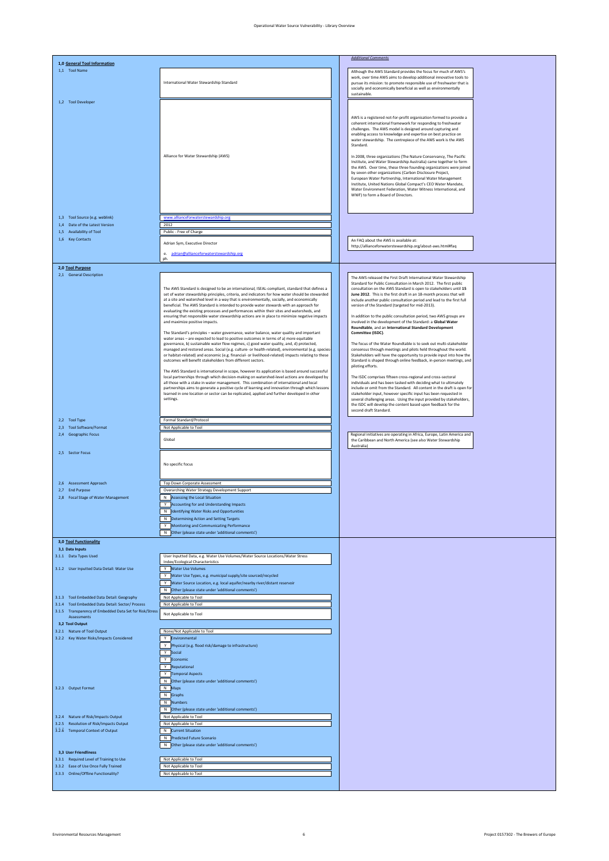Operational Water Source Vulnerability - Library Overview

| 1,0 General Tool Information                                                   |                                                                                                                                                                                                                                                                                                                                                                                                                                                                                                                                                                                                                                                                                                                                                                                                                                                                                                                                                                                                                                                                                                                                                                                                                                                                                                                                                                                                                                                                                                                                                                                                                                                                                                  | <b>Additional Comments</b>                                                                                                                                                                                                                                                                                                                                                                                                                                                                                                                                                                                                                                                                                                                                                                                                                                                                                                                                                                                                                                                                                                                                                                                                                                                                                                                                                                         |
|--------------------------------------------------------------------------------|--------------------------------------------------------------------------------------------------------------------------------------------------------------------------------------------------------------------------------------------------------------------------------------------------------------------------------------------------------------------------------------------------------------------------------------------------------------------------------------------------------------------------------------------------------------------------------------------------------------------------------------------------------------------------------------------------------------------------------------------------------------------------------------------------------------------------------------------------------------------------------------------------------------------------------------------------------------------------------------------------------------------------------------------------------------------------------------------------------------------------------------------------------------------------------------------------------------------------------------------------------------------------------------------------------------------------------------------------------------------------------------------------------------------------------------------------------------------------------------------------------------------------------------------------------------------------------------------------------------------------------------------------------------------------------------------------|----------------------------------------------------------------------------------------------------------------------------------------------------------------------------------------------------------------------------------------------------------------------------------------------------------------------------------------------------------------------------------------------------------------------------------------------------------------------------------------------------------------------------------------------------------------------------------------------------------------------------------------------------------------------------------------------------------------------------------------------------------------------------------------------------------------------------------------------------------------------------------------------------------------------------------------------------------------------------------------------------------------------------------------------------------------------------------------------------------------------------------------------------------------------------------------------------------------------------------------------------------------------------------------------------------------------------------------------------------------------------------------------------|
| 1,1 Tool Name                                                                  | International Water Stewardship Standard                                                                                                                                                                                                                                                                                                                                                                                                                                                                                                                                                                                                                                                                                                                                                                                                                                                                                                                                                                                                                                                                                                                                                                                                                                                                                                                                                                                                                                                                                                                                                                                                                                                         | Although the AWS Standard provides the focus for much of AWS's<br>work, over time AWS aims to develop additional innovative tools to<br>pursue its mission: to promote responsible use of freshwater that is<br>socially and economically beneficial as well as environmentally<br>sustainable.                                                                                                                                                                                                                                                                                                                                                                                                                                                                                                                                                                                                                                                                                                                                                                                                                                                                                                                                                                                                                                                                                                    |
| 1,2 Tool Developer                                                             | Alliance for Water Stewardship (AWS)                                                                                                                                                                                                                                                                                                                                                                                                                                                                                                                                                                                                                                                                                                                                                                                                                                                                                                                                                                                                                                                                                                                                                                                                                                                                                                                                                                                                                                                                                                                                                                                                                                                             | AWS is a registered not-for-profit organisation formed to provide a<br>coherent international framework for responding to freshwater<br>challenges. The AWS model is designed around capturing and<br>enabling access to knowledge and expertise on best practice on<br>water stewardship. The centrepiece of the AWS work is the AWS<br>Standard.<br>In 2008, three organizations (The Nature Conservancy, The Pacific<br>Institute, and Water Stewardship Australia) came together to form<br>the AWS. Over time, these three founding organizations were joined<br>by seven other organizations (Carbon Disclosure Project,<br>European Water Partnership, International Water Management<br>Institute, United Nations Global Compact's CEO Water Mandate,<br>Water Environment Federation, Water Witness International, and<br>WWF) to form a Board of Directors.                                                                                                                                                                                                                                                                                                                                                                                                                                                                                                                              |
| 1,3 Tool Source (e.g. weblink)                                                 | www.allianceforwaterstewardship.org                                                                                                                                                                                                                                                                                                                                                                                                                                                                                                                                                                                                                                                                                                                                                                                                                                                                                                                                                                                                                                                                                                                                                                                                                                                                                                                                                                                                                                                                                                                                                                                                                                                              |                                                                                                                                                                                                                                                                                                                                                                                                                                                                                                                                                                                                                                                                                                                                                                                                                                                                                                                                                                                                                                                                                                                                                                                                                                                                                                                                                                                                    |
| 1,4 Date of the Latest Version                                                 | 2012                                                                                                                                                                                                                                                                                                                                                                                                                                                                                                                                                                                                                                                                                                                                                                                                                                                                                                                                                                                                                                                                                                                                                                                                                                                                                                                                                                                                                                                                                                                                                                                                                                                                                             |                                                                                                                                                                                                                                                                                                                                                                                                                                                                                                                                                                                                                                                                                                                                                                                                                                                                                                                                                                                                                                                                                                                                                                                                                                                                                                                                                                                                    |
| 1,5 Availability of Tool<br>1,6 Key Contacts                                   | Public - Free of Charge                                                                                                                                                                                                                                                                                                                                                                                                                                                                                                                                                                                                                                                                                                                                                                                                                                                                                                                                                                                                                                                                                                                                                                                                                                                                                                                                                                                                                                                                                                                                                                                                                                                                          |                                                                                                                                                                                                                                                                                                                                                                                                                                                                                                                                                                                                                                                                                                                                                                                                                                                                                                                                                                                                                                                                                                                                                                                                                                                                                                                                                                                                    |
|                                                                                | Adrian Sym, Executive Director                                                                                                                                                                                                                                                                                                                                                                                                                                                                                                                                                                                                                                                                                                                                                                                                                                                                                                                                                                                                                                                                                                                                                                                                                                                                                                                                                                                                                                                                                                                                                                                                                                                                   | An FAQ about the AWS is available at:<br>http://allianceforwaterstewardship.org/about-aws.html#faq                                                                                                                                                                                                                                                                                                                                                                                                                                                                                                                                                                                                                                                                                                                                                                                                                                                                                                                                                                                                                                                                                                                                                                                                                                                                                                 |
|                                                                                | e. adrian@allianceforwaterstewardship.org                                                                                                                                                                                                                                                                                                                                                                                                                                                                                                                                                                                                                                                                                                                                                                                                                                                                                                                                                                                                                                                                                                                                                                                                                                                                                                                                                                                                                                                                                                                                                                                                                                                        |                                                                                                                                                                                                                                                                                                                                                                                                                                                                                                                                                                                                                                                                                                                                                                                                                                                                                                                                                                                                                                                                                                                                                                                                                                                                                                                                                                                                    |
| 2,0 Tool Purpose                                                               | ph.                                                                                                                                                                                                                                                                                                                                                                                                                                                                                                                                                                                                                                                                                                                                                                                                                                                                                                                                                                                                                                                                                                                                                                                                                                                                                                                                                                                                                                                                                                                                                                                                                                                                                              |                                                                                                                                                                                                                                                                                                                                                                                                                                                                                                                                                                                                                                                                                                                                                                                                                                                                                                                                                                                                                                                                                                                                                                                                                                                                                                                                                                                                    |
| 2,1 General Description                                                        | The AWS Standard is designed to be an international, ISEAL-compliant, standard that defines a<br>set of water stewardship principles, criteria, and indicators for how water should be stewarded<br>at a site and watershed level in a way that is environmentally, socially, and economically<br>beneficial. The AWS Standard is intended to provide water stewards with an approach for<br>evaluating the existing processes and performances within their sites and watersheds, and<br>ensuring that responsible water stewardship actions are in place to minimize negative impacts<br>and maximize positive impacts.<br>The Standard's principles - water governance, water balance, water quality and important<br>water areas - are expected to lead to positive outcomes in terms of a) more equitable<br>governance, b) sustainable water flow regimes, c) good water quality, and, d) protected,<br>managed and restored areas. Social (e.g. culture- or health-related), environmental (e.g. species-<br>or habitat-related) and economic (e.g. financial- or livelihood-related) impacts relating to these<br>outcomes will benefit stakeholders from different sectors.<br>The AWS Standard is international in scope, however its application is based around successful<br>local partnerships through which decision-making on watershed-level actions are developed by<br>all those with a stake in water management. This combination of international and local<br>partnerships aims to generate a positive cycle of learning and innovation through which lessons<br>learned in one location or sector can be replicated, applied and further developed in other<br>settings. | The AWS released the First Draft International Water Stewardship<br>Standard for Public Consultation in March 2012. The first public<br>consultation on the AWS Standard is open to stakeholders until 15<br>June 2012. This is the first draft in an 18-month process that will<br>include another public consultation period and lead to the first full<br>version of the Standard (targeted for mid-2013).<br>In addition to the public consultation period, two AWS groups are<br>involved in the development of the Standard: a Global Water<br>Roundtable, and an International Standard Development<br>Committee (ISDC).<br>The focus of the Water Roundtable is to seek out multi-stakeholder<br>consensus through meetings and pilots held throughout the world.<br>Stakeholders will have the opportunity to provide input into how the<br>Standard is shaped through online feedback, in-person meetings, and<br>piloting efforts.<br>The ISDC comprises fifteen cross-regional and cross-sectoral<br>individuals and has been tasked with deciding what to ultimately<br>include or omit from the Standard. All content in the draft is open for<br>stakeholder input, however specific input has been requested in<br>several challenging areas. Using the input provided by stakeholders,<br>the ISDC will develop the content based upon feedback for the<br>second draft Standard. |
| 2,2 Tool Type                                                                  | Formal Standard/Protocol                                                                                                                                                                                                                                                                                                                                                                                                                                                                                                                                                                                                                                                                                                                                                                                                                                                                                                                                                                                                                                                                                                                                                                                                                                                                                                                                                                                                                                                                                                                                                                                                                                                                         |                                                                                                                                                                                                                                                                                                                                                                                                                                                                                                                                                                                                                                                                                                                                                                                                                                                                                                                                                                                                                                                                                                                                                                                                                                                                                                                                                                                                    |
|                                                                                |                                                                                                                                                                                                                                                                                                                                                                                                                                                                                                                                                                                                                                                                                                                                                                                                                                                                                                                                                                                                                                                                                                                                                                                                                                                                                                                                                                                                                                                                                                                                                                                                                                                                                                  |                                                                                                                                                                                                                                                                                                                                                                                                                                                                                                                                                                                                                                                                                                                                                                                                                                                                                                                                                                                                                                                                                                                                                                                                                                                                                                                                                                                                    |
| 2,3 Tool Software/Format                                                       | Not Applicable to Tool                                                                                                                                                                                                                                                                                                                                                                                                                                                                                                                                                                                                                                                                                                                                                                                                                                                                                                                                                                                                                                                                                                                                                                                                                                                                                                                                                                                                                                                                                                                                                                                                                                                                           |                                                                                                                                                                                                                                                                                                                                                                                                                                                                                                                                                                                                                                                                                                                                                                                                                                                                                                                                                                                                                                                                                                                                                                                                                                                                                                                                                                                                    |
| 2,4 Geographic Focus                                                           | Global                                                                                                                                                                                                                                                                                                                                                                                                                                                                                                                                                                                                                                                                                                                                                                                                                                                                                                                                                                                                                                                                                                                                                                                                                                                                                                                                                                                                                                                                                                                                                                                                                                                                                           | Regional initiatives are operating in Africa, Europe, Latin America and<br>the Caribbean and North America (see also Water Stewardship                                                                                                                                                                                                                                                                                                                                                                                                                                                                                                                                                                                                                                                                                                                                                                                                                                                                                                                                                                                                                                                                                                                                                                                                                                                             |
|                                                                                |                                                                                                                                                                                                                                                                                                                                                                                                                                                                                                                                                                                                                                                                                                                                                                                                                                                                                                                                                                                                                                                                                                                                                                                                                                                                                                                                                                                                                                                                                                                                                                                                                                                                                                  | Australia)                                                                                                                                                                                                                                                                                                                                                                                                                                                                                                                                                                                                                                                                                                                                                                                                                                                                                                                                                                                                                                                                                                                                                                                                                                                                                                                                                                                         |
| 2,5 Sector Focus                                                               | No specific focus                                                                                                                                                                                                                                                                                                                                                                                                                                                                                                                                                                                                                                                                                                                                                                                                                                                                                                                                                                                                                                                                                                                                                                                                                                                                                                                                                                                                                                                                                                                                                                                                                                                                                |                                                                                                                                                                                                                                                                                                                                                                                                                                                                                                                                                                                                                                                                                                                                                                                                                                                                                                                                                                                                                                                                                                                                                                                                                                                                                                                                                                                                    |
|                                                                                |                                                                                                                                                                                                                                                                                                                                                                                                                                                                                                                                                                                                                                                                                                                                                                                                                                                                                                                                                                                                                                                                                                                                                                                                                                                                                                                                                                                                                                                                                                                                                                                                                                                                                                  |                                                                                                                                                                                                                                                                                                                                                                                                                                                                                                                                                                                                                                                                                                                                                                                                                                                                                                                                                                                                                                                                                                                                                                                                                                                                                                                                                                                                    |
| 2,6 Assessment Approach                                                        | Top Down Corporate Assessment                                                                                                                                                                                                                                                                                                                                                                                                                                                                                                                                                                                                                                                                                                                                                                                                                                                                                                                                                                                                                                                                                                                                                                                                                                                                                                                                                                                                                                                                                                                                                                                                                                                                    |                                                                                                                                                                                                                                                                                                                                                                                                                                                                                                                                                                                                                                                                                                                                                                                                                                                                                                                                                                                                                                                                                                                                                                                                                                                                                                                                                                                                    |
| 2,7 End Purpose<br>2,8 Focal Stage of Water Management                         | Overarching Water Strategy Development Support<br>N Assessing the Local Situation                                                                                                                                                                                                                                                                                                                                                                                                                                                                                                                                                                                                                                                                                                                                                                                                                                                                                                                                                                                                                                                                                                                                                                                                                                                                                                                                                                                                                                                                                                                                                                                                                |                                                                                                                                                                                                                                                                                                                                                                                                                                                                                                                                                                                                                                                                                                                                                                                                                                                                                                                                                                                                                                                                                                                                                                                                                                                                                                                                                                                                    |
|                                                                                | Y Accounting for and Understanding Impacts                                                                                                                                                                                                                                                                                                                                                                                                                                                                                                                                                                                                                                                                                                                                                                                                                                                                                                                                                                                                                                                                                                                                                                                                                                                                                                                                                                                                                                                                                                                                                                                                                                                       |                                                                                                                                                                                                                                                                                                                                                                                                                                                                                                                                                                                                                                                                                                                                                                                                                                                                                                                                                                                                                                                                                                                                                                                                                                                                                                                                                                                                    |
|                                                                                | N Identifying Water Risks and Opportunities                                                                                                                                                                                                                                                                                                                                                                                                                                                                                                                                                                                                                                                                                                                                                                                                                                                                                                                                                                                                                                                                                                                                                                                                                                                                                                                                                                                                                                                                                                                                                                                                                                                      |                                                                                                                                                                                                                                                                                                                                                                                                                                                                                                                                                                                                                                                                                                                                                                                                                                                                                                                                                                                                                                                                                                                                                                                                                                                                                                                                                                                                    |
|                                                                                | N Determining Action and Setting Targets<br>Y Monitoring and Communicating Performance                                                                                                                                                                                                                                                                                                                                                                                                                                                                                                                                                                                                                                                                                                                                                                                                                                                                                                                                                                                                                                                                                                                                                                                                                                                                                                                                                                                                                                                                                                                                                                                                           |                                                                                                                                                                                                                                                                                                                                                                                                                                                                                                                                                                                                                                                                                                                                                                                                                                                                                                                                                                                                                                                                                                                                                                                                                                                                                                                                                                                                    |
|                                                                                | N Other (please state under 'additional comments')                                                                                                                                                                                                                                                                                                                                                                                                                                                                                                                                                                                                                                                                                                                                                                                                                                                                                                                                                                                                                                                                                                                                                                                                                                                                                                                                                                                                                                                                                                                                                                                                                                               |                                                                                                                                                                                                                                                                                                                                                                                                                                                                                                                                                                                                                                                                                                                                                                                                                                                                                                                                                                                                                                                                                                                                                                                                                                                                                                                                                                                                    |
| 3,0 Tool Functionality                                                         |                                                                                                                                                                                                                                                                                                                                                                                                                                                                                                                                                                                                                                                                                                                                                                                                                                                                                                                                                                                                                                                                                                                                                                                                                                                                                                                                                                                                                                                                                                                                                                                                                                                                                                  |                                                                                                                                                                                                                                                                                                                                                                                                                                                                                                                                                                                                                                                                                                                                                                                                                                                                                                                                                                                                                                                                                                                                                                                                                                                                                                                                                                                                    |
| 3,1 Data Inputs                                                                |                                                                                                                                                                                                                                                                                                                                                                                                                                                                                                                                                                                                                                                                                                                                                                                                                                                                                                                                                                                                                                                                                                                                                                                                                                                                                                                                                                                                                                                                                                                                                                                                                                                                                                  |                                                                                                                                                                                                                                                                                                                                                                                                                                                                                                                                                                                                                                                                                                                                                                                                                                                                                                                                                                                                                                                                                                                                                                                                                                                                                                                                                                                                    |
| 3.1.1 Data Types Used                                                          | User Inputted Data, e.g. Water Use Volumes/Water Source Locations/Water Stress<br>Index/Ecological Characteristics                                                                                                                                                                                                                                                                                                                                                                                                                                                                                                                                                                                                                                                                                                                                                                                                                                                                                                                                                                                                                                                                                                                                                                                                                                                                                                                                                                                                                                                                                                                                                                               |                                                                                                                                                                                                                                                                                                                                                                                                                                                                                                                                                                                                                                                                                                                                                                                                                                                                                                                                                                                                                                                                                                                                                                                                                                                                                                                                                                                                    |
| 3.1.2 User Inputted Data Detail: Water Use                                     | Y Water Use Volumes                                                                                                                                                                                                                                                                                                                                                                                                                                                                                                                                                                                                                                                                                                                                                                                                                                                                                                                                                                                                                                                                                                                                                                                                                                                                                                                                                                                                                                                                                                                                                                                                                                                                              |                                                                                                                                                                                                                                                                                                                                                                                                                                                                                                                                                                                                                                                                                                                                                                                                                                                                                                                                                                                                                                                                                                                                                                                                                                                                                                                                                                                                    |
|                                                                                | Y Water Use Types, e.g. municipal supply/site sourced/recycled                                                                                                                                                                                                                                                                                                                                                                                                                                                                                                                                                                                                                                                                                                                                                                                                                                                                                                                                                                                                                                                                                                                                                                                                                                                                                                                                                                                                                                                                                                                                                                                                                                   |                                                                                                                                                                                                                                                                                                                                                                                                                                                                                                                                                                                                                                                                                                                                                                                                                                                                                                                                                                                                                                                                                                                                                                                                                                                                                                                                                                                                    |
|                                                                                | Y Water Source Location, e.g. local aquifer/nearby river/distant reservoir<br>N Other (please state under 'additional comments')                                                                                                                                                                                                                                                                                                                                                                                                                                                                                                                                                                                                                                                                                                                                                                                                                                                                                                                                                                                                                                                                                                                                                                                                                                                                                                                                                                                                                                                                                                                                                                 |                                                                                                                                                                                                                                                                                                                                                                                                                                                                                                                                                                                                                                                                                                                                                                                                                                                                                                                                                                                                                                                                                                                                                                                                                                                                                                                                                                                                    |
| 3.1.3 Tool Embedded Data Detail: Geography                                     | Not Applicable to Tool                                                                                                                                                                                                                                                                                                                                                                                                                                                                                                                                                                                                                                                                                                                                                                                                                                                                                                                                                                                                                                                                                                                                                                                                                                                                                                                                                                                                                                                                                                                                                                                                                                                                           |                                                                                                                                                                                                                                                                                                                                                                                                                                                                                                                                                                                                                                                                                                                                                                                                                                                                                                                                                                                                                                                                                                                                                                                                                                                                                                                                                                                                    |
| 3.1.4 Tool Embedded Data Detail: Sector/ Process                               | Not Applicable to Tool                                                                                                                                                                                                                                                                                                                                                                                                                                                                                                                                                                                                                                                                                                                                                                                                                                                                                                                                                                                                                                                                                                                                                                                                                                                                                                                                                                                                                                                                                                                                                                                                                                                                           |                                                                                                                                                                                                                                                                                                                                                                                                                                                                                                                                                                                                                                                                                                                                                                                                                                                                                                                                                                                                                                                                                                                                                                                                                                                                                                                                                                                                    |
| 3.1.5 Transparency of Embedded Data Set for Risk/Stress<br><b>Assessments</b>  | Not Applicable to Tool                                                                                                                                                                                                                                                                                                                                                                                                                                                                                                                                                                                                                                                                                                                                                                                                                                                                                                                                                                                                                                                                                                                                                                                                                                                                                                                                                                                                                                                                                                                                                                                                                                                                           |                                                                                                                                                                                                                                                                                                                                                                                                                                                                                                                                                                                                                                                                                                                                                                                                                                                                                                                                                                                                                                                                                                                                                                                                                                                                                                                                                                                                    |
| 3,2 Tool Output                                                                |                                                                                                                                                                                                                                                                                                                                                                                                                                                                                                                                                                                                                                                                                                                                                                                                                                                                                                                                                                                                                                                                                                                                                                                                                                                                                                                                                                                                                                                                                                                                                                                                                                                                                                  |                                                                                                                                                                                                                                                                                                                                                                                                                                                                                                                                                                                                                                                                                                                                                                                                                                                                                                                                                                                                                                                                                                                                                                                                                                                                                                                                                                                                    |
| 3.2.1 Nature of Tool Output                                                    | None/Not Applicable to Tool                                                                                                                                                                                                                                                                                                                                                                                                                                                                                                                                                                                                                                                                                                                                                                                                                                                                                                                                                                                                                                                                                                                                                                                                                                                                                                                                                                                                                                                                                                                                                                                                                                                                      |                                                                                                                                                                                                                                                                                                                                                                                                                                                                                                                                                                                                                                                                                                                                                                                                                                                                                                                                                                                                                                                                                                                                                                                                                                                                                                                                                                                                    |
| 3.2.2 Key Water Risks/Impacts Considered                                       | Y Environmental<br>Y Physical (e.g. flood risk/damage to infrastructure)                                                                                                                                                                                                                                                                                                                                                                                                                                                                                                                                                                                                                                                                                                                                                                                                                                                                                                                                                                                                                                                                                                                                                                                                                                                                                                                                                                                                                                                                                                                                                                                                                         |                                                                                                                                                                                                                                                                                                                                                                                                                                                                                                                                                                                                                                                                                                                                                                                                                                                                                                                                                                                                                                                                                                                                                                                                                                                                                                                                                                                                    |
|                                                                                | Y Social                                                                                                                                                                                                                                                                                                                                                                                                                                                                                                                                                                                                                                                                                                                                                                                                                                                                                                                                                                                                                                                                                                                                                                                                                                                                                                                                                                                                                                                                                                                                                                                                                                                                                         |                                                                                                                                                                                                                                                                                                                                                                                                                                                                                                                                                                                                                                                                                                                                                                                                                                                                                                                                                                                                                                                                                                                                                                                                                                                                                                                                                                                                    |
|                                                                                | Y Economic                                                                                                                                                                                                                                                                                                                                                                                                                                                                                                                                                                                                                                                                                                                                                                                                                                                                                                                                                                                                                                                                                                                                                                                                                                                                                                                                                                                                                                                                                                                                                                                                                                                                                       |                                                                                                                                                                                                                                                                                                                                                                                                                                                                                                                                                                                                                                                                                                                                                                                                                                                                                                                                                                                                                                                                                                                                                                                                                                                                                                                                                                                                    |
|                                                                                | Y Reputational                                                                                                                                                                                                                                                                                                                                                                                                                                                                                                                                                                                                                                                                                                                                                                                                                                                                                                                                                                                                                                                                                                                                                                                                                                                                                                                                                                                                                                                                                                                                                                                                                                                                                   |                                                                                                                                                                                                                                                                                                                                                                                                                                                                                                                                                                                                                                                                                                                                                                                                                                                                                                                                                                                                                                                                                                                                                                                                                                                                                                                                                                                                    |
|                                                                                | Y Temporal Aspects<br>N Other (please state under 'additional comments')                                                                                                                                                                                                                                                                                                                                                                                                                                                                                                                                                                                                                                                                                                                                                                                                                                                                                                                                                                                                                                                                                                                                                                                                                                                                                                                                                                                                                                                                                                                                                                                                                         |                                                                                                                                                                                                                                                                                                                                                                                                                                                                                                                                                                                                                                                                                                                                                                                                                                                                                                                                                                                                                                                                                                                                                                                                                                                                                                                                                                                                    |
| 3.2.3 Output Format                                                            | N Maps                                                                                                                                                                                                                                                                                                                                                                                                                                                                                                                                                                                                                                                                                                                                                                                                                                                                                                                                                                                                                                                                                                                                                                                                                                                                                                                                                                                                                                                                                                                                                                                                                                                                                           |                                                                                                                                                                                                                                                                                                                                                                                                                                                                                                                                                                                                                                                                                                                                                                                                                                                                                                                                                                                                                                                                                                                                                                                                                                                                                                                                                                                                    |
|                                                                                | N Graphs                                                                                                                                                                                                                                                                                                                                                                                                                                                                                                                                                                                                                                                                                                                                                                                                                                                                                                                                                                                                                                                                                                                                                                                                                                                                                                                                                                                                                                                                                                                                                                                                                                                                                         |                                                                                                                                                                                                                                                                                                                                                                                                                                                                                                                                                                                                                                                                                                                                                                                                                                                                                                                                                                                                                                                                                                                                                                                                                                                                                                                                                                                                    |
|                                                                                | N Numbers                                                                                                                                                                                                                                                                                                                                                                                                                                                                                                                                                                                                                                                                                                                                                                                                                                                                                                                                                                                                                                                                                                                                                                                                                                                                                                                                                                                                                                                                                                                                                                                                                                                                                        |                                                                                                                                                                                                                                                                                                                                                                                                                                                                                                                                                                                                                                                                                                                                                                                                                                                                                                                                                                                                                                                                                                                                                                                                                                                                                                                                                                                                    |
|                                                                                | N Other (please state under 'additional comments')                                                                                                                                                                                                                                                                                                                                                                                                                                                                                                                                                                                                                                                                                                                                                                                                                                                                                                                                                                                                                                                                                                                                                                                                                                                                                                                                                                                                                                                                                                                                                                                                                                               |                                                                                                                                                                                                                                                                                                                                                                                                                                                                                                                                                                                                                                                                                                                                                                                                                                                                                                                                                                                                                                                                                                                                                                                                                                                                                                                                                                                                    |
| 3.2.4 Nature of Risk/Impacts Output<br>3.2.5 Resolution of Risk/Impacts Output | Not Applicable to Tool<br>Not Applicable to Tool                                                                                                                                                                                                                                                                                                                                                                                                                                                                                                                                                                                                                                                                                                                                                                                                                                                                                                                                                                                                                                                                                                                                                                                                                                                                                                                                                                                                                                                                                                                                                                                                                                                 |                                                                                                                                                                                                                                                                                                                                                                                                                                                                                                                                                                                                                                                                                                                                                                                                                                                                                                                                                                                                                                                                                                                                                                                                                                                                                                                                                                                                    |
| 3.2.6 Temporal Context of Output                                               | N Current Situation                                                                                                                                                                                                                                                                                                                                                                                                                                                                                                                                                                                                                                                                                                                                                                                                                                                                                                                                                                                                                                                                                                                                                                                                                                                                                                                                                                                                                                                                                                                                                                                                                                                                              |                                                                                                                                                                                                                                                                                                                                                                                                                                                                                                                                                                                                                                                                                                                                                                                                                                                                                                                                                                                                                                                                                                                                                                                                                                                                                                                                                                                                    |
|                                                                                | N Predicted Future Scenario                                                                                                                                                                                                                                                                                                                                                                                                                                                                                                                                                                                                                                                                                                                                                                                                                                                                                                                                                                                                                                                                                                                                                                                                                                                                                                                                                                                                                                                                                                                                                                                                                                                                      |                                                                                                                                                                                                                                                                                                                                                                                                                                                                                                                                                                                                                                                                                                                                                                                                                                                                                                                                                                                                                                                                                                                                                                                                                                                                                                                                                                                                    |
|                                                                                | N Other (please state under 'additional comments')                                                                                                                                                                                                                                                                                                                                                                                                                                                                                                                                                                                                                                                                                                                                                                                                                                                                                                                                                                                                                                                                                                                                                                                                                                                                                                                                                                                                                                                                                                                                                                                                                                               |                                                                                                                                                                                                                                                                                                                                                                                                                                                                                                                                                                                                                                                                                                                                                                                                                                                                                                                                                                                                                                                                                                                                                                                                                                                                                                                                                                                                    |
| 3,3 User Friendliness<br>3.3.1 Required Level of Training to Use               | Not Applicable to Tool                                                                                                                                                                                                                                                                                                                                                                                                                                                                                                                                                                                                                                                                                                                                                                                                                                                                                                                                                                                                                                                                                                                                                                                                                                                                                                                                                                                                                                                                                                                                                                                                                                                                           |                                                                                                                                                                                                                                                                                                                                                                                                                                                                                                                                                                                                                                                                                                                                                                                                                                                                                                                                                                                                                                                                                                                                                                                                                                                                                                                                                                                                    |
| 3.3.2 Ease of Use Once Fully Trained                                           | Not Applicable to Tool                                                                                                                                                                                                                                                                                                                                                                                                                                                                                                                                                                                                                                                                                                                                                                                                                                                                                                                                                                                                                                                                                                                                                                                                                                                                                                                                                                                                                                                                                                                                                                                                                                                                           |                                                                                                                                                                                                                                                                                                                                                                                                                                                                                                                                                                                                                                                                                                                                                                                                                                                                                                                                                                                                                                                                                                                                                                                                                                                                                                                                                                                                    |
| 3.3.3 Online/Offline Functionality?                                            | Not Applicable to Tool                                                                                                                                                                                                                                                                                                                                                                                                                                                                                                                                                                                                                                                                                                                                                                                                                                                                                                                                                                                                                                                                                                                                                                                                                                                                                                                                                                                                                                                                                                                                                                                                                                                                           |                                                                                                                                                                                                                                                                                                                                                                                                                                                                                                                                                                                                                                                                                                                                                                                                                                                                                                                                                                                                                                                                                                                                                                                                                                                                                                                                                                                                    |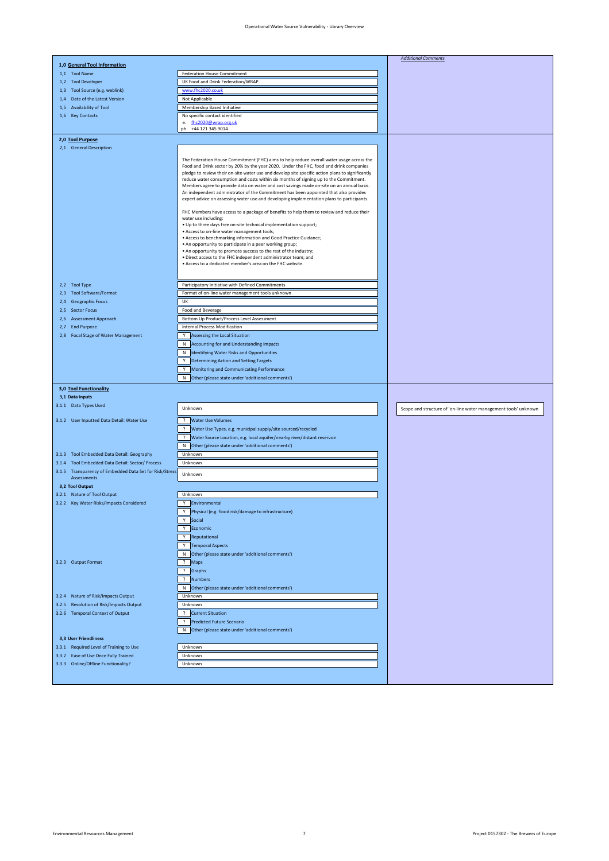# Operational Water Source Vulnerability - Library Overview

| 1,0 General Tool Information                                                  |                                                                                                                                                                                           | <b>Additional Comments</b>                                      |
|-------------------------------------------------------------------------------|-------------------------------------------------------------------------------------------------------------------------------------------------------------------------------------------|-----------------------------------------------------------------|
| 1,1 Tool Name                                                                 | <b>Federation House Commitment</b>                                                                                                                                                        |                                                                 |
| 1,2 Tool Developer                                                            | UK Food and Drink Federation/WRAP                                                                                                                                                         |                                                                 |
| 1,3 Tool Source (e.g. weblink)                                                | www.fhc2020.co.uk                                                                                                                                                                         |                                                                 |
|                                                                               |                                                                                                                                                                                           |                                                                 |
| 1,4 Date of the Latest Version                                                | Not Applicable                                                                                                                                                                            |                                                                 |
| 1,5 Availability of Tool                                                      | Membership Based Initiative                                                                                                                                                               |                                                                 |
| 1,6 Key Contacts                                                              | No specific contact identified                                                                                                                                                            |                                                                 |
|                                                                               | e. fhc2020@wrap.org.uk<br>ph. +44 121 345 9014                                                                                                                                            |                                                                 |
|                                                                               |                                                                                                                                                                                           |                                                                 |
| 2,0 Tool Purpose                                                              |                                                                                                                                                                                           |                                                                 |
| 2,1 General Description                                                       |                                                                                                                                                                                           |                                                                 |
|                                                                               | The Federation House Commitment (FHC) aims to help reduce overall water usage across the                                                                                                  |                                                                 |
|                                                                               | Food and Drink sector by 20% by the year 2020. Under the FHC, food and drink companies                                                                                                    |                                                                 |
|                                                                               | pledge to review their on-site water use and develop site specific action plans to significantly<br>reduce water consumption and costs within six months of signing up to the Commitment. |                                                                 |
|                                                                               | Members agree to provide data on water and cost savings made on-site on an annual basis.                                                                                                  |                                                                 |
|                                                                               | An independent administrator of the Commitment has been appointed that also provides                                                                                                      |                                                                 |
|                                                                               | expert advice on assessing water use and developing implementation plans to participants.                                                                                                 |                                                                 |
|                                                                               |                                                                                                                                                                                           |                                                                 |
|                                                                               | FHC Members have access to a package of benefits to help them to review and reduce their<br>water use including:                                                                          |                                                                 |
|                                                                               | . Up to three days free on-site technical implementation support;                                                                                                                         |                                                                 |
|                                                                               | • Access to on-line water management tools;                                                                                                                                               |                                                                 |
|                                                                               | • Access to benchmarking information and Good Practice Guidance;                                                                                                                          |                                                                 |
|                                                                               | . An opportunity to participate in a peer working group;<br>. An opportunity to promote success to the rest of the industry;                                                              |                                                                 |
|                                                                               | . Direct access to the FHC independent administrator team; and                                                                                                                            |                                                                 |
|                                                                               | • Access to a dedicated member's area on the FHC website.                                                                                                                                 |                                                                 |
|                                                                               |                                                                                                                                                                                           |                                                                 |
| 2,2 Tool Type                                                                 | Participatory Initiative with Defined Commitments                                                                                                                                         |                                                                 |
|                                                                               |                                                                                                                                                                                           |                                                                 |
| 2,3 Tool Software/Format                                                      | Format of on-line water management tools unknown                                                                                                                                          |                                                                 |
| 2,4 Geographic Focus                                                          | UK                                                                                                                                                                                        |                                                                 |
| 2,5 Sector Focus                                                              | Food and Beverage                                                                                                                                                                         |                                                                 |
| 2,6 Assessment Approach                                                       | Bottom Up Product/Process Level Assessment                                                                                                                                                |                                                                 |
| 2,7 End Purpose                                                               | <b>Internal Process Modification</b>                                                                                                                                                      |                                                                 |
| 2,8 Focal Stage of Water Management                                           | Y Assessing the Local Situation                                                                                                                                                           |                                                                 |
|                                                                               | N Accounting for and Understanding Impacts                                                                                                                                                |                                                                 |
|                                                                               | N Identifying Water Risks and Opportunities                                                                                                                                               |                                                                 |
|                                                                               | Y Determining Action and Setting Targets                                                                                                                                                  |                                                                 |
|                                                                               | Y Monitoring and Communicating Performance                                                                                                                                                |                                                                 |
|                                                                               | N Other (please state under 'additional comments')                                                                                                                                        |                                                                 |
| 3,0 Tool Functionality                                                        |                                                                                                                                                                                           |                                                                 |
| 3,1 Data Inputs                                                               |                                                                                                                                                                                           |                                                                 |
| 3.1.1 Data Types Used                                                         | Unknown                                                                                                                                                                                   | Scope and structure of 'on-line water management tools' unknown |
|                                                                               |                                                                                                                                                                                           |                                                                 |
| 3.1.2 User Inputted Data Detail: Water Use                                    | ? Water Use Volumes                                                                                                                                                                       |                                                                 |
|                                                                               | ? Water Use Types, e.g. municipal supply/site sourced/recycled                                                                                                                            |                                                                 |
|                                                                               | $\ddot{?}$<br>Water Source Location, e.g. local aquifer/nearby river/distant reservoir                                                                                                    |                                                                 |
|                                                                               | N Other (please state under 'additional comments')                                                                                                                                        |                                                                 |
| 3.1.3 Tool Embedded Data Detail: Geography                                    | Unknown                                                                                                                                                                                   |                                                                 |
| 3.1.4 Tool Embedded Data Detail: Sector/ Process                              | Unknown                                                                                                                                                                                   |                                                                 |
| 3.1.5 Transparency of Embedded Data Set for Risk/Stress<br><b>Assessments</b> | Unknown                                                                                                                                                                                   |                                                                 |
|                                                                               |                                                                                                                                                                                           |                                                                 |
| 3,2 Tool Output<br>3.2.1 Nature of Tool Output                                | Unknown                                                                                                                                                                                   |                                                                 |
| 3.2.2 Key Water Risks/Impacts Considered                                      | Y<br>Environmental                                                                                                                                                                        |                                                                 |
|                                                                               |                                                                                                                                                                                           |                                                                 |
|                                                                               | Y Physical (e.g. flood risk/damage to infrastructure)<br>Y Social                                                                                                                         |                                                                 |
|                                                                               |                                                                                                                                                                                           |                                                                 |
|                                                                               | Y Economic                                                                                                                                                                                |                                                                 |
|                                                                               | Y Reputational                                                                                                                                                                            |                                                                 |
|                                                                               | Y Temporal Aspects                                                                                                                                                                        |                                                                 |
|                                                                               | N Other (please state under 'additional comments')                                                                                                                                        |                                                                 |
| 3.2.3 Output Format                                                           | ? Maps                                                                                                                                                                                    |                                                                 |
|                                                                               | ? Graphs                                                                                                                                                                                  |                                                                 |
|                                                                               | ? Numbers                                                                                                                                                                                 |                                                                 |
|                                                                               | N Other (please state under 'additional comments')                                                                                                                                        |                                                                 |
| 3.2.4 Nature of Risk/Impacts Output                                           | Unknown                                                                                                                                                                                   |                                                                 |
| 3.2.5 Resolution of Risk/Impacts Output                                       | Unknown                                                                                                                                                                                   |                                                                 |
| 3.2.6 Temporal Context of Output                                              | ? Current Situation                                                                                                                                                                       |                                                                 |
|                                                                               | ? Predicted Future Scenario                                                                                                                                                               |                                                                 |
|                                                                               | N Other (please state under 'additional comments')                                                                                                                                        |                                                                 |
| 3,3 User Friendliness                                                         |                                                                                                                                                                                           |                                                                 |
| 3.3.1 Required Level of Training to Use                                       | Unknown                                                                                                                                                                                   |                                                                 |
| 3.3.2 Ease of Use Once Fully Trained                                          | Unknown                                                                                                                                                                                   |                                                                 |
| 3.3.3 Online/Offline Functionality?                                           | Unknown                                                                                                                                                                                   |                                                                 |
|                                                                               |                                                                                                                                                                                           |                                                                 |
|                                                                               |                                                                                                                                                                                           |                                                                 |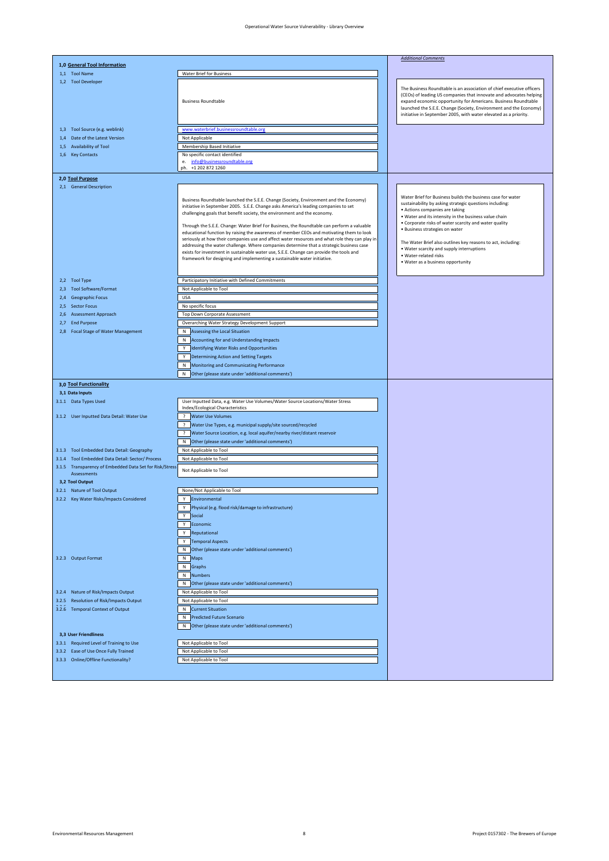|                                                                                                |                                                                                                                                                                                                                                                                                                                                                                                                                                                                                                                                                                                                                                                                                                                                                                                                                         | <b>Additional Comments</b>                                                                                                                                                                                                                                                                                                                                                                                                                                                              |
|------------------------------------------------------------------------------------------------|-------------------------------------------------------------------------------------------------------------------------------------------------------------------------------------------------------------------------------------------------------------------------------------------------------------------------------------------------------------------------------------------------------------------------------------------------------------------------------------------------------------------------------------------------------------------------------------------------------------------------------------------------------------------------------------------------------------------------------------------------------------------------------------------------------------------------|-----------------------------------------------------------------------------------------------------------------------------------------------------------------------------------------------------------------------------------------------------------------------------------------------------------------------------------------------------------------------------------------------------------------------------------------------------------------------------------------|
| 1,0 General Tool Information                                                                   |                                                                                                                                                                                                                                                                                                                                                                                                                                                                                                                                                                                                                                                                                                                                                                                                                         |                                                                                                                                                                                                                                                                                                                                                                                                                                                                                         |
| 1,1 Tool Name                                                                                  | Water Brief for Business                                                                                                                                                                                                                                                                                                                                                                                                                                                                                                                                                                                                                                                                                                                                                                                                |                                                                                                                                                                                                                                                                                                                                                                                                                                                                                         |
| 1,2 Tool Developer                                                                             | <b>Business Roundtable</b>                                                                                                                                                                                                                                                                                                                                                                                                                                                                                                                                                                                                                                                                                                                                                                                              | The Business Roundtable is an association of chief executive officers<br>(CEOs) of leading US companies that innovate and advocates helping<br>expand economic opportunity for Americans. Business Roundtable<br>launched the S.E.E. Change (Society, Environment and the Economy)<br>initiative in September 2005, with water elevated as a priority.                                                                                                                                  |
|                                                                                                |                                                                                                                                                                                                                                                                                                                                                                                                                                                                                                                                                                                                                                                                                                                                                                                                                         |                                                                                                                                                                                                                                                                                                                                                                                                                                                                                         |
| 1,3 Tool Source (e.g. weblink)                                                                 | www.waterbrief.businessroundtable.org                                                                                                                                                                                                                                                                                                                                                                                                                                                                                                                                                                                                                                                                                                                                                                                   |                                                                                                                                                                                                                                                                                                                                                                                                                                                                                         |
| 1,4 Date of the Latest Version                                                                 | Not Applicable                                                                                                                                                                                                                                                                                                                                                                                                                                                                                                                                                                                                                                                                                                                                                                                                          |                                                                                                                                                                                                                                                                                                                                                                                                                                                                                         |
| 1,5 Availability of Tool                                                                       | Membership Based Initiative                                                                                                                                                                                                                                                                                                                                                                                                                                                                                                                                                                                                                                                                                                                                                                                             |                                                                                                                                                                                                                                                                                                                                                                                                                                                                                         |
| 1,6 Key Contacts                                                                               | No specific contact identified<br>e. info@businessroundtable.org<br>ph. +1 202 872 1260                                                                                                                                                                                                                                                                                                                                                                                                                                                                                                                                                                                                                                                                                                                                 |                                                                                                                                                                                                                                                                                                                                                                                                                                                                                         |
| 2,0 Tool Purpose                                                                               |                                                                                                                                                                                                                                                                                                                                                                                                                                                                                                                                                                                                                                                                                                                                                                                                                         |                                                                                                                                                                                                                                                                                                                                                                                                                                                                                         |
| 2,1 General Description                                                                        |                                                                                                                                                                                                                                                                                                                                                                                                                                                                                                                                                                                                                                                                                                                                                                                                                         |                                                                                                                                                                                                                                                                                                                                                                                                                                                                                         |
|                                                                                                | Business Roundtable launched the S.E.E. Change (Society, Environment and the Economy)<br>initiative in September 2005. S.E.E. Change asks America's leading companies to set<br>challenging goals that benefit society, the environment and the economy.<br>Through the S.E.E. Change: Water Brief For Business, the Roundtable can perform a valuable<br>educational function by raising the awareness of member CEOs and motivating them to look<br>seriously at how their companies use and affect water resources and what role they can play in<br>addressing the water challenge. Where companies determine that a strategic business case<br>exists for investment in sustainable water use, S.E.E. Change can provide the tools and<br>framework for designing and implementing a sustainable water initiative. | Water Brief for Business builds the business case for water<br>sustainability by asking strategic questions including:<br>• Actions companies are taking<br>. Water and its intensity in the business value chain<br>. Corporate risks of water scarcity and water quality<br>· Business strategies on water<br>The Water Brief also outlines key reasons to act, including:<br>. Water scarcity and supply interruptions<br>· Water-related risks<br>. Water as a business opportunity |
| 2,2 Tool Type                                                                                  | Participatory Initiative with Defined Commitments                                                                                                                                                                                                                                                                                                                                                                                                                                                                                                                                                                                                                                                                                                                                                                       |                                                                                                                                                                                                                                                                                                                                                                                                                                                                                         |
| 2,3 Tool Software/Format                                                                       | Not Applicable to Tool                                                                                                                                                                                                                                                                                                                                                                                                                                                                                                                                                                                                                                                                                                                                                                                                  |                                                                                                                                                                                                                                                                                                                                                                                                                                                                                         |
| 2,4 Geographic Focus                                                                           | USA                                                                                                                                                                                                                                                                                                                                                                                                                                                                                                                                                                                                                                                                                                                                                                                                                     |                                                                                                                                                                                                                                                                                                                                                                                                                                                                                         |
| 2.5 Sector Focus                                                                               | No specific focus                                                                                                                                                                                                                                                                                                                                                                                                                                                                                                                                                                                                                                                                                                                                                                                                       |                                                                                                                                                                                                                                                                                                                                                                                                                                                                                         |
| 2,6 Assessment Approach                                                                        | Top Down Corporate Assessment                                                                                                                                                                                                                                                                                                                                                                                                                                                                                                                                                                                                                                                                                                                                                                                           |                                                                                                                                                                                                                                                                                                                                                                                                                                                                                         |
| 2,7 End Purpose                                                                                | Overarching Water Strategy Development Support                                                                                                                                                                                                                                                                                                                                                                                                                                                                                                                                                                                                                                                                                                                                                                          |                                                                                                                                                                                                                                                                                                                                                                                                                                                                                         |
| 2,8 Focal Stage of Water Management                                                            | N Assessing the Local Situation                                                                                                                                                                                                                                                                                                                                                                                                                                                                                                                                                                                                                                                                                                                                                                                         |                                                                                                                                                                                                                                                                                                                                                                                                                                                                                         |
|                                                                                                | N Accounting for and Understanding Impacts                                                                                                                                                                                                                                                                                                                                                                                                                                                                                                                                                                                                                                                                                                                                                                              |                                                                                                                                                                                                                                                                                                                                                                                                                                                                                         |
|                                                                                                | Y Identifying Water Risks and Opportunities                                                                                                                                                                                                                                                                                                                                                                                                                                                                                                                                                                                                                                                                                                                                                                             |                                                                                                                                                                                                                                                                                                                                                                                                                                                                                         |
|                                                                                                | Y Determining Action and Setting Targets                                                                                                                                                                                                                                                                                                                                                                                                                                                                                                                                                                                                                                                                                                                                                                                |                                                                                                                                                                                                                                                                                                                                                                                                                                                                                         |
|                                                                                                | N Monitoring and Communicating Performance<br>N Other (please state under 'additional comments')                                                                                                                                                                                                                                                                                                                                                                                                                                                                                                                                                                                                                                                                                                                        |                                                                                                                                                                                                                                                                                                                                                                                                                                                                                         |
|                                                                                                |                                                                                                                                                                                                                                                                                                                                                                                                                                                                                                                                                                                                                                                                                                                                                                                                                         |                                                                                                                                                                                                                                                                                                                                                                                                                                                                                         |
| 3,0 Tool Functionality                                                                         |                                                                                                                                                                                                                                                                                                                                                                                                                                                                                                                                                                                                                                                                                                                                                                                                                         |                                                                                                                                                                                                                                                                                                                                                                                                                                                                                         |
| 3,1 Data Inputs                                                                                |                                                                                                                                                                                                                                                                                                                                                                                                                                                                                                                                                                                                                                                                                                                                                                                                                         |                                                                                                                                                                                                                                                                                                                                                                                                                                                                                         |
| 3.1.1 Data Types Used                                                                          | User Inputted Data, e.g. Water Use Volumes/Water Source Locations/Water Stress<br>Index/Ecological Characteristics                                                                                                                                                                                                                                                                                                                                                                                                                                                                                                                                                                                                                                                                                                      |                                                                                                                                                                                                                                                                                                                                                                                                                                                                                         |
| 3.1.2 User Inputted Data Detail: Water Use                                                     | <b>Water Use Volumes</b><br>$\cdot$                                                                                                                                                                                                                                                                                                                                                                                                                                                                                                                                                                                                                                                                                                                                                                                     |                                                                                                                                                                                                                                                                                                                                                                                                                                                                                         |
|                                                                                                | ? Water Use Types, e.g. municipal supply/site sourced/recycled                                                                                                                                                                                                                                                                                                                                                                                                                                                                                                                                                                                                                                                                                                                                                          |                                                                                                                                                                                                                                                                                                                                                                                                                                                                                         |
|                                                                                                | ? Water Source Location, e.g. local aquifer/nearby river/distant reservoir                                                                                                                                                                                                                                                                                                                                                                                                                                                                                                                                                                                                                                                                                                                                              |                                                                                                                                                                                                                                                                                                                                                                                                                                                                                         |
|                                                                                                | N Other (please state under 'additional comments')                                                                                                                                                                                                                                                                                                                                                                                                                                                                                                                                                                                                                                                                                                                                                                      |                                                                                                                                                                                                                                                                                                                                                                                                                                                                                         |
| 3.1.3 Tool Embedded Data Detail: Geography<br>3.1.4 Tool Embedded Data Detail: Sector/ Process | Not Applicable to Tool<br>Not Applicable to Tool                                                                                                                                                                                                                                                                                                                                                                                                                                                                                                                                                                                                                                                                                                                                                                        |                                                                                                                                                                                                                                                                                                                                                                                                                                                                                         |
| 3.1.5 Transparency of Embedded Data Set for Risk/Stress                                        |                                                                                                                                                                                                                                                                                                                                                                                                                                                                                                                                                                                                                                                                                                                                                                                                                         |                                                                                                                                                                                                                                                                                                                                                                                                                                                                                         |
| <b>Assessments</b>                                                                             | Not Applicable to Tool                                                                                                                                                                                                                                                                                                                                                                                                                                                                                                                                                                                                                                                                                                                                                                                                  |                                                                                                                                                                                                                                                                                                                                                                                                                                                                                         |
| 3,2 Tool Output                                                                                |                                                                                                                                                                                                                                                                                                                                                                                                                                                                                                                                                                                                                                                                                                                                                                                                                         |                                                                                                                                                                                                                                                                                                                                                                                                                                                                                         |
| 3.2.1 Nature of Tool Output                                                                    | None/Not Applicable to Tool                                                                                                                                                                                                                                                                                                                                                                                                                                                                                                                                                                                                                                                                                                                                                                                             |                                                                                                                                                                                                                                                                                                                                                                                                                                                                                         |
| 3.2.2 Key Water Risks/Impacts Considered                                                       | Y Environmental<br>Physical (e.g. flood risk/damage to infrastructure)                                                                                                                                                                                                                                                                                                                                                                                                                                                                                                                                                                                                                                                                                                                                                  |                                                                                                                                                                                                                                                                                                                                                                                                                                                                                         |
|                                                                                                | Y<br>Y Social                                                                                                                                                                                                                                                                                                                                                                                                                                                                                                                                                                                                                                                                                                                                                                                                           |                                                                                                                                                                                                                                                                                                                                                                                                                                                                                         |
|                                                                                                | Y Economic                                                                                                                                                                                                                                                                                                                                                                                                                                                                                                                                                                                                                                                                                                                                                                                                              |                                                                                                                                                                                                                                                                                                                                                                                                                                                                                         |
|                                                                                                | Y Reputational                                                                                                                                                                                                                                                                                                                                                                                                                                                                                                                                                                                                                                                                                                                                                                                                          |                                                                                                                                                                                                                                                                                                                                                                                                                                                                                         |
|                                                                                                | Y Temporal Aspects                                                                                                                                                                                                                                                                                                                                                                                                                                                                                                                                                                                                                                                                                                                                                                                                      |                                                                                                                                                                                                                                                                                                                                                                                                                                                                                         |
|                                                                                                | N Other (please state under 'additional comments')                                                                                                                                                                                                                                                                                                                                                                                                                                                                                                                                                                                                                                                                                                                                                                      |                                                                                                                                                                                                                                                                                                                                                                                                                                                                                         |
| 3.2.3 Output Format                                                                            | N Maps                                                                                                                                                                                                                                                                                                                                                                                                                                                                                                                                                                                                                                                                                                                                                                                                                  |                                                                                                                                                                                                                                                                                                                                                                                                                                                                                         |
|                                                                                                | N Graphs                                                                                                                                                                                                                                                                                                                                                                                                                                                                                                                                                                                                                                                                                                                                                                                                                |                                                                                                                                                                                                                                                                                                                                                                                                                                                                                         |
|                                                                                                | N Numbers                                                                                                                                                                                                                                                                                                                                                                                                                                                                                                                                                                                                                                                                                                                                                                                                               |                                                                                                                                                                                                                                                                                                                                                                                                                                                                                         |
|                                                                                                | N Other (please state under 'additional comments')<br>Not Applicable to Tool                                                                                                                                                                                                                                                                                                                                                                                                                                                                                                                                                                                                                                                                                                                                            |                                                                                                                                                                                                                                                                                                                                                                                                                                                                                         |
| 3.2.4 Nature of Risk/Impacts Output<br>3.2.5 Resolution of Risk/Impacts Output                 | Not Applicable to Tool                                                                                                                                                                                                                                                                                                                                                                                                                                                                                                                                                                                                                                                                                                                                                                                                  |                                                                                                                                                                                                                                                                                                                                                                                                                                                                                         |
| 3.2.6 Temporal Context of Output                                                               | N Current Situation                                                                                                                                                                                                                                                                                                                                                                                                                                                                                                                                                                                                                                                                                                                                                                                                     |                                                                                                                                                                                                                                                                                                                                                                                                                                                                                         |
|                                                                                                | N Predicted Future Scenario                                                                                                                                                                                                                                                                                                                                                                                                                                                                                                                                                                                                                                                                                                                                                                                             |                                                                                                                                                                                                                                                                                                                                                                                                                                                                                         |
|                                                                                                | N Other (please state under 'additional comments')                                                                                                                                                                                                                                                                                                                                                                                                                                                                                                                                                                                                                                                                                                                                                                      |                                                                                                                                                                                                                                                                                                                                                                                                                                                                                         |
| 3,3 User Friendliness                                                                          |                                                                                                                                                                                                                                                                                                                                                                                                                                                                                                                                                                                                                                                                                                                                                                                                                         |                                                                                                                                                                                                                                                                                                                                                                                                                                                                                         |
| 3.3.1 Required Level of Training to Use                                                        | Not Applicable to Tool                                                                                                                                                                                                                                                                                                                                                                                                                                                                                                                                                                                                                                                                                                                                                                                                  |                                                                                                                                                                                                                                                                                                                                                                                                                                                                                         |
| 3.3.2 Ease of Use Once Fully Trained                                                           | Not Applicable to Tool                                                                                                                                                                                                                                                                                                                                                                                                                                                                                                                                                                                                                                                                                                                                                                                                  |                                                                                                                                                                                                                                                                                                                                                                                                                                                                                         |
| 3.3.3 Online/Offline Functionality?                                                            | Not Applicable to Tool                                                                                                                                                                                                                                                                                                                                                                                                                                                                                                                                                                                                                                                                                                                                                                                                  |                                                                                                                                                                                                                                                                                                                                                                                                                                                                                         |
|                                                                                                |                                                                                                                                                                                                                                                                                                                                                                                                                                                                                                                                                                                                                                                                                                                                                                                                                         |                                                                                                                                                                                                                                                                                                                                                                                                                                                                                         |
|                                                                                                |                                                                                                                                                                                                                                                                                                                                                                                                                                                                                                                                                                                                                                                                                                                                                                                                                         |                                                                                                                                                                                                                                                                                                                                                                                                                                                                                         |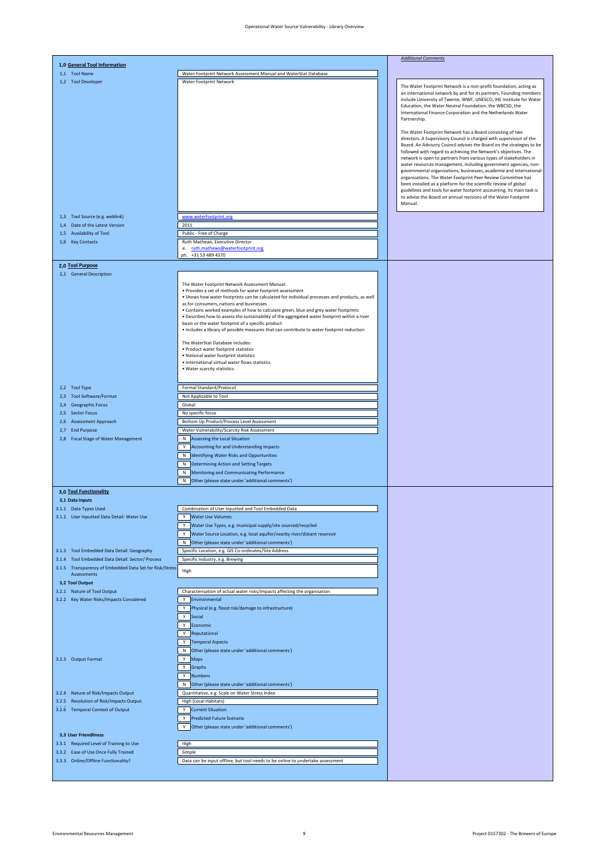|                                                                                                |                                                                                                                                                                                                                                                                                                                                                                                                                                                                                                                                                                                                                                                                                                                                                                                                              | <b>Additional Comments</b>                                                                                                                                                                                                                                                                                                                                                                                                                                                                                                                                                                                                                                                                                                                                                                                                                                                                                                                                                                                                                                                                                                                      |
|------------------------------------------------------------------------------------------------|--------------------------------------------------------------------------------------------------------------------------------------------------------------------------------------------------------------------------------------------------------------------------------------------------------------------------------------------------------------------------------------------------------------------------------------------------------------------------------------------------------------------------------------------------------------------------------------------------------------------------------------------------------------------------------------------------------------------------------------------------------------------------------------------------------------|-------------------------------------------------------------------------------------------------------------------------------------------------------------------------------------------------------------------------------------------------------------------------------------------------------------------------------------------------------------------------------------------------------------------------------------------------------------------------------------------------------------------------------------------------------------------------------------------------------------------------------------------------------------------------------------------------------------------------------------------------------------------------------------------------------------------------------------------------------------------------------------------------------------------------------------------------------------------------------------------------------------------------------------------------------------------------------------------------------------------------------------------------|
| 1,0 General Tool Information                                                                   |                                                                                                                                                                                                                                                                                                                                                                                                                                                                                                                                                                                                                                                                                                                                                                                                              |                                                                                                                                                                                                                                                                                                                                                                                                                                                                                                                                                                                                                                                                                                                                                                                                                                                                                                                                                                                                                                                                                                                                                 |
| 1,1 Tool Name                                                                                  | Water Footprint Network Assessment Manual and WaterStat Database                                                                                                                                                                                                                                                                                                                                                                                                                                                                                                                                                                                                                                                                                                                                             |                                                                                                                                                                                                                                                                                                                                                                                                                                                                                                                                                                                                                                                                                                                                                                                                                                                                                                                                                                                                                                                                                                                                                 |
| 1,2 Tool Developer<br>1,3 Tool Source (e.g. weblink)<br>1,4 Date of the Latest Version         | Water Footprint Network<br>www.waterfootprint.org<br>2011                                                                                                                                                                                                                                                                                                                                                                                                                                                                                                                                                                                                                                                                                                                                                    | The Water Footprint Network is a non-profit foundation, acting as<br>an international network by and for its partners. Founding members<br>include University of Twente, WWF, UNESCO, IHE Institute for Water<br>Education, the Water Neutral Foundation, the WBCSD, the<br>International Finance Corporation and the Netherlands Water<br>Partnership.<br>The Water Footprint Network has a Board consisting of two<br>directors. A Supervisory Council is charged with supervision of the<br>Board. An Advisory Council advises the Board on the strategies to be<br>followed with regard to achieving the Network's objectives. The<br>network is open to partners from various types of stakeholders in<br>water resources management, including government agencies, non-<br>governmental organizations, businesses, academia and international-<br>organizations. The Water Footprint Peer Review Committee has<br>been installed as a platform for the scientific review of global<br>guidelines and tools for water footprint accounting. Its main task is<br>to advise the Board on annual revisions of the Water Footprint<br>Manual. |
| 1,5 Availability of Tool                                                                       | Public - Free of Charge                                                                                                                                                                                                                                                                                                                                                                                                                                                                                                                                                                                                                                                                                                                                                                                      |                                                                                                                                                                                                                                                                                                                                                                                                                                                                                                                                                                                                                                                                                                                                                                                                                                                                                                                                                                                                                                                                                                                                                 |
| 1,6 Key Contacts                                                                               | Ruth Mathews, Executive Director                                                                                                                                                                                                                                                                                                                                                                                                                                                                                                                                                                                                                                                                                                                                                                             |                                                                                                                                                                                                                                                                                                                                                                                                                                                                                                                                                                                                                                                                                                                                                                                                                                                                                                                                                                                                                                                                                                                                                 |
|                                                                                                | e. ruth.mathews@waterfootprint.org<br>ph. +31 53 489 4370                                                                                                                                                                                                                                                                                                                                                                                                                                                                                                                                                                                                                                                                                                                                                    |                                                                                                                                                                                                                                                                                                                                                                                                                                                                                                                                                                                                                                                                                                                                                                                                                                                                                                                                                                                                                                                                                                                                                 |
| 2,0 Tool Purpose                                                                               |                                                                                                                                                                                                                                                                                                                                                                                                                                                                                                                                                                                                                                                                                                                                                                                                              |                                                                                                                                                                                                                                                                                                                                                                                                                                                                                                                                                                                                                                                                                                                                                                                                                                                                                                                                                                                                                                                                                                                                                 |
| 2,1 General Description                                                                        |                                                                                                                                                                                                                                                                                                                                                                                                                                                                                                                                                                                                                                                                                                                                                                                                              |                                                                                                                                                                                                                                                                                                                                                                                                                                                                                                                                                                                                                                                                                                                                                                                                                                                                                                                                                                                                                                                                                                                                                 |
|                                                                                                | The Water Footprint Network Assessment Manual:<br>. Provides a set of methods for water footprint assessment<br>. Shows how water footprints can be calculated for individual processes and products, as well<br>as for consumers, nations and businesses<br>. Contains worked examples of how to calculate green, blue and grey water footprints<br>. Describes how to assess the sustainability of the aggregated water footprint within a river<br>basin or the water footprint of a specific product<br>. Includes a library of possible measures that can contribute to water footprint reduction<br>The WaterStat Database includes:<br>· Product water footprint statistics<br>• National water footprint statistics<br>· International virtual water flows statistics<br>. Water scarcity statistics |                                                                                                                                                                                                                                                                                                                                                                                                                                                                                                                                                                                                                                                                                                                                                                                                                                                                                                                                                                                                                                                                                                                                                 |
|                                                                                                |                                                                                                                                                                                                                                                                                                                                                                                                                                                                                                                                                                                                                                                                                                                                                                                                              |                                                                                                                                                                                                                                                                                                                                                                                                                                                                                                                                                                                                                                                                                                                                                                                                                                                                                                                                                                                                                                                                                                                                                 |
| 2,2 Tool Type<br>2,3 Tool Software/Format                                                      | Formal Standard/Protocol<br>Not Applicable to Tool                                                                                                                                                                                                                                                                                                                                                                                                                                                                                                                                                                                                                                                                                                                                                           |                                                                                                                                                                                                                                                                                                                                                                                                                                                                                                                                                                                                                                                                                                                                                                                                                                                                                                                                                                                                                                                                                                                                                 |
| 2,4 Geographic Focus                                                                           | Global                                                                                                                                                                                                                                                                                                                                                                                                                                                                                                                                                                                                                                                                                                                                                                                                       |                                                                                                                                                                                                                                                                                                                                                                                                                                                                                                                                                                                                                                                                                                                                                                                                                                                                                                                                                                                                                                                                                                                                                 |
| 2,5 Sector Focus                                                                               | No specific focus                                                                                                                                                                                                                                                                                                                                                                                                                                                                                                                                                                                                                                                                                                                                                                                            |                                                                                                                                                                                                                                                                                                                                                                                                                                                                                                                                                                                                                                                                                                                                                                                                                                                                                                                                                                                                                                                                                                                                                 |
| 2,6 Assessment Approach                                                                        | Bottom Up Product/Process Level Assessment                                                                                                                                                                                                                                                                                                                                                                                                                                                                                                                                                                                                                                                                                                                                                                   |                                                                                                                                                                                                                                                                                                                                                                                                                                                                                                                                                                                                                                                                                                                                                                                                                                                                                                                                                                                                                                                                                                                                                 |
| 2,7 End Purpose                                                                                | Water Vulnerability/Scarcity Risk Assessment                                                                                                                                                                                                                                                                                                                                                                                                                                                                                                                                                                                                                                                                                                                                                                 |                                                                                                                                                                                                                                                                                                                                                                                                                                                                                                                                                                                                                                                                                                                                                                                                                                                                                                                                                                                                                                                                                                                                                 |
| 2,8 Focal Stage of Water Management                                                            | N Assessing the Local Situation<br>Y Accounting for and Understanding Impacts<br>N Identifying Water Risks and Opportunities<br>N Determining Action and Setting Targets<br>N Monitoring and Communicating Performance<br>N Other (please state under 'additional comments')                                                                                                                                                                                                                                                                                                                                                                                                                                                                                                                                 |                                                                                                                                                                                                                                                                                                                                                                                                                                                                                                                                                                                                                                                                                                                                                                                                                                                                                                                                                                                                                                                                                                                                                 |
| 3,0 Tool Functionality<br>3,1 Data Inputs                                                      |                                                                                                                                                                                                                                                                                                                                                                                                                                                                                                                                                                                                                                                                                                                                                                                                              |                                                                                                                                                                                                                                                                                                                                                                                                                                                                                                                                                                                                                                                                                                                                                                                                                                                                                                                                                                                                                                                                                                                                                 |
| 3.1.1 Data Types Used                                                                          | Combination of User Inputted and Tool Embedded Data                                                                                                                                                                                                                                                                                                                                                                                                                                                                                                                                                                                                                                                                                                                                                          |                                                                                                                                                                                                                                                                                                                                                                                                                                                                                                                                                                                                                                                                                                                                                                                                                                                                                                                                                                                                                                                                                                                                                 |
| 3.1.2 User Inputted Data Detail: Water Use                                                     | Y Water Use Volumes<br>Y Water Use Types, e.g. municipal supply/site sourced/recycled<br>Y Water Source Location, e.g. local aquifer/nearby river/distant reservoir<br>N Other (please state under 'additional comments')                                                                                                                                                                                                                                                                                                                                                                                                                                                                                                                                                                                    |                                                                                                                                                                                                                                                                                                                                                                                                                                                                                                                                                                                                                                                                                                                                                                                                                                                                                                                                                                                                                                                                                                                                                 |
| 3.1.3 Tool Embedded Data Detail: Geography<br>3.1.4 Tool Embedded Data Detail: Sector/ Process | Specific Location, e.g. GIS Co-ordinates/Site Address                                                                                                                                                                                                                                                                                                                                                                                                                                                                                                                                                                                                                                                                                                                                                        |                                                                                                                                                                                                                                                                                                                                                                                                                                                                                                                                                                                                                                                                                                                                                                                                                                                                                                                                                                                                                                                                                                                                                 |
| 3.1.5 Transparency of Embedded Data Set for Risk/Stress                                        | Specific Industry, e.g. Brewing                                                                                                                                                                                                                                                                                                                                                                                                                                                                                                                                                                                                                                                                                                                                                                              |                                                                                                                                                                                                                                                                                                                                                                                                                                                                                                                                                                                                                                                                                                                                                                                                                                                                                                                                                                                                                                                                                                                                                 |
| Assessments                                                                                    | High                                                                                                                                                                                                                                                                                                                                                                                                                                                                                                                                                                                                                                                                                                                                                                                                         |                                                                                                                                                                                                                                                                                                                                                                                                                                                                                                                                                                                                                                                                                                                                                                                                                                                                                                                                                                                                                                                                                                                                                 |
| 3,2 Tool Output                                                                                |                                                                                                                                                                                                                                                                                                                                                                                                                                                                                                                                                                                                                                                                                                                                                                                                              |                                                                                                                                                                                                                                                                                                                                                                                                                                                                                                                                                                                                                                                                                                                                                                                                                                                                                                                                                                                                                                                                                                                                                 |
| 3.2.1 Nature of Tool Output<br>3.2.2 Key Water Risks/Impacts Considered                        | Characterisation of actual water risks/impacts affecting the organisation<br>Y Environmental                                                                                                                                                                                                                                                                                                                                                                                                                                                                                                                                                                                                                                                                                                                 |                                                                                                                                                                                                                                                                                                                                                                                                                                                                                                                                                                                                                                                                                                                                                                                                                                                                                                                                                                                                                                                                                                                                                 |
|                                                                                                | Y Physical (e.g. flood risk/damage to infrastructure)<br>Y Social<br>Y Economic<br>Y Reputational<br>Y Temporal Aspects<br>N Other (please state under 'additional comments')                                                                                                                                                                                                                                                                                                                                                                                                                                                                                                                                                                                                                                |                                                                                                                                                                                                                                                                                                                                                                                                                                                                                                                                                                                                                                                                                                                                                                                                                                                                                                                                                                                                                                                                                                                                                 |
| 3.2.3 Output Format                                                                            | Y Maps<br>Y Graphs                                                                                                                                                                                                                                                                                                                                                                                                                                                                                                                                                                                                                                                                                                                                                                                           |                                                                                                                                                                                                                                                                                                                                                                                                                                                                                                                                                                                                                                                                                                                                                                                                                                                                                                                                                                                                                                                                                                                                                 |
|                                                                                                | Y Numbers                                                                                                                                                                                                                                                                                                                                                                                                                                                                                                                                                                                                                                                                                                                                                                                                    |                                                                                                                                                                                                                                                                                                                                                                                                                                                                                                                                                                                                                                                                                                                                                                                                                                                                                                                                                                                                                                                                                                                                                 |
|                                                                                                | N Other (please state under 'additional comments')                                                                                                                                                                                                                                                                                                                                                                                                                                                                                                                                                                                                                                                                                                                                                           |                                                                                                                                                                                                                                                                                                                                                                                                                                                                                                                                                                                                                                                                                                                                                                                                                                                                                                                                                                                                                                                                                                                                                 |
| 3.2.4 Nature of Risk/Impacts Output                                                            | Quantitative, e.g. Scale on Water Stress Index                                                                                                                                                                                                                                                                                                                                                                                                                                                                                                                                                                                                                                                                                                                                                               |                                                                                                                                                                                                                                                                                                                                                                                                                                                                                                                                                                                                                                                                                                                                                                                                                                                                                                                                                                                                                                                                                                                                                 |
| 3.2.5 Resolution of Risk/Impacts Output                                                        | High (Local Habitats)                                                                                                                                                                                                                                                                                                                                                                                                                                                                                                                                                                                                                                                                                                                                                                                        |                                                                                                                                                                                                                                                                                                                                                                                                                                                                                                                                                                                                                                                                                                                                                                                                                                                                                                                                                                                                                                                                                                                                                 |
| 3.2.6 Temporal Context of Output                                                               | Y Current Situation<br>Y Predicted Future Scenario                                                                                                                                                                                                                                                                                                                                                                                                                                                                                                                                                                                                                                                                                                                                                           |                                                                                                                                                                                                                                                                                                                                                                                                                                                                                                                                                                                                                                                                                                                                                                                                                                                                                                                                                                                                                                                                                                                                                 |
| 3,3 User Friendliness                                                                          | Y Other (please state under 'additional comments')                                                                                                                                                                                                                                                                                                                                                                                                                                                                                                                                                                                                                                                                                                                                                           |                                                                                                                                                                                                                                                                                                                                                                                                                                                                                                                                                                                                                                                                                                                                                                                                                                                                                                                                                                                                                                                                                                                                                 |
| 3.3.1 Required Level of Training to Use                                                        | High                                                                                                                                                                                                                                                                                                                                                                                                                                                                                                                                                                                                                                                                                                                                                                                                         |                                                                                                                                                                                                                                                                                                                                                                                                                                                                                                                                                                                                                                                                                                                                                                                                                                                                                                                                                                                                                                                                                                                                                 |
| 3.3.2 Ease of Use Once Fully Trained                                                           | Simple                                                                                                                                                                                                                                                                                                                                                                                                                                                                                                                                                                                                                                                                                                                                                                                                       |                                                                                                                                                                                                                                                                                                                                                                                                                                                                                                                                                                                                                                                                                                                                                                                                                                                                                                                                                                                                                                                                                                                                                 |
| 3.3.3 Online/Offline Functionality?                                                            | Data can be input offline, but tool needs to be online to undertake assessment                                                                                                                                                                                                                                                                                                                                                                                                                                                                                                                                                                                                                                                                                                                               |                                                                                                                                                                                                                                                                                                                                                                                                                                                                                                                                                                                                                                                                                                                                                                                                                                                                                                                                                                                                                                                                                                                                                 |
|                                                                                                |                                                                                                                                                                                                                                                                                                                                                                                                                                                                                                                                                                                                                                                                                                                                                                                                              |                                                                                                                                                                                                                                                                                                                                                                                                                                                                                                                                                                                                                                                                                                                                                                                                                                                                                                                                                                                                                                                                                                                                                 |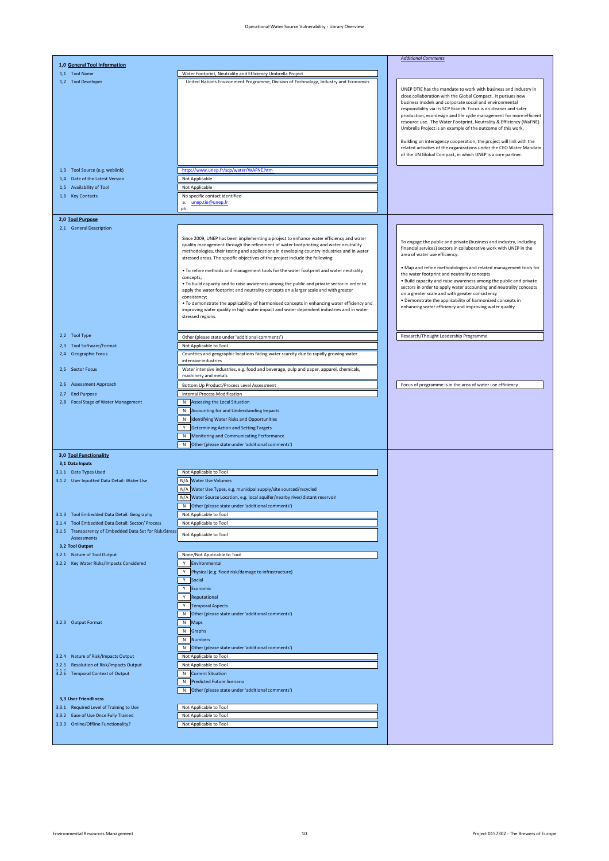|                                                                                |                                                                                                                                                                                                                                                                                                                                                                                                                                                                                                                                                                                                                                                                                                                                                                                                                                                                                            | <b>Additional Comments</b>                                                                                                                                                                                                                                                                                                                                                                                                                                                                                                                                                                                                                                                           |
|--------------------------------------------------------------------------------|--------------------------------------------------------------------------------------------------------------------------------------------------------------------------------------------------------------------------------------------------------------------------------------------------------------------------------------------------------------------------------------------------------------------------------------------------------------------------------------------------------------------------------------------------------------------------------------------------------------------------------------------------------------------------------------------------------------------------------------------------------------------------------------------------------------------------------------------------------------------------------------------|--------------------------------------------------------------------------------------------------------------------------------------------------------------------------------------------------------------------------------------------------------------------------------------------------------------------------------------------------------------------------------------------------------------------------------------------------------------------------------------------------------------------------------------------------------------------------------------------------------------------------------------------------------------------------------------|
| 1,0 General Tool Information                                                   |                                                                                                                                                                                                                                                                                                                                                                                                                                                                                                                                                                                                                                                                                                                                                                                                                                                                                            |                                                                                                                                                                                                                                                                                                                                                                                                                                                                                                                                                                                                                                                                                      |
| 1,1 Tool Name                                                                  | Water Footprint, Neutrality and Efficiency Umbrella Project                                                                                                                                                                                                                                                                                                                                                                                                                                                                                                                                                                                                                                                                                                                                                                                                                                |                                                                                                                                                                                                                                                                                                                                                                                                                                                                                                                                                                                                                                                                                      |
| 1,2 Tool Developer                                                             | United Nations Environment Programme, Division of Technology, Industry and Economics                                                                                                                                                                                                                                                                                                                                                                                                                                                                                                                                                                                                                                                                                                                                                                                                       | UNEP DTIE has the mandate to work with business and industry in<br>close collaboration with the Global Compact. It pursues new<br>business models and corporate social and environmental<br>responsibility via its SCP Branch. Focus is on cleaner and safer<br>production, eco-design and life cycle management for more efficient<br>resource use. The Water Footprint, Neutrality & Efficiency (WaFNE)<br>Umbrella Project is an example of the outcome of this work.<br>Building on interagency cooperation, the project will link with the<br>related activities of the organizations under the CEO Water Mandate<br>of the UN Global Compact, in which UNEP is a core partner. |
| 1,3 Tool Source (e.g. weblink)                                                 | http://www.unep.fr/scp/water/WAFNE.htm                                                                                                                                                                                                                                                                                                                                                                                                                                                                                                                                                                                                                                                                                                                                                                                                                                                     |                                                                                                                                                                                                                                                                                                                                                                                                                                                                                                                                                                                                                                                                                      |
| 1,4 Date of the Latest Version                                                 | Not Applicable                                                                                                                                                                                                                                                                                                                                                                                                                                                                                                                                                                                                                                                                                                                                                                                                                                                                             |                                                                                                                                                                                                                                                                                                                                                                                                                                                                                                                                                                                                                                                                                      |
| 1,5 Availability of Tool                                                       | Not Applicable                                                                                                                                                                                                                                                                                                                                                                                                                                                                                                                                                                                                                                                                                                                                                                                                                                                                             |                                                                                                                                                                                                                                                                                                                                                                                                                                                                                                                                                                                                                                                                                      |
| 1,6 Key Contacts                                                               | No specific contact identified                                                                                                                                                                                                                                                                                                                                                                                                                                                                                                                                                                                                                                                                                                                                                                                                                                                             |                                                                                                                                                                                                                                                                                                                                                                                                                                                                                                                                                                                                                                                                                      |
|                                                                                | e. unep.tie@unep.fr<br>ph.                                                                                                                                                                                                                                                                                                                                                                                                                                                                                                                                                                                                                                                                                                                                                                                                                                                                 |                                                                                                                                                                                                                                                                                                                                                                                                                                                                                                                                                                                                                                                                                      |
| 2,0 Tool Purpose                                                               |                                                                                                                                                                                                                                                                                                                                                                                                                                                                                                                                                                                                                                                                                                                                                                                                                                                                                            |                                                                                                                                                                                                                                                                                                                                                                                                                                                                                                                                                                                                                                                                                      |
| 2,1 General Description                                                        | Since 2009, UNEP has been implementing a project to enhance water efficiency and water<br>quality management through the refinement of water footprinting and water neutrality<br>methodologies, their testing and applications in developing country industries and in water<br>stressed areas. The specific objectives of the project include the following:<br>. To refine methods and management tools for the water footprint and water neutrality<br>concepts:<br>. To build capacity and to raise awareness among the public and private sector in order to<br>apply the water footprint and neutrality concepts on a larger scale and with greater<br>consistency;<br>. To demonstrate the applicability of harmonised concepts in enhancing water efficiency and<br>improving water quality in high water impact and water dependent industries and in water<br>stressed regions. | To engage the public and private (business and industry, including<br>financial services) sectors in collaborative work with UNEP in the<br>area of water use efficiency.<br>. Map and refine methodologies and related management tools for<br>the water footprint and neutrality concepts<br>. Build capacity and raise awareness among the public and private<br>sectors in order to apply water accounting and neutrality concepts<br>on a greater scale and with greater consistency<br>. Demonstrate the applicability of harmonized concepts in<br>enhancing water efficiency and improving water quality                                                                     |
|                                                                                |                                                                                                                                                                                                                                                                                                                                                                                                                                                                                                                                                                                                                                                                                                                                                                                                                                                                                            |                                                                                                                                                                                                                                                                                                                                                                                                                                                                                                                                                                                                                                                                                      |
| 2,2 Tool Type                                                                  | Other (please state under 'additional comments')                                                                                                                                                                                                                                                                                                                                                                                                                                                                                                                                                                                                                                                                                                                                                                                                                                           | Research/Thought Leadership Programme                                                                                                                                                                                                                                                                                                                                                                                                                                                                                                                                                                                                                                                |
| 2,3 Tool Software/Format                                                       | Not Applicable to Tool                                                                                                                                                                                                                                                                                                                                                                                                                                                                                                                                                                                                                                                                                                                                                                                                                                                                     |                                                                                                                                                                                                                                                                                                                                                                                                                                                                                                                                                                                                                                                                                      |
| 2,4 Geographic Focus                                                           | Countries and geographic locations facing water scarcity due to rapidly growing water                                                                                                                                                                                                                                                                                                                                                                                                                                                                                                                                                                                                                                                                                                                                                                                                      |                                                                                                                                                                                                                                                                                                                                                                                                                                                                                                                                                                                                                                                                                      |
| 2,5 Sector Focus                                                               | intensive industries<br>Water intensive industries, e.g. food and beverage, pulp and paper, apparel, chemicals,<br>machinery and metals                                                                                                                                                                                                                                                                                                                                                                                                                                                                                                                                                                                                                                                                                                                                                    |                                                                                                                                                                                                                                                                                                                                                                                                                                                                                                                                                                                                                                                                                      |
| 2,6 Assessment Approach                                                        | Bottom Up Product/Process Level Assessment                                                                                                                                                                                                                                                                                                                                                                                                                                                                                                                                                                                                                                                                                                                                                                                                                                                 | Focus of programme is in the area of water use efficiency                                                                                                                                                                                                                                                                                                                                                                                                                                                                                                                                                                                                                            |
| 2,7 End Purpose                                                                | <b>Internal Process Modification</b>                                                                                                                                                                                                                                                                                                                                                                                                                                                                                                                                                                                                                                                                                                                                                                                                                                                       |                                                                                                                                                                                                                                                                                                                                                                                                                                                                                                                                                                                                                                                                                      |
| 2,8 Focal Stage of Water Management                                            | N Assessing the Local Situation<br>N Accounting for and Understanding Impacts<br>N Identifying Water Risks and Opportunities<br>Y Determining Action and Setting Targets<br>N Monitoring and Communicating Performance<br>N Other (please state under 'additional comments')                                                                                                                                                                                                                                                                                                                                                                                                                                                                                                                                                                                                               |                                                                                                                                                                                                                                                                                                                                                                                                                                                                                                                                                                                                                                                                                      |
| 3,0 Tool Functionality                                                         |                                                                                                                                                                                                                                                                                                                                                                                                                                                                                                                                                                                                                                                                                                                                                                                                                                                                                            |                                                                                                                                                                                                                                                                                                                                                                                                                                                                                                                                                                                                                                                                                      |
| 3,1 Data Inputs                                                                |                                                                                                                                                                                                                                                                                                                                                                                                                                                                                                                                                                                                                                                                                                                                                                                                                                                                                            |                                                                                                                                                                                                                                                                                                                                                                                                                                                                                                                                                                                                                                                                                      |
| 3.1.1 Data Types Used                                                          | Not Applicable to Tool                                                                                                                                                                                                                                                                                                                                                                                                                                                                                                                                                                                                                                                                                                                                                                                                                                                                     |                                                                                                                                                                                                                                                                                                                                                                                                                                                                                                                                                                                                                                                                                      |
| 3.1.2 User Inputted Data Detail: Water Use                                     | N/A Water Use Volumes<br>N/A Water Use Types, e.g. municipal supply/site sourced/recycled<br>N/A Water Source Location, e.g. local aquifer/nearby river/distant reservoir<br>N Other (please state under 'additional comments')                                                                                                                                                                                                                                                                                                                                                                                                                                                                                                                                                                                                                                                            |                                                                                                                                                                                                                                                                                                                                                                                                                                                                                                                                                                                                                                                                                      |
| 3.1.3 Tool Embedded Data Detail: Geography                                     | Not Applicable to Tool                                                                                                                                                                                                                                                                                                                                                                                                                                                                                                                                                                                                                                                                                                                                                                                                                                                                     |                                                                                                                                                                                                                                                                                                                                                                                                                                                                                                                                                                                                                                                                                      |
| 3.1.4 Tool Embedded Data Detail: Sector/ Process                               | Not Applicable to Tool                                                                                                                                                                                                                                                                                                                                                                                                                                                                                                                                                                                                                                                                                                                                                                                                                                                                     |                                                                                                                                                                                                                                                                                                                                                                                                                                                                                                                                                                                                                                                                                      |
| 3.1.5 Transparency of Embedded Data Set for Risk/Stress<br>Assessments         | Not Applicable to Tool                                                                                                                                                                                                                                                                                                                                                                                                                                                                                                                                                                                                                                                                                                                                                                                                                                                                     |                                                                                                                                                                                                                                                                                                                                                                                                                                                                                                                                                                                                                                                                                      |
| 3,2 Tool Output                                                                |                                                                                                                                                                                                                                                                                                                                                                                                                                                                                                                                                                                                                                                                                                                                                                                                                                                                                            |                                                                                                                                                                                                                                                                                                                                                                                                                                                                                                                                                                                                                                                                                      |
| 3.2.1 Nature of Tool Output                                                    | None/Not Applicable to Tool                                                                                                                                                                                                                                                                                                                                                                                                                                                                                                                                                                                                                                                                                                                                                                                                                                                                |                                                                                                                                                                                                                                                                                                                                                                                                                                                                                                                                                                                                                                                                                      |
| 3.2.2 Key Water Risks/Impacts Considered                                       | Y Environmental<br>Y Physical (e.g. flood risk/damage to infrastructure)                                                                                                                                                                                                                                                                                                                                                                                                                                                                                                                                                                                                                                                                                                                                                                                                                   |                                                                                                                                                                                                                                                                                                                                                                                                                                                                                                                                                                                                                                                                                      |
|                                                                                | Y Social<br>Y Economic<br>Y Reputational<br>Y <b>Temporal Aspects</b><br>N Other (please state under 'additional comments')                                                                                                                                                                                                                                                                                                                                                                                                                                                                                                                                                                                                                                                                                                                                                                |                                                                                                                                                                                                                                                                                                                                                                                                                                                                                                                                                                                                                                                                                      |
| 3.2.3 Output Format                                                            | N Maps<br>N Graphs                                                                                                                                                                                                                                                                                                                                                                                                                                                                                                                                                                                                                                                                                                                                                                                                                                                                         |                                                                                                                                                                                                                                                                                                                                                                                                                                                                                                                                                                                                                                                                                      |
|                                                                                | N Numbers                                                                                                                                                                                                                                                                                                                                                                                                                                                                                                                                                                                                                                                                                                                                                                                                                                                                                  |                                                                                                                                                                                                                                                                                                                                                                                                                                                                                                                                                                                                                                                                                      |
|                                                                                | N Other (please state under 'additional comments')                                                                                                                                                                                                                                                                                                                                                                                                                                                                                                                                                                                                                                                                                                                                                                                                                                         |                                                                                                                                                                                                                                                                                                                                                                                                                                                                                                                                                                                                                                                                                      |
| 3.2.4 Nature of Risk/Impacts Output<br>3.2.5 Resolution of Risk/Impacts Output | Not Applicable to Tool<br>Not Applicable to Tool                                                                                                                                                                                                                                                                                                                                                                                                                                                                                                                                                                                                                                                                                                                                                                                                                                           |                                                                                                                                                                                                                                                                                                                                                                                                                                                                                                                                                                                                                                                                                      |
| 3.2.6 Temporal Context of Output                                               | N Current Situation                                                                                                                                                                                                                                                                                                                                                                                                                                                                                                                                                                                                                                                                                                                                                                                                                                                                        |                                                                                                                                                                                                                                                                                                                                                                                                                                                                                                                                                                                                                                                                                      |
|                                                                                | N Predicted Future Scenario                                                                                                                                                                                                                                                                                                                                                                                                                                                                                                                                                                                                                                                                                                                                                                                                                                                                |                                                                                                                                                                                                                                                                                                                                                                                                                                                                                                                                                                                                                                                                                      |
|                                                                                | N Other (please state under 'additional comments')                                                                                                                                                                                                                                                                                                                                                                                                                                                                                                                                                                                                                                                                                                                                                                                                                                         |                                                                                                                                                                                                                                                                                                                                                                                                                                                                                                                                                                                                                                                                                      |
| 3,3 User Friendliness                                                          |                                                                                                                                                                                                                                                                                                                                                                                                                                                                                                                                                                                                                                                                                                                                                                                                                                                                                            |                                                                                                                                                                                                                                                                                                                                                                                                                                                                                                                                                                                                                                                                                      |
| 3.3.1 Required Level of Training to Use                                        | Not Applicable to Tool                                                                                                                                                                                                                                                                                                                                                                                                                                                                                                                                                                                                                                                                                                                                                                                                                                                                     |                                                                                                                                                                                                                                                                                                                                                                                                                                                                                                                                                                                                                                                                                      |
| 3.3.2 Ease of Use Once Fully Trained                                           | Not Applicable to Tool                                                                                                                                                                                                                                                                                                                                                                                                                                                                                                                                                                                                                                                                                                                                                                                                                                                                     |                                                                                                                                                                                                                                                                                                                                                                                                                                                                                                                                                                                                                                                                                      |
| 3.3.3 Online/Offline Functionality?                                            | Not Applicable to Tool                                                                                                                                                                                                                                                                                                                                                                                                                                                                                                                                                                                                                                                                                                                                                                                                                                                                     |                                                                                                                                                                                                                                                                                                                                                                                                                                                                                                                                                                                                                                                                                      |
|                                                                                |                                                                                                                                                                                                                                                                                                                                                                                                                                                                                                                                                                                                                                                                                                                                                                                                                                                                                            |                                                                                                                                                                                                                                                                                                                                                                                                                                                                                                                                                                                                                                                                                      |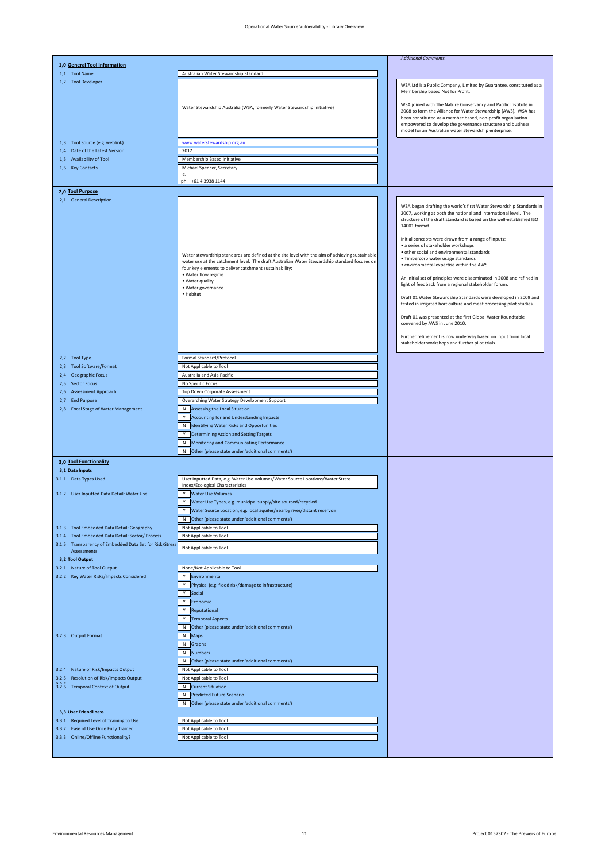|                                                                                                                                                                    |                                                                                                                                                                                                                                                                                                                                                                               | <b>Additional Comments</b>                                                                                                                                                                                                                                                                                                                                                                                                                                                                                                                                                                                                                                                                                                                                                                                                                                                                                                                                  |
|--------------------------------------------------------------------------------------------------------------------------------------------------------------------|-------------------------------------------------------------------------------------------------------------------------------------------------------------------------------------------------------------------------------------------------------------------------------------------------------------------------------------------------------------------------------|-------------------------------------------------------------------------------------------------------------------------------------------------------------------------------------------------------------------------------------------------------------------------------------------------------------------------------------------------------------------------------------------------------------------------------------------------------------------------------------------------------------------------------------------------------------------------------------------------------------------------------------------------------------------------------------------------------------------------------------------------------------------------------------------------------------------------------------------------------------------------------------------------------------------------------------------------------------|
| 1,0 General Tool Information                                                                                                                                       |                                                                                                                                                                                                                                                                                                                                                                               |                                                                                                                                                                                                                                                                                                                                                                                                                                                                                                                                                                                                                                                                                                                                                                                                                                                                                                                                                             |
| 1,1 Tool Name                                                                                                                                                      | Australian Water Stewardship Standard                                                                                                                                                                                                                                                                                                                                         |                                                                                                                                                                                                                                                                                                                                                                                                                                                                                                                                                                                                                                                                                                                                                                                                                                                                                                                                                             |
| 1,2 Tool Developer                                                                                                                                                 | Water Stewardship Australia (WSA, formerly Water Stewardship Initiative)                                                                                                                                                                                                                                                                                                      | WSA Ltd is a Public Company, Limited by Guarantee, constituted as a<br>Membership based Not for Profit.<br>WSA joined with The Nature Conservancy and Pacific Institute in<br>2008 to form the Alliance for Water Stewardship (AWS). WSA has<br>been constituted as a member based, non-profit organisation<br>empowered to develop the governance structure and business<br>model for an Australian water stewardship enterprise.                                                                                                                                                                                                                                                                                                                                                                                                                                                                                                                          |
| 1,3 Tool Source (e.g. weblink)                                                                                                                                     | www.waterstewardship.org.au                                                                                                                                                                                                                                                                                                                                                   |                                                                                                                                                                                                                                                                                                                                                                                                                                                                                                                                                                                                                                                                                                                                                                                                                                                                                                                                                             |
| 1,4 Date of the Latest Version                                                                                                                                     | 2012                                                                                                                                                                                                                                                                                                                                                                          |                                                                                                                                                                                                                                                                                                                                                                                                                                                                                                                                                                                                                                                                                                                                                                                                                                                                                                                                                             |
| 1,5 Availability of Tool                                                                                                                                           | Membership Based Initiative                                                                                                                                                                                                                                                                                                                                                   |                                                                                                                                                                                                                                                                                                                                                                                                                                                                                                                                                                                                                                                                                                                                                                                                                                                                                                                                                             |
| 1,6 Key Contacts                                                                                                                                                   | Michael Spencer, Secretary                                                                                                                                                                                                                                                                                                                                                    |                                                                                                                                                                                                                                                                                                                                                                                                                                                                                                                                                                                                                                                                                                                                                                                                                                                                                                                                                             |
|                                                                                                                                                                    | e.<br>ph. +61 4 3938 1144                                                                                                                                                                                                                                                                                                                                                     |                                                                                                                                                                                                                                                                                                                                                                                                                                                                                                                                                                                                                                                                                                                                                                                                                                                                                                                                                             |
|                                                                                                                                                                    |                                                                                                                                                                                                                                                                                                                                                                               |                                                                                                                                                                                                                                                                                                                                                                                                                                                                                                                                                                                                                                                                                                                                                                                                                                                                                                                                                             |
| 2,0 Tool Purpose<br>2,1 General Description                                                                                                                        | Water stewardship standards are defined at the site level with the aim of achieving sustainable<br>water use at the catchment level. The draft Australian Water Stewardship standard focuses on<br>four key elements to deliver catchment sustainability:<br>• Water flow regime<br>• Water quality<br>· Water governance<br>• Habitat                                        | WSA began drafting the world's first Water Stewardship Standards in<br>2007, working at both the national and international level. The<br>structure of the draft standard is based on the well-established ISO<br>14001 format.<br>Initial concepts were drawn from a range of inputs:<br>• a series of stakeholder workshops<br>· other social and environmental standards<br>• Timbercorp water usage standards<br>. environmental expertise within the AWS<br>An initial set of principles were disseminated in 2008 and refined in<br>light of feedback from a regional stakeholder forum.<br>Draft 01 Water Stewardship Standards were developed in 2009 and<br>tested in irrigated horticulture and meat processing pilot studies.<br>Draft 01 was presented at the first Global Water Roundtable<br>convened by AWS in June 2010.<br>Further refinement is now underway based on input from local<br>stakeholder workshops and further pilot trials. |
| 2,2 Tool Type                                                                                                                                                      | Formal Standard/Protocol                                                                                                                                                                                                                                                                                                                                                      |                                                                                                                                                                                                                                                                                                                                                                                                                                                                                                                                                                                                                                                                                                                                                                                                                                                                                                                                                             |
| 2,3 Tool Software/Format                                                                                                                                           | Not Applicable to Tool                                                                                                                                                                                                                                                                                                                                                        |                                                                                                                                                                                                                                                                                                                                                                                                                                                                                                                                                                                                                                                                                                                                                                                                                                                                                                                                                             |
| 2,4 Geographic Focus                                                                                                                                               | Australia and Asia Pacific                                                                                                                                                                                                                                                                                                                                                    |                                                                                                                                                                                                                                                                                                                                                                                                                                                                                                                                                                                                                                                                                                                                                                                                                                                                                                                                                             |
| 2,5 Sector Focus                                                                                                                                                   | No Specific Focus                                                                                                                                                                                                                                                                                                                                                             |                                                                                                                                                                                                                                                                                                                                                                                                                                                                                                                                                                                                                                                                                                                                                                                                                                                                                                                                                             |
| 2,6 Assessment Approach                                                                                                                                            | Top Down Corporate Assessment                                                                                                                                                                                                                                                                                                                                                 |                                                                                                                                                                                                                                                                                                                                                                                                                                                                                                                                                                                                                                                                                                                                                                                                                                                                                                                                                             |
| 2,7 End Purpose                                                                                                                                                    | Overarching Water Strategy Development Support                                                                                                                                                                                                                                                                                                                                |                                                                                                                                                                                                                                                                                                                                                                                                                                                                                                                                                                                                                                                                                                                                                                                                                                                                                                                                                             |
| 2,8 Focal Stage of Water Management                                                                                                                                | N Assessing the Local Situation<br>Y Accounting for and Understanding Impacts<br>N Identifying Water Risks and Opportunities<br>Y Determining Action and Setting Targets<br>N Monitoring and Communicating Performance<br>N Other (please state under 'additional comments')                                                                                                  |                                                                                                                                                                                                                                                                                                                                                                                                                                                                                                                                                                                                                                                                                                                                                                                                                                                                                                                                                             |
| 3,0 Tool Functionality                                                                                                                                             |                                                                                                                                                                                                                                                                                                                                                                               |                                                                                                                                                                                                                                                                                                                                                                                                                                                                                                                                                                                                                                                                                                                                                                                                                                                                                                                                                             |
| 3,1 Data Inputs                                                                                                                                                    |                                                                                                                                                                                                                                                                                                                                                                               |                                                                                                                                                                                                                                                                                                                                                                                                                                                                                                                                                                                                                                                                                                                                                                                                                                                                                                                                                             |
| 3.1.1 Data Types Used                                                                                                                                              | User Inputted Data, e.g. Water Use Volumes/Water Source Locations/Water Stress                                                                                                                                                                                                                                                                                                |                                                                                                                                                                                                                                                                                                                                                                                                                                                                                                                                                                                                                                                                                                                                                                                                                                                                                                                                                             |
|                                                                                                                                                                    | Index/Ecological Characteristics                                                                                                                                                                                                                                                                                                                                              |                                                                                                                                                                                                                                                                                                                                                                                                                                                                                                                                                                                                                                                                                                                                                                                                                                                                                                                                                             |
| 3.1.2 User Inputted Data Detail: Water Use                                                                                                                         | Y Water Use Volumes                                                                                                                                                                                                                                                                                                                                                           |                                                                                                                                                                                                                                                                                                                                                                                                                                                                                                                                                                                                                                                                                                                                                                                                                                                                                                                                                             |
|                                                                                                                                                                    | Y Water Use Types, e.g. municipal supply/site sourced/recycled                                                                                                                                                                                                                                                                                                                |                                                                                                                                                                                                                                                                                                                                                                                                                                                                                                                                                                                                                                                                                                                                                                                                                                                                                                                                                             |
|                                                                                                                                                                    | Y Water Source Location, e.g. local aquifer/nearby river/distant reservoir                                                                                                                                                                                                                                                                                                    |                                                                                                                                                                                                                                                                                                                                                                                                                                                                                                                                                                                                                                                                                                                                                                                                                                                                                                                                                             |
|                                                                                                                                                                    | N Other (please state under 'additional comments')                                                                                                                                                                                                                                                                                                                            |                                                                                                                                                                                                                                                                                                                                                                                                                                                                                                                                                                                                                                                                                                                                                                                                                                                                                                                                                             |
| 3.1.3 Tool Embedded Data Detail: Geography<br>3.1.4 Tool Embedded Data Detail: Sector/ Process                                                                     | Not Applicable to Tool                                                                                                                                                                                                                                                                                                                                                        |                                                                                                                                                                                                                                                                                                                                                                                                                                                                                                                                                                                                                                                                                                                                                                                                                                                                                                                                                             |
| 3.1.5 Transparency of Embedded Data Set for Risk/Stress                                                                                                            | Not Applicable to Tool                                                                                                                                                                                                                                                                                                                                                        |                                                                                                                                                                                                                                                                                                                                                                                                                                                                                                                                                                                                                                                                                                                                                                                                                                                                                                                                                             |
| Assessments                                                                                                                                                        | Not Applicable to Tool                                                                                                                                                                                                                                                                                                                                                        |                                                                                                                                                                                                                                                                                                                                                                                                                                                                                                                                                                                                                                                                                                                                                                                                                                                                                                                                                             |
| 3,2 Tool Output                                                                                                                                                    |                                                                                                                                                                                                                                                                                                                                                                               |                                                                                                                                                                                                                                                                                                                                                                                                                                                                                                                                                                                                                                                                                                                                                                                                                                                                                                                                                             |
| 3.2.1 Nature of Tool Output                                                                                                                                        | None/Not Applicable to Tool                                                                                                                                                                                                                                                                                                                                                   |                                                                                                                                                                                                                                                                                                                                                                                                                                                                                                                                                                                                                                                                                                                                                                                                                                                                                                                                                             |
| 3.2.2 Key Water Risks/Impacts Considered                                                                                                                           | Y Environmental                                                                                                                                                                                                                                                                                                                                                               |                                                                                                                                                                                                                                                                                                                                                                                                                                                                                                                                                                                                                                                                                                                                                                                                                                                                                                                                                             |
| 3.2.3 Output Format<br>3.2.4 Nature of Risk/Impacts Output<br>3.2.5 Resolution of Risk/Impacts Output<br>3.2.6 Temporal Context of Output<br>3,3 User Friendliness | Y Social<br>Y Economic<br>Y Reputational<br>Y Temporal Aspects<br>N Other (please state under 'additional comments')<br>N Maps<br>N Graphs<br>N Numbers<br>N Other (please state under 'additional comments')<br>Not Applicable to Tool<br>Not Applicable to Tool<br>N Current Situation<br>N Predicted Future Scenario<br>N Other (please state under 'additional comments') |                                                                                                                                                                                                                                                                                                                                                                                                                                                                                                                                                                                                                                                                                                                                                                                                                                                                                                                                                             |
| 3.3.1 Required Level of Training to Use                                                                                                                            | Not Applicable to Tool                                                                                                                                                                                                                                                                                                                                                        |                                                                                                                                                                                                                                                                                                                                                                                                                                                                                                                                                                                                                                                                                                                                                                                                                                                                                                                                                             |
| 3.3.2 Ease of Use Once Fully Trained                                                                                                                               | Not Applicable to Tool                                                                                                                                                                                                                                                                                                                                                        |                                                                                                                                                                                                                                                                                                                                                                                                                                                                                                                                                                                                                                                                                                                                                                                                                                                                                                                                                             |
| 3.3.3 Online/Offline Functionality?                                                                                                                                | Not Applicable to Tool                                                                                                                                                                                                                                                                                                                                                        |                                                                                                                                                                                                                                                                                                                                                                                                                                                                                                                                                                                                                                                                                                                                                                                                                                                                                                                                                             |
|                                                                                                                                                                    |                                                                                                                                                                                                                                                                                                                                                                               |                                                                                                                                                                                                                                                                                                                                                                                                                                                                                                                                                                                                                                                                                                                                                                                                                                                                                                                                                             |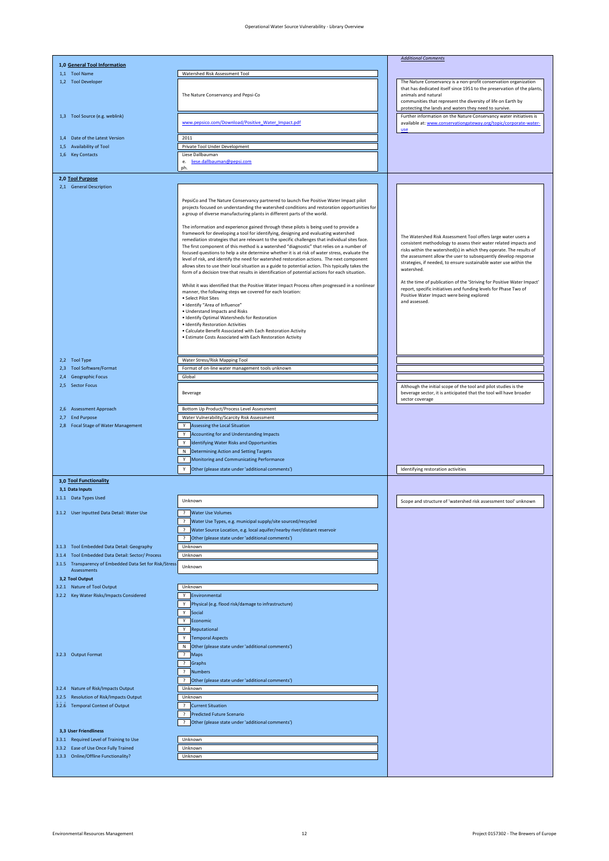|                                                                        |                                                                                                                                                                                                                                                                                                                                                                                                                                                                                                                                                        | <b>Additional Comments</b>                                                                                                                                                                                                                                                                  |
|------------------------------------------------------------------------|--------------------------------------------------------------------------------------------------------------------------------------------------------------------------------------------------------------------------------------------------------------------------------------------------------------------------------------------------------------------------------------------------------------------------------------------------------------------------------------------------------------------------------------------------------|---------------------------------------------------------------------------------------------------------------------------------------------------------------------------------------------------------------------------------------------------------------------------------------------|
| 1,0 General Tool Information                                           |                                                                                                                                                                                                                                                                                                                                                                                                                                                                                                                                                        |                                                                                                                                                                                                                                                                                             |
| 1,1 Tool Name                                                          | Watershed Risk Assessment Tool                                                                                                                                                                                                                                                                                                                                                                                                                                                                                                                         |                                                                                                                                                                                                                                                                                             |
| 1,2 Tool Developer                                                     | The Nature Conservancy and Pepsi-Co                                                                                                                                                                                                                                                                                                                                                                                                                                                                                                                    | The Nature Conservancy is a non-profit conservation organization<br>that has dedicated itself since 1951 to the preservation of the plants,<br>animals and natural<br>communities that represent the diversity of life on Earth by<br>protecting the lands and waters they need to survive. |
| 1,3 Tool Source (e.g. weblink)                                         | www.pepsico.com/Download/Positive Water Impact.pdf                                                                                                                                                                                                                                                                                                                                                                                                                                                                                                     | Further information on the Nature Conservancy water initiatives is<br>available at: www.conservationgateway.org/topic/corporate-water-<br>use                                                                                                                                               |
| 1,4 Date of the Latest Version                                         | 2011                                                                                                                                                                                                                                                                                                                                                                                                                                                                                                                                                   |                                                                                                                                                                                                                                                                                             |
| 1,5 Availability of Tool                                               | Private Tool Under Development                                                                                                                                                                                                                                                                                                                                                                                                                                                                                                                         |                                                                                                                                                                                                                                                                                             |
| 1,6 Key Contacts                                                       | Liese Dallbauman<br>e. liese.dallbauman@pepsi.com<br>ph.                                                                                                                                                                                                                                                                                                                                                                                                                                                                                               |                                                                                                                                                                                                                                                                                             |
| 2,0 Tool Purpose                                                       |                                                                                                                                                                                                                                                                                                                                                                                                                                                                                                                                                        |                                                                                                                                                                                                                                                                                             |
| 2,1 General Description                                                |                                                                                                                                                                                                                                                                                                                                                                                                                                                                                                                                                        |                                                                                                                                                                                                                                                                                             |
|                                                                        | PepsiCo and The Nature Conservancy partnered to launch five Positive Water Impact pilot<br>projects focused on understanding the watershed conditions and restoration opportunities for<br>a group of diverse manufacturing plants in different parts of the world.<br>The information and experience gained through these pilots is being used to provide a<br>framework for developing a tool for identifying, designing and evaluating watershed<br>remediation strategies that are relevant to the specific challenges that individual sites face. | The Watershed Risk Assessment Tool offers large water users a<br>consistent methodology to assess their water related impacts and                                                                                                                                                           |
|                                                                        | The first component of this method is a watershed "diagnostic" that relies on a number of<br>focused questions to help a site determine whether it is at risk of water stress, evaluate the<br>level of risk, and identify the need for watershed restoration actions. The next component<br>allows sites to use their local situation as a guide to potential action. This typically takes the<br>form of a decision tree that results in identification of potential actions for each situation.                                                     | risks within the watershed(s) in which they operate. The results of<br>the assessment allow the user to subsequently develop response<br>strategies, if needed, to ensure sustainable water use within the<br>watershed.                                                                    |
|                                                                        | Whilst it was identified that the Positive Water Impact Process often progressed in a nonlinear<br>manner, the following steps we covered for each location:<br>· Select Pilot Sites<br>• Identify "Area of Influence"<br>• Understand Impacts and Risks<br>· Identify Optimal Watersheds for Restoration<br>· Identify Restoration Activities                                                                                                                                                                                                         | At the time of publication of the 'Striving for Positive Water Impact'<br>report, specific initiatives and funding levels for Phase Two of<br>Positive Water Impact were being explored<br>and assessed.                                                                                    |
|                                                                        | . Calculate Benefit Associated with Each Restoration Activity<br>. Estimate Costs Associated with Each Restoration Activity                                                                                                                                                                                                                                                                                                                                                                                                                            |                                                                                                                                                                                                                                                                                             |
| 2,2 Tool Type                                                          | Water Stress/Risk Mapping Tool                                                                                                                                                                                                                                                                                                                                                                                                                                                                                                                         |                                                                                                                                                                                                                                                                                             |
| 2,3 Tool Software/Format                                               | Format of on-line water management tools unknown                                                                                                                                                                                                                                                                                                                                                                                                                                                                                                       |                                                                                                                                                                                                                                                                                             |
| 2,4 Geographic Focus                                                   | Global                                                                                                                                                                                                                                                                                                                                                                                                                                                                                                                                                 |                                                                                                                                                                                                                                                                                             |
| 2,5 Sector Focus                                                       | Beverage                                                                                                                                                                                                                                                                                                                                                                                                                                                                                                                                               | Although the initial scope of the tool and pilot studies is the<br>beverage sector, it is anticipated that the tool will have broader<br>sector coverage                                                                                                                                    |
| 2,6 Assessment Approach                                                | Bottom Up Product/Process Level Assessment                                                                                                                                                                                                                                                                                                                                                                                                                                                                                                             |                                                                                                                                                                                                                                                                                             |
| 2,7 End Purpose                                                        | Water Vulnerability/Scarcity Risk Assessment                                                                                                                                                                                                                                                                                                                                                                                                                                                                                                           |                                                                                                                                                                                                                                                                                             |
| 2,8 Focal Stage of Water Management                                    | Y Assessing the Local Situation                                                                                                                                                                                                                                                                                                                                                                                                                                                                                                                        |                                                                                                                                                                                                                                                                                             |
|                                                                        | Y Accounting for and Understanding Impacts                                                                                                                                                                                                                                                                                                                                                                                                                                                                                                             |                                                                                                                                                                                                                                                                                             |
|                                                                        | Y Identifying Water Risks and Opportunities                                                                                                                                                                                                                                                                                                                                                                                                                                                                                                            |                                                                                                                                                                                                                                                                                             |
|                                                                        | N Determining Action and Setting Targets<br>Monitoring and Communicating Performance<br>Y                                                                                                                                                                                                                                                                                                                                                                                                                                                              |                                                                                                                                                                                                                                                                                             |
|                                                                        | Other (please state under 'additional comments')<br>Υ                                                                                                                                                                                                                                                                                                                                                                                                                                                                                                  | Identifying restoration activities                                                                                                                                                                                                                                                          |
|                                                                        |                                                                                                                                                                                                                                                                                                                                                                                                                                                                                                                                                        |                                                                                                                                                                                                                                                                                             |
| 3,0 Tool Functionality                                                 |                                                                                                                                                                                                                                                                                                                                                                                                                                                                                                                                                        |                                                                                                                                                                                                                                                                                             |
| 3,1 Data Inputs                                                        |                                                                                                                                                                                                                                                                                                                                                                                                                                                                                                                                                        |                                                                                                                                                                                                                                                                                             |
| 3.1.1 Data Types Used                                                  | Unknown                                                                                                                                                                                                                                                                                                                                                                                                                                                                                                                                                | Scope and structure of 'watershed risk assessment tool' unknown                                                                                                                                                                                                                             |
| 3.1.2 User Inputted Data Detail: Water Use                             | ?<br><b>Water Use Volumes</b><br>? Water Use Types, e.g. municipal supply/site sourced/recycled<br>? Water Source Location, e.g. local aquifer/nearby river/distant reservoir                                                                                                                                                                                                                                                                                                                                                                          |                                                                                                                                                                                                                                                                                             |
|                                                                        | ? Other (please state under 'additional comments')                                                                                                                                                                                                                                                                                                                                                                                                                                                                                                     |                                                                                                                                                                                                                                                                                             |
| 3.1.3 Tool Embedded Data Detail: Geography                             | Unknown                                                                                                                                                                                                                                                                                                                                                                                                                                                                                                                                                |                                                                                                                                                                                                                                                                                             |
| 3.1.4 Tool Embedded Data Detail: Sector/ Process                       | Unknown                                                                                                                                                                                                                                                                                                                                                                                                                                                                                                                                                |                                                                                                                                                                                                                                                                                             |
| 3.1.5 Transparency of Embedded Data Set for Risk/Stress<br>Assessments | Unknown                                                                                                                                                                                                                                                                                                                                                                                                                                                                                                                                                |                                                                                                                                                                                                                                                                                             |
| 3,2 Tool Output                                                        |                                                                                                                                                                                                                                                                                                                                                                                                                                                                                                                                                        |                                                                                                                                                                                                                                                                                             |
| 3.2.1 Nature of Tool Output                                            | Unknown                                                                                                                                                                                                                                                                                                                                                                                                                                                                                                                                                |                                                                                                                                                                                                                                                                                             |
| 3.2.2 Key Water Risks/Impacts Considered                               | Y Environmental                                                                                                                                                                                                                                                                                                                                                                                                                                                                                                                                        |                                                                                                                                                                                                                                                                                             |
|                                                                        | Y Physical (e.g. flood risk/damage to infrastructure)                                                                                                                                                                                                                                                                                                                                                                                                                                                                                                  |                                                                                                                                                                                                                                                                                             |
|                                                                        | Y Social                                                                                                                                                                                                                                                                                                                                                                                                                                                                                                                                               |                                                                                                                                                                                                                                                                                             |
|                                                                        | Y Economic                                                                                                                                                                                                                                                                                                                                                                                                                                                                                                                                             |                                                                                                                                                                                                                                                                                             |
|                                                                        | Y Reputational<br>Y Temporal Aspects                                                                                                                                                                                                                                                                                                                                                                                                                                                                                                                   |                                                                                                                                                                                                                                                                                             |
|                                                                        | N Other (please state under 'additional comments')                                                                                                                                                                                                                                                                                                                                                                                                                                                                                                     |                                                                                                                                                                                                                                                                                             |
| 3.2.3 Output Format                                                    | ? Maps                                                                                                                                                                                                                                                                                                                                                                                                                                                                                                                                                 |                                                                                                                                                                                                                                                                                             |
|                                                                        | ? Graphs                                                                                                                                                                                                                                                                                                                                                                                                                                                                                                                                               |                                                                                                                                                                                                                                                                                             |
|                                                                        | ? Numbers                                                                                                                                                                                                                                                                                                                                                                                                                                                                                                                                              |                                                                                                                                                                                                                                                                                             |
|                                                                        | ? Other (please state under 'additional comments')                                                                                                                                                                                                                                                                                                                                                                                                                                                                                                     |                                                                                                                                                                                                                                                                                             |
| 3.2.4 Nature of Risk/Impacts Output                                    | Unknown                                                                                                                                                                                                                                                                                                                                                                                                                                                                                                                                                |                                                                                                                                                                                                                                                                                             |
| 3.2.5 Resolution of Risk/Impacts Output                                | Unknown                                                                                                                                                                                                                                                                                                                                                                                                                                                                                                                                                |                                                                                                                                                                                                                                                                                             |
| 3.2.6 Temporal Context of Output                                       | ? Current Situation                                                                                                                                                                                                                                                                                                                                                                                                                                                                                                                                    |                                                                                                                                                                                                                                                                                             |
|                                                                        | ? Predicted Future Scenario                                                                                                                                                                                                                                                                                                                                                                                                                                                                                                                            |                                                                                                                                                                                                                                                                                             |
| 3,3 User Friendliness                                                  | ? Other (please state under 'additional comments')                                                                                                                                                                                                                                                                                                                                                                                                                                                                                                     |                                                                                                                                                                                                                                                                                             |
| 3.3.1 Required Level of Training to Use                                | Unknown                                                                                                                                                                                                                                                                                                                                                                                                                                                                                                                                                |                                                                                                                                                                                                                                                                                             |
| 3.3.2 Ease of Use Once Fully Trained                                   | Unknown                                                                                                                                                                                                                                                                                                                                                                                                                                                                                                                                                |                                                                                                                                                                                                                                                                                             |
| 3.3.3 Online/Offline Functionality?                                    | Unknown                                                                                                                                                                                                                                                                                                                                                                                                                                                                                                                                                |                                                                                                                                                                                                                                                                                             |
|                                                                        |                                                                                                                                                                                                                                                                                                                                                                                                                                                                                                                                                        |                                                                                                                                                                                                                                                                                             |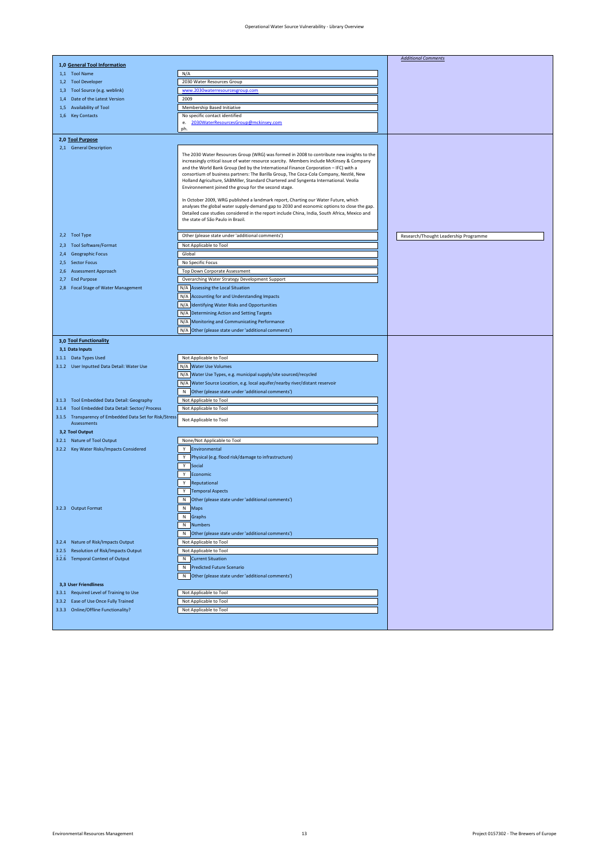| 1,0 General Tool Information                            |                                                                                                                                                                                         | <b>Additional Comments</b>            |
|---------------------------------------------------------|-----------------------------------------------------------------------------------------------------------------------------------------------------------------------------------------|---------------------------------------|
| 1,1 Tool Name                                           | N/A                                                                                                                                                                                     |                                       |
| 1,2 Tool Developer                                      | 2030 Water Resources Group                                                                                                                                                              |                                       |
| 1,3 Tool Source (e.g. weblink)                          | www.2030waterresourcesgroup.com                                                                                                                                                         |                                       |
|                                                         |                                                                                                                                                                                         |                                       |
| 1,4 Date of the Latest Version                          | 2009                                                                                                                                                                                    |                                       |
| 1,5 Availability of Tool                                | Membership Based Initiative                                                                                                                                                             |                                       |
| 1,6 Key Contacts                                        | No specific contact identified                                                                                                                                                          |                                       |
|                                                         | e. 2030WaterResourcesGroup@mckinsey.com<br>ph.                                                                                                                                          |                                       |
|                                                         |                                                                                                                                                                                         |                                       |
| 2,0 Tool Purpose                                        |                                                                                                                                                                                         |                                       |
| 2,1 General Description                                 |                                                                                                                                                                                         |                                       |
|                                                         | The 2030 Water Resources Group (WRG) was formed in 2008 to contribute new insights to the<br>increasingly critical issue of water resource scarcity. Members include McKinsey & Company |                                       |
|                                                         | and the World Bank Group (led by the International Finance Corporation - IFC) with a                                                                                                    |                                       |
|                                                         | consortium of business partners: The Barilla Group, The Coca-Cola Company, Nestlé, New                                                                                                  |                                       |
|                                                         | Holland Agriculture, SABMiller, Standard Chartered and Syngenta International. Veolia                                                                                                   |                                       |
|                                                         | Environnement joined the group for the second stage.                                                                                                                                    |                                       |
|                                                         | In October 2009, WRG published a landmark report, Charting our Water Future, which                                                                                                      |                                       |
|                                                         | analyses the global water supply-demand gap to 2030 and economic options to close the gap.                                                                                              |                                       |
|                                                         | Detailed case studies considered in the report include China, India, South Africa, Mexico and                                                                                           |                                       |
|                                                         | the state of São Paulo in Brazil.                                                                                                                                                       |                                       |
|                                                         |                                                                                                                                                                                         |                                       |
| 2,2 Tool Type                                           | Other (please state under 'additional comments')                                                                                                                                        | Research/Thought Leadership Programme |
| 2,3 Tool Software/Format                                | Not Applicable to Tool                                                                                                                                                                  |                                       |
| 2,4 Geographic Focus                                    | Global                                                                                                                                                                                  |                                       |
| 2,5 Sector Focus                                        | No Specific Focus                                                                                                                                                                       |                                       |
| 2,6 Assessment Approach                                 | Top Down Corporate Assessment                                                                                                                                                           |                                       |
| 2,7 End Purpose                                         | Overarching Water Strategy Development Support                                                                                                                                          |                                       |
| 2,8 Focal Stage of Water Management                     | N/A Assessing the Local Situation                                                                                                                                                       |                                       |
|                                                         | N/A Accounting for and Understanding Impacts                                                                                                                                            |                                       |
|                                                         | N/A Identifying Water Risks and Opportunities                                                                                                                                           |                                       |
|                                                         | N/A Determining Action and Setting Targets                                                                                                                                              |                                       |
|                                                         | N/A Monitoring and Communicating Performance                                                                                                                                            |                                       |
|                                                         | N/A Other (please state under 'additional comments')                                                                                                                                    |                                       |
|                                                         |                                                                                                                                                                                         |                                       |
| 3,0 Tool Functionality                                  |                                                                                                                                                                                         |                                       |
| 3,1 Data Inputs                                         |                                                                                                                                                                                         |                                       |
| 3.1.1 Data Types Used                                   | Not Applicable to Tool                                                                                                                                                                  |                                       |
| 3.1.2 User Inputted Data Detail: Water Use              | N/A Water Use Volumes                                                                                                                                                                   |                                       |
|                                                         | N/A Water Use Types, e.g. municipal supply/site sourced/recycled                                                                                                                        |                                       |
|                                                         | N/A Water Source Location, e.g. local aquifer/nearby river/distant reservoir                                                                                                            |                                       |
|                                                         | N Other (please state under 'additional comments')                                                                                                                                      |                                       |
| 3.1.3 Tool Embedded Data Detail: Geography              | Not Applicable to Tool                                                                                                                                                                  |                                       |
| 3.1.4 Tool Embedded Data Detail: Sector/ Process        | Not Applicable to Tool                                                                                                                                                                  |                                       |
| 3.1.5 Transparency of Embedded Data Set for Risk/Stress | Not Applicable to Tool                                                                                                                                                                  |                                       |
| Assessments                                             |                                                                                                                                                                                         |                                       |
| 3,2 Tool Output                                         |                                                                                                                                                                                         |                                       |
| 3.2.1 Nature of Tool Output                             | None/Not Applicable to Tool                                                                                                                                                             |                                       |
| 3.2.2 Key Water Risks/Impacts Considered                | Y Environmental                                                                                                                                                                         |                                       |
|                                                         | Y Physical (e.g. flood risk/damage to infrastructure)                                                                                                                                   |                                       |
|                                                         | Y Social                                                                                                                                                                                |                                       |
|                                                         | Y Economic                                                                                                                                                                              |                                       |
|                                                         | Y Reputational                                                                                                                                                                          |                                       |
|                                                         | Y Temporal Aspects                                                                                                                                                                      |                                       |
|                                                         | N Other (please state under 'additional comments')                                                                                                                                      |                                       |
| 3.2.3 Output Format                                     | N<br>Maps                                                                                                                                                                               |                                       |
|                                                         | N Graphs                                                                                                                                                                                |                                       |
|                                                         | N Numbers                                                                                                                                                                               |                                       |
|                                                         | N Other (please state under 'additional comments')                                                                                                                                      |                                       |
| Nature of Risk/Impacts Output                           |                                                                                                                                                                                         |                                       |
| 3.2.4<br>3.2.5 Resolution of Risk/Impacts Output        | Not Applicable to Tool                                                                                                                                                                  |                                       |
|                                                         | Not Applicable to Tool                                                                                                                                                                  |                                       |
| 3.2.6 Temporal Context of Output                        | N Current Situation                                                                                                                                                                     |                                       |
|                                                         | N Predicted Future Scenario                                                                                                                                                             |                                       |
|                                                         | N Other (please state under 'additional comments')                                                                                                                                      |                                       |
| 3,3 User Friendliness                                   |                                                                                                                                                                                         |                                       |
| 3.3.1 Required Level of Training to Use                 | Not Applicable to Tool                                                                                                                                                                  |                                       |
| 3.3.2 Ease of Use Once Fully Trained                    | Not Applicable to Tool                                                                                                                                                                  |                                       |
| 3.3.3 Online/Offline Functionality?                     | Not Applicable to Tool                                                                                                                                                                  |                                       |
|                                                         |                                                                                                                                                                                         |                                       |
|                                                         |                                                                                                                                                                                         |                                       |

 $\mathbf{I}$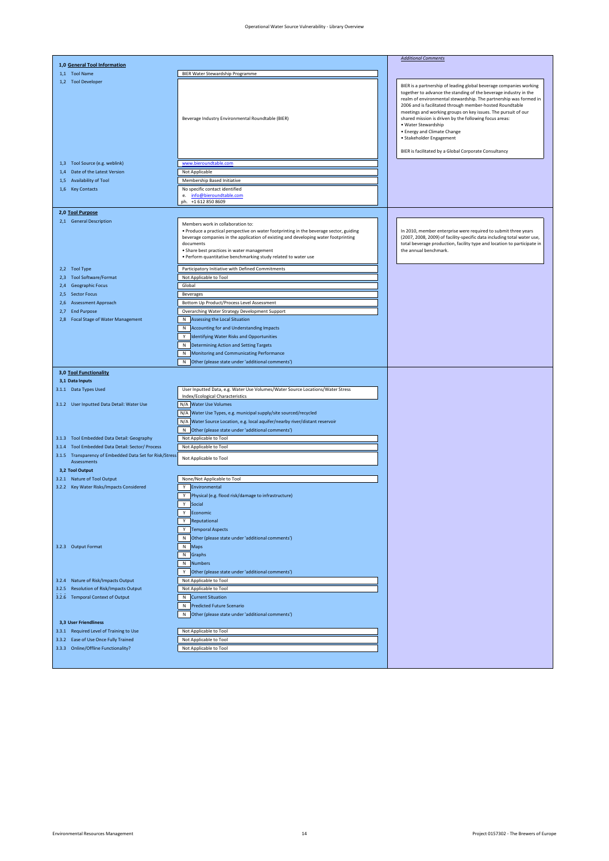|                                                                               |                                                                                                                                                                                                                                                                                                                                                  | <b>Additional Comments</b>                                                                                                                                                                                                                                                                                                                                                                                                                                                           |
|-------------------------------------------------------------------------------|--------------------------------------------------------------------------------------------------------------------------------------------------------------------------------------------------------------------------------------------------------------------------------------------------------------------------------------------------|--------------------------------------------------------------------------------------------------------------------------------------------------------------------------------------------------------------------------------------------------------------------------------------------------------------------------------------------------------------------------------------------------------------------------------------------------------------------------------------|
| 1,0 General Tool Information                                                  |                                                                                                                                                                                                                                                                                                                                                  |                                                                                                                                                                                                                                                                                                                                                                                                                                                                                      |
| 1,1 Tool Name                                                                 | BIER Water Stewardship Programme                                                                                                                                                                                                                                                                                                                 |                                                                                                                                                                                                                                                                                                                                                                                                                                                                                      |
| 1,2 Tool Developer                                                            | Beverage Industry Environmental Roundtable (BIER)                                                                                                                                                                                                                                                                                                | BIER is a partnership of leading global beverage companies working<br>together to advance the standing of the beverage industry in the<br>realm of environmental stewardship. The partnership was formed in<br>2006 and is facilitated through member-hosted Roundtable<br>meetings and working groups on key issues. The pursuit of our<br>shared mission is driven by the following focus areas:<br>• Water Stewardship<br>. Energy and Climate Change<br>• Stakeholder Engagement |
|                                                                               |                                                                                                                                                                                                                                                                                                                                                  | BIER is facilitated by a Global Corporate Consultancy                                                                                                                                                                                                                                                                                                                                                                                                                                |
| 1,3 Tool Source (e.g. weblink)                                                | www.bieroundtable.com                                                                                                                                                                                                                                                                                                                            |                                                                                                                                                                                                                                                                                                                                                                                                                                                                                      |
| 1,4 Date of the Latest Version                                                | Not Applicable                                                                                                                                                                                                                                                                                                                                   |                                                                                                                                                                                                                                                                                                                                                                                                                                                                                      |
| 1,5 Availability of Tool                                                      | Membership Based Initiative                                                                                                                                                                                                                                                                                                                      |                                                                                                                                                                                                                                                                                                                                                                                                                                                                                      |
| 1,6 Key Contacts                                                              | No specific contact identified<br>e. info@bieroundtable.com<br>ph. +1 612 850 8609                                                                                                                                                                                                                                                               |                                                                                                                                                                                                                                                                                                                                                                                                                                                                                      |
| 2,0 Tool Purpose                                                              |                                                                                                                                                                                                                                                                                                                                                  |                                                                                                                                                                                                                                                                                                                                                                                                                                                                                      |
| 2,1 General Description                                                       | Members work in collaboration to:<br>. Produce a practical perspective on water footprinting in the beverage sector, guiding<br>beverage companies in the application of existing and developing water footprinting<br>documents<br>· Share best practices in water management<br>. Perform quantitative benchmarking study related to water use | In 2010, member enterprise were required to submit three years<br>(2007, 2008, 2009) of facility-specific data including total water use,<br>total beverage production, facility type and location to participate in<br>the annual benchmark.                                                                                                                                                                                                                                        |
| 2,2 Tool Type                                                                 | Participatory Initiative with Defined Commitments                                                                                                                                                                                                                                                                                                |                                                                                                                                                                                                                                                                                                                                                                                                                                                                                      |
| 2,3 Tool Software/Format                                                      | Not Applicable to Tool                                                                                                                                                                                                                                                                                                                           |                                                                                                                                                                                                                                                                                                                                                                                                                                                                                      |
| 2,4 Geographic Focus                                                          | Global                                                                                                                                                                                                                                                                                                                                           |                                                                                                                                                                                                                                                                                                                                                                                                                                                                                      |
| 2,5 Sector Focus                                                              | <b>Beverages</b>                                                                                                                                                                                                                                                                                                                                 |                                                                                                                                                                                                                                                                                                                                                                                                                                                                                      |
| 2,6 Assessment Approach                                                       | Bottom Up Product/Process Level Assessment                                                                                                                                                                                                                                                                                                       |                                                                                                                                                                                                                                                                                                                                                                                                                                                                                      |
| 2,7 End Purpose<br>2,8 Focal Stage of Water Management                        | Overarching Water Strategy Development Support<br>N Assessing the Local Situation                                                                                                                                                                                                                                                                |                                                                                                                                                                                                                                                                                                                                                                                                                                                                                      |
|                                                                               | N Accounting for and Understanding Impacts<br>Y Identifying Water Risks and Opportunities<br>N Determining Action and Setting Targets<br>N Monitoring and Communicating Performance<br>N Other (please state under 'additional comments')                                                                                                        |                                                                                                                                                                                                                                                                                                                                                                                                                                                                                      |
| 3,0 Tool Functionality<br>3,1 Data Inputs                                     |                                                                                                                                                                                                                                                                                                                                                  |                                                                                                                                                                                                                                                                                                                                                                                                                                                                                      |
| 3.1.1 Data Types Used                                                         | User Inputted Data, e.g. Water Use Volumes/Water Source Locations/Water Stress                                                                                                                                                                                                                                                                   |                                                                                                                                                                                                                                                                                                                                                                                                                                                                                      |
| 3.1.2 User Inputted Data Detail: Water Use                                    | Index/Ecological Characteristics<br>N/A Water Use Volumes                                                                                                                                                                                                                                                                                        |                                                                                                                                                                                                                                                                                                                                                                                                                                                                                      |
|                                                                               | N/A Water Use Types, e.g. municipal supply/site sourced/recycled                                                                                                                                                                                                                                                                                 |                                                                                                                                                                                                                                                                                                                                                                                                                                                                                      |
|                                                                               | N/A Water Source Location, e.g. local aquifer/nearby river/distant reservoir                                                                                                                                                                                                                                                                     |                                                                                                                                                                                                                                                                                                                                                                                                                                                                                      |
|                                                                               | N Other (please state under 'additional comments')                                                                                                                                                                                                                                                                                               |                                                                                                                                                                                                                                                                                                                                                                                                                                                                                      |
| 3.1.3 Tool Embedded Data Detail: Geography                                    | Not Applicable to Tool                                                                                                                                                                                                                                                                                                                           |                                                                                                                                                                                                                                                                                                                                                                                                                                                                                      |
| 3.1.4 Tool Embedded Data Detail: Sector/ Process                              | Not Applicable to Tool                                                                                                                                                                                                                                                                                                                           |                                                                                                                                                                                                                                                                                                                                                                                                                                                                                      |
| 3.1.5 Transparency of Embedded Data Set for Risk/Stress<br><b>Assessments</b> | Not Applicable to Tool                                                                                                                                                                                                                                                                                                                           |                                                                                                                                                                                                                                                                                                                                                                                                                                                                                      |
| 3,2 Tool Output                                                               |                                                                                                                                                                                                                                                                                                                                                  |                                                                                                                                                                                                                                                                                                                                                                                                                                                                                      |
| 3.2.1 Nature of Tool Output                                                   | None/Not Applicable to Tool                                                                                                                                                                                                                                                                                                                      |                                                                                                                                                                                                                                                                                                                                                                                                                                                                                      |
| 3.2.2 Key Water Risks/Impacts Considered                                      | Y Environmental                                                                                                                                                                                                                                                                                                                                  |                                                                                                                                                                                                                                                                                                                                                                                                                                                                                      |
|                                                                               | Y Physical (e.g. flood risk/damage to infrastructure)                                                                                                                                                                                                                                                                                            |                                                                                                                                                                                                                                                                                                                                                                                                                                                                                      |
|                                                                               | Y Social                                                                                                                                                                                                                                                                                                                                         |                                                                                                                                                                                                                                                                                                                                                                                                                                                                                      |
|                                                                               | Y Economic<br>Y Reputational                                                                                                                                                                                                                                                                                                                     |                                                                                                                                                                                                                                                                                                                                                                                                                                                                                      |
|                                                                               | Y Temporal Aspects                                                                                                                                                                                                                                                                                                                               |                                                                                                                                                                                                                                                                                                                                                                                                                                                                                      |
|                                                                               | N Other (please state under 'additional comments')                                                                                                                                                                                                                                                                                               |                                                                                                                                                                                                                                                                                                                                                                                                                                                                                      |
| 3.2.3 Output Format                                                           | N Maps                                                                                                                                                                                                                                                                                                                                           |                                                                                                                                                                                                                                                                                                                                                                                                                                                                                      |
|                                                                               | N Graphs                                                                                                                                                                                                                                                                                                                                         |                                                                                                                                                                                                                                                                                                                                                                                                                                                                                      |
|                                                                               | N Numbers                                                                                                                                                                                                                                                                                                                                        |                                                                                                                                                                                                                                                                                                                                                                                                                                                                                      |
|                                                                               | Y Other (please state under 'additional comments')                                                                                                                                                                                                                                                                                               |                                                                                                                                                                                                                                                                                                                                                                                                                                                                                      |
| 3.2.4 Nature of Risk/Impacts Output                                           | Not Applicable to Tool                                                                                                                                                                                                                                                                                                                           |                                                                                                                                                                                                                                                                                                                                                                                                                                                                                      |
| 3.2.5 Resolution of Risk/Impacts Output                                       | Not Applicable to Tool                                                                                                                                                                                                                                                                                                                           |                                                                                                                                                                                                                                                                                                                                                                                                                                                                                      |
| 3.2.6 Temporal Context of Output                                              | N Current Situation                                                                                                                                                                                                                                                                                                                              |                                                                                                                                                                                                                                                                                                                                                                                                                                                                                      |
|                                                                               | N Predicted Future Scenario<br>N Other (please state under 'additional comments')                                                                                                                                                                                                                                                                |                                                                                                                                                                                                                                                                                                                                                                                                                                                                                      |
| 3,3 User Friendliness                                                         |                                                                                                                                                                                                                                                                                                                                                  |                                                                                                                                                                                                                                                                                                                                                                                                                                                                                      |
| 3.3.1 Required Level of Training to Use                                       | Not Applicable to Tool                                                                                                                                                                                                                                                                                                                           |                                                                                                                                                                                                                                                                                                                                                                                                                                                                                      |
| 3.3.2 Ease of Use Once Fully Trained                                          | Not Applicable to Tool                                                                                                                                                                                                                                                                                                                           |                                                                                                                                                                                                                                                                                                                                                                                                                                                                                      |
| 3.3.3 Online/Offline Functionality?                                           | Not Applicable to Tool                                                                                                                                                                                                                                                                                                                           |                                                                                                                                                                                                                                                                                                                                                                                                                                                                                      |
|                                                                               |                                                                                                                                                                                                                                                                                                                                                  |                                                                                                                                                                                                                                                                                                                                                                                                                                                                                      |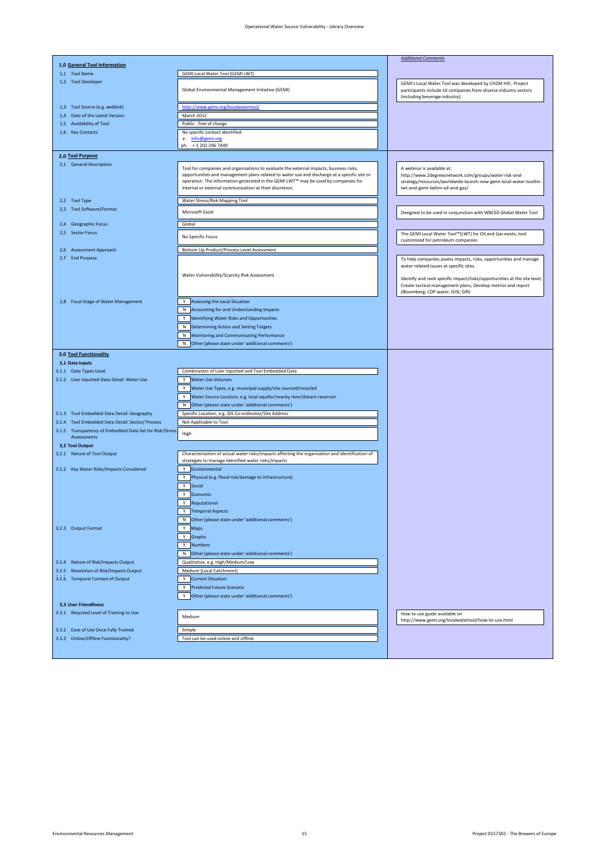| 1,0 General Tool Information                            |                                                                                                                                                                                                                                                                                                                                        | <b>Additional Comments</b>                                                                                                                                                                 |
|---------------------------------------------------------|----------------------------------------------------------------------------------------------------------------------------------------------------------------------------------------------------------------------------------------------------------------------------------------------------------------------------------------|--------------------------------------------------------------------------------------------------------------------------------------------------------------------------------------------|
|                                                         |                                                                                                                                                                                                                                                                                                                                        |                                                                                                                                                                                            |
| 1,1 Tool Name                                           | GEMI Local Water Tool (GEMI LWT)                                                                                                                                                                                                                                                                                                       |                                                                                                                                                                                            |
| 1,2 Tool Developer                                      | Global Environmental Management Initiative (GEMI)                                                                                                                                                                                                                                                                                      | GEMI's Local Water Tool was developed by CH2M Hill ; Project<br>participants include 16 companies from diverse industry sectors<br>(including beverage industry).                          |
| 1,3 Tool Source (e.g. weblink)                          | http://www.gemi.org/localwatertool/                                                                                                                                                                                                                                                                                                    |                                                                                                                                                                                            |
| 1,4 Date of the Latest Version                          | March 2012                                                                                                                                                                                                                                                                                                                             |                                                                                                                                                                                            |
| 1,5 Availability of Tool                                |                                                                                                                                                                                                                                                                                                                                        |                                                                                                                                                                                            |
|                                                         | Public - free of charge                                                                                                                                                                                                                                                                                                                |                                                                                                                                                                                            |
| 1,6 Key Contacts                                        | No specific contact identified<br>e. info@gemi.org                                                                                                                                                                                                                                                                                     |                                                                                                                                                                                            |
|                                                         | ph. + 1 202 296 7449                                                                                                                                                                                                                                                                                                                   |                                                                                                                                                                                            |
|                                                         |                                                                                                                                                                                                                                                                                                                                        |                                                                                                                                                                                            |
| 2,0 Tool Purpose                                        |                                                                                                                                                                                                                                                                                                                                        |                                                                                                                                                                                            |
| 2,1 General Description                                 | Tool for companies and organizations to evaluate the external impacts, business risks,<br>opportunities and management plans related to water use and discharge at a specific site or<br>operation. The information generated in the GEMI LWT™ may be used by companies for<br>internal or external communication at their discretion. | A webinar is available at:<br>http://www.2degreesnetwork.com/groups/water-risk-and-<br>strategy/resources/worldwide-launch-new-gemi-local-water-tooltm-<br>lwt-and-gemi-lwttm-oil-and-gas/ |
| 2,2 Tool Type                                           | Water Stress/Risk Mapping Tool                                                                                                                                                                                                                                                                                                         |                                                                                                                                                                                            |
| 2,3 Tool Software/Format                                |                                                                                                                                                                                                                                                                                                                                        |                                                                                                                                                                                            |
|                                                         | Microsoft Excel                                                                                                                                                                                                                                                                                                                        | Designed to be used in conjunction with WBCSD Global Water Tool                                                                                                                            |
| 2,4 Geographic Focus                                    | Global                                                                                                                                                                                                                                                                                                                                 |                                                                                                                                                                                            |
| 2,5 Sector Focus                                        | No Specific Focus                                                                                                                                                                                                                                                                                                                      | The GEMI Local Water Tool <sup>1</sup> <sup>m</sup> (LWT) for Oil and Gas exists; tool<br>customized for petroleum companies                                                               |
| 2,6 Assessment Approach                                 | Bottom Up Product/Process Level Assessment                                                                                                                                                                                                                                                                                             |                                                                                                                                                                                            |
| 2,7 End Purpose                                         |                                                                                                                                                                                                                                                                                                                                        | To help companies assess impacts, risks, opportunities and manage                                                                                                                          |
|                                                         |                                                                                                                                                                                                                                                                                                                                        | water-related issues at specific sites.                                                                                                                                                    |
|                                                         | Water Vulnerability/Scarcity Risk Assessment                                                                                                                                                                                                                                                                                           | Identify and rank specific impact/risks/opportunities at the site level;                                                                                                                   |
|                                                         |                                                                                                                                                                                                                                                                                                                                        | Create tactical management plans; Develop metrics and report<br>(Bloomberg; CDP water; DJSI; GRI)                                                                                          |
|                                                         |                                                                                                                                                                                                                                                                                                                                        |                                                                                                                                                                                            |
| 2,8 Focal Stage of Water Management                     | Y Assessing the Local Situation                                                                                                                                                                                                                                                                                                        |                                                                                                                                                                                            |
|                                                         | N Accounting for and Understanding Impacts                                                                                                                                                                                                                                                                                             |                                                                                                                                                                                            |
|                                                         | Identifying Water Risks and Opportunities<br>Y                                                                                                                                                                                                                                                                                         |                                                                                                                                                                                            |
|                                                         | N Determining Action and Setting Targets                                                                                                                                                                                                                                                                                               |                                                                                                                                                                                            |
|                                                         | N Monitoring and Communicating Performance                                                                                                                                                                                                                                                                                             |                                                                                                                                                                                            |
|                                                         | N Other (please state under 'additional comments')                                                                                                                                                                                                                                                                                     |                                                                                                                                                                                            |
|                                                         |                                                                                                                                                                                                                                                                                                                                        |                                                                                                                                                                                            |
|                                                         |                                                                                                                                                                                                                                                                                                                                        |                                                                                                                                                                                            |
| 3,0 Tool Functionality                                  |                                                                                                                                                                                                                                                                                                                                        |                                                                                                                                                                                            |
| 3,1 Data Inputs                                         |                                                                                                                                                                                                                                                                                                                                        |                                                                                                                                                                                            |
| 3.1.1 Data Types Used                                   | Combination of User Inputted and Tool Embedded Data                                                                                                                                                                                                                                                                                    |                                                                                                                                                                                            |
| 3.1.2 User Inputted Data Detail: Water Use              | Y Water Use Volumes                                                                                                                                                                                                                                                                                                                    |                                                                                                                                                                                            |
|                                                         | Y Water Use Types, e.g. municipal supply/site sourced/recycled                                                                                                                                                                                                                                                                         |                                                                                                                                                                                            |
|                                                         | Y   Water Source Location, e.g. local aquifer/nearby river/distant reservoir                                                                                                                                                                                                                                                           |                                                                                                                                                                                            |
|                                                         | N Other (please state under 'additional comments')                                                                                                                                                                                                                                                                                     |                                                                                                                                                                                            |
|                                                         |                                                                                                                                                                                                                                                                                                                                        |                                                                                                                                                                                            |
| 3.1.3 Tool Embedded Data Detail: Geography              | Specific Location, e.g. GIS Co-ordinates/Site Address                                                                                                                                                                                                                                                                                  |                                                                                                                                                                                            |
| 3.1.4 Tool Embedded Data Detail: Sector/ Process        | Not Applicable to Tool                                                                                                                                                                                                                                                                                                                 |                                                                                                                                                                                            |
| 3.1.5 Transparency of Embedded Data Set for Risk/Stress | High                                                                                                                                                                                                                                                                                                                                   |                                                                                                                                                                                            |
| Assessments                                             |                                                                                                                                                                                                                                                                                                                                        |                                                                                                                                                                                            |
| 3,2 Tool Output                                         |                                                                                                                                                                                                                                                                                                                                        |                                                                                                                                                                                            |
| 3.2.1 Nature of Tool Output                             | Characterisation of actual water risks/impacts affecting the organisation and identification of                                                                                                                                                                                                                                        |                                                                                                                                                                                            |
|                                                         | strategies to manage identified water risks/impacts                                                                                                                                                                                                                                                                                    |                                                                                                                                                                                            |
| 3.2.2 Key Water Risks/Impacts Considered                | Y Environmental                                                                                                                                                                                                                                                                                                                        |                                                                                                                                                                                            |
|                                                         | Y Physical (e.g. flood risk/damage to infrastructure)                                                                                                                                                                                                                                                                                  |                                                                                                                                                                                            |
|                                                         | Y Social                                                                                                                                                                                                                                                                                                                               |                                                                                                                                                                                            |
|                                                         | Y Economic                                                                                                                                                                                                                                                                                                                             |                                                                                                                                                                                            |
|                                                         | Y Reputational                                                                                                                                                                                                                                                                                                                         |                                                                                                                                                                                            |
|                                                         | Y Temporal Aspects                                                                                                                                                                                                                                                                                                                     |                                                                                                                                                                                            |
|                                                         | N Other (please state under 'additional comments')                                                                                                                                                                                                                                                                                     |                                                                                                                                                                                            |
| 3.2.3 Output Format                                     | Y Maps                                                                                                                                                                                                                                                                                                                                 |                                                                                                                                                                                            |
|                                                         |                                                                                                                                                                                                                                                                                                                                        |                                                                                                                                                                                            |
|                                                         | Y Graphs                                                                                                                                                                                                                                                                                                                               |                                                                                                                                                                                            |
|                                                         | Y Numbers                                                                                                                                                                                                                                                                                                                              |                                                                                                                                                                                            |
|                                                         | N Other (please state under 'additional comments')                                                                                                                                                                                                                                                                                     |                                                                                                                                                                                            |
| 3.2.4 Nature of Risk/Impacts Output                     | Qualitative, e.g. High/Medium/Low                                                                                                                                                                                                                                                                                                      |                                                                                                                                                                                            |
| 3.2.5 Resolution of Risk/Impacts Output                 | Medium (Local Catchment)                                                                                                                                                                                                                                                                                                               |                                                                                                                                                                                            |
| 3.2.6 Temporal Context of Output                        | Y Current Situation                                                                                                                                                                                                                                                                                                                    |                                                                                                                                                                                            |
|                                                         | Y Predicted Future Scenario                                                                                                                                                                                                                                                                                                            |                                                                                                                                                                                            |
|                                                         |                                                                                                                                                                                                                                                                                                                                        |                                                                                                                                                                                            |
|                                                         | Y Other (please state under 'additional comments')                                                                                                                                                                                                                                                                                     |                                                                                                                                                                                            |
| 3,3 User Friendliness                                   |                                                                                                                                                                                                                                                                                                                                        |                                                                                                                                                                                            |
| 3.3.1 Required Level of Training to Use                 | Medium                                                                                                                                                                                                                                                                                                                                 | How to use guide available on                                                                                                                                                              |
|                                                         |                                                                                                                                                                                                                                                                                                                                        | http://www.gemi.org/localwatertool/how-to-use.html                                                                                                                                         |
| 3.3.2 Ease of Use Once Fully Trained                    | Simple                                                                                                                                                                                                                                                                                                                                 |                                                                                                                                                                                            |
| 3.3.3 Online/Offline Functionality?                     | Tool can be used online and offline                                                                                                                                                                                                                                                                                                    |                                                                                                                                                                                            |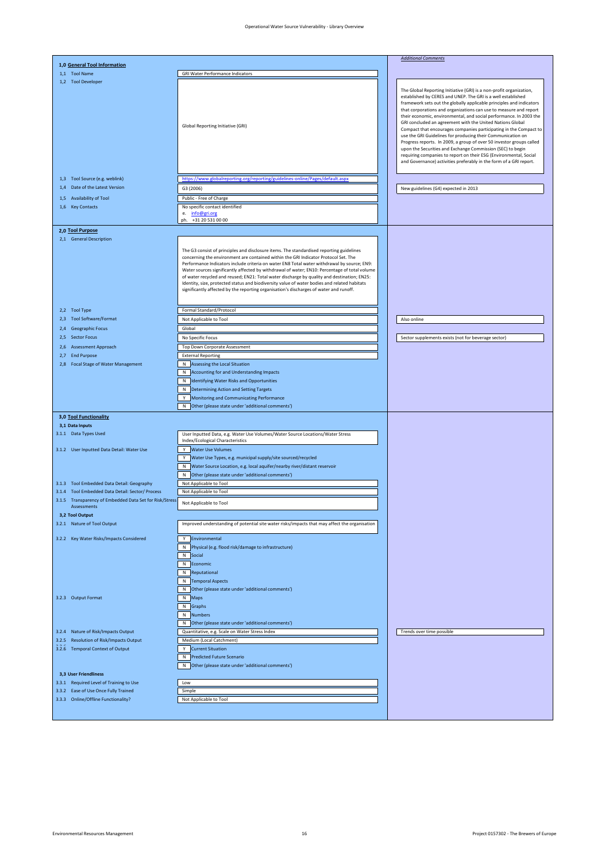|                                                                             |                                                                                                                                                                                                                                                                                                                                                                                                                                                                                                                                                                                                                                                                          | <b>Additional Comments</b>                                                                                                                                                                                                                                                                                                                                                                                                                                                                                                                                                                                                                                                                                                                                                                                                               |
|-----------------------------------------------------------------------------|--------------------------------------------------------------------------------------------------------------------------------------------------------------------------------------------------------------------------------------------------------------------------------------------------------------------------------------------------------------------------------------------------------------------------------------------------------------------------------------------------------------------------------------------------------------------------------------------------------------------------------------------------------------------------|------------------------------------------------------------------------------------------------------------------------------------------------------------------------------------------------------------------------------------------------------------------------------------------------------------------------------------------------------------------------------------------------------------------------------------------------------------------------------------------------------------------------------------------------------------------------------------------------------------------------------------------------------------------------------------------------------------------------------------------------------------------------------------------------------------------------------------------|
| 1,0 General Tool Information                                                |                                                                                                                                                                                                                                                                                                                                                                                                                                                                                                                                                                                                                                                                          |                                                                                                                                                                                                                                                                                                                                                                                                                                                                                                                                                                                                                                                                                                                                                                                                                                          |
| 1,1 Tool Name                                                               | GRI Water Performance Indicators                                                                                                                                                                                                                                                                                                                                                                                                                                                                                                                                                                                                                                         |                                                                                                                                                                                                                                                                                                                                                                                                                                                                                                                                                                                                                                                                                                                                                                                                                                          |
| 1,2 Tool Developer                                                          | Global Reporting Initiative (GRI)                                                                                                                                                                                                                                                                                                                                                                                                                                                                                                                                                                                                                                        | The Global Reporting Initiative (GRI) is a non-profit organization,<br>established by CERES and UNEP. The GRI is a well established<br>framework sets out the globally applicable principles and indicators<br>that corporations and organizations can use to measure and report<br>their economic, environmental, and social performance. In 2003 the<br>GRI concluded an agreement with the United Nations Global<br>Compact that encourages companies participating in the Compact to<br>use the GRI Guidelines for producing their Communication on<br>Progress reports. In 2009, a group of over 50 investor groups called<br>upon the Securities and Exchange Commission (SEC) to begin<br>requiring companies to report on their ESG (Environmental, Social<br>and Governance) activities preferably in the form of a GRI report. |
|                                                                             |                                                                                                                                                                                                                                                                                                                                                                                                                                                                                                                                                                                                                                                                          |                                                                                                                                                                                                                                                                                                                                                                                                                                                                                                                                                                                                                                                                                                                                                                                                                                          |
| 1,3 Tool Source (e.g. weblink)<br>1,4 Date of the Latest Version            | https://www.globalreporting.org/reporting/guidelines-online/Pages/default.aspx                                                                                                                                                                                                                                                                                                                                                                                                                                                                                                                                                                                           |                                                                                                                                                                                                                                                                                                                                                                                                                                                                                                                                                                                                                                                                                                                                                                                                                                          |
| 1,5 Availability of Tool                                                    | G3 (2006)<br>Public - Free of Charge                                                                                                                                                                                                                                                                                                                                                                                                                                                                                                                                                                                                                                     | New guidelines (G4) expected in 2013                                                                                                                                                                                                                                                                                                                                                                                                                                                                                                                                                                                                                                                                                                                                                                                                     |
| 1,6 Key Contacts                                                            | No specific contact identified<br>e. info@gri.org<br>ph. +31 20 531 00 00                                                                                                                                                                                                                                                                                                                                                                                                                                                                                                                                                                                                |                                                                                                                                                                                                                                                                                                                                                                                                                                                                                                                                                                                                                                                                                                                                                                                                                                          |
| 2,0 Tool Purpose                                                            |                                                                                                                                                                                                                                                                                                                                                                                                                                                                                                                                                                                                                                                                          |                                                                                                                                                                                                                                                                                                                                                                                                                                                                                                                                                                                                                                                                                                                                                                                                                                          |
| 2,1 General Description                                                     | The G3 consist of principles and disclosure items. The standardised reporting guidelines<br>concerning the environment are contained within the GRI Indicator Protocol Set. The<br>Performance Indicators include criteria on water EN8 Total water withdrawal by source; EN9:<br>Water sources significantly affected by withdrawal of water; EN10: Percentage of total volume<br>of water recycled and reused; EN21: Total water discharge by quality and destination; EN25:<br>Identity, size, protected status and biodiversity value of water bodies and related habitats<br>significantly affected by the reporting organisation's discharges of water and runoff. |                                                                                                                                                                                                                                                                                                                                                                                                                                                                                                                                                                                                                                                                                                                                                                                                                                          |
| 2,2 Tool Type<br>2,3 Tool Software/Format                                   | Formal Standard/Protocol<br>Not Applicable to Tool                                                                                                                                                                                                                                                                                                                                                                                                                                                                                                                                                                                                                       | Also online                                                                                                                                                                                                                                                                                                                                                                                                                                                                                                                                                                                                                                                                                                                                                                                                                              |
| 2,4 Geographic Focus                                                        | Global                                                                                                                                                                                                                                                                                                                                                                                                                                                                                                                                                                                                                                                                   |                                                                                                                                                                                                                                                                                                                                                                                                                                                                                                                                                                                                                                                                                                                                                                                                                                          |
| 2,5 Sector Focus                                                            | No Specific Focus                                                                                                                                                                                                                                                                                                                                                                                                                                                                                                                                                                                                                                                        | Sector supplements exists (not for beverage sector)                                                                                                                                                                                                                                                                                                                                                                                                                                                                                                                                                                                                                                                                                                                                                                                      |
| 2,6 Assessment Approach                                                     | Top Down Corporate Assessment                                                                                                                                                                                                                                                                                                                                                                                                                                                                                                                                                                                                                                            |                                                                                                                                                                                                                                                                                                                                                                                                                                                                                                                                                                                                                                                                                                                                                                                                                                          |
| 2,7 End Purpose                                                             | <b>External Reporting</b>                                                                                                                                                                                                                                                                                                                                                                                                                                                                                                                                                                                                                                                |                                                                                                                                                                                                                                                                                                                                                                                                                                                                                                                                                                                                                                                                                                                                                                                                                                          |
| 2,8 Focal Stage of Water Management                                         | N Assessing the Local Situation<br>N Accounting for and Understanding Impacts                                                                                                                                                                                                                                                                                                                                                                                                                                                                                                                                                                                            |                                                                                                                                                                                                                                                                                                                                                                                                                                                                                                                                                                                                                                                                                                                                                                                                                                          |
|                                                                             | N Identifying Water Risks and Opportunities<br>N Determining Action and Setting Targets<br>Y Monitoring and Communicating Performance<br>N Other (please state under 'additional comments')                                                                                                                                                                                                                                                                                                                                                                                                                                                                              |                                                                                                                                                                                                                                                                                                                                                                                                                                                                                                                                                                                                                                                                                                                                                                                                                                          |
| 3,0 Tool Functionality                                                      |                                                                                                                                                                                                                                                                                                                                                                                                                                                                                                                                                                                                                                                                          |                                                                                                                                                                                                                                                                                                                                                                                                                                                                                                                                                                                                                                                                                                                                                                                                                                          |
| 3,1 Data Inputs                                                             |                                                                                                                                                                                                                                                                                                                                                                                                                                                                                                                                                                                                                                                                          |                                                                                                                                                                                                                                                                                                                                                                                                                                                                                                                                                                                                                                                                                                                                                                                                                                          |
| 3.1.1 Data Types Used                                                       | User Inputted Data, e.g. Water Use Volumes/Water Source Locations/Water Stress<br>Index/Ecological Characteristics                                                                                                                                                                                                                                                                                                                                                                                                                                                                                                                                                       |                                                                                                                                                                                                                                                                                                                                                                                                                                                                                                                                                                                                                                                                                                                                                                                                                                          |
| 3.1.2 User Inputted Data Detail: Water Use                                  | Y Water Use Volumes<br>Y   Water Use Types, e.g. municipal supply/site sourced/recycled<br>N Water Source Location, e.g. local aquifer/nearby river/distant reservoir<br>N Other (please state under 'additional comments')                                                                                                                                                                                                                                                                                                                                                                                                                                              |                                                                                                                                                                                                                                                                                                                                                                                                                                                                                                                                                                                                                                                                                                                                                                                                                                          |
| 3.1.3 Tool Embedded Data Detail: Geography                                  | Not Applicable to Tool                                                                                                                                                                                                                                                                                                                                                                                                                                                                                                                                                                                                                                                   |                                                                                                                                                                                                                                                                                                                                                                                                                                                                                                                                                                                                                                                                                                                                                                                                                                          |
| 3.1.4 Tool Embedded Data Detail: Sector/ Process                            | Not Applicable to Tool                                                                                                                                                                                                                                                                                                                                                                                                                                                                                                                                                                                                                                                   |                                                                                                                                                                                                                                                                                                                                                                                                                                                                                                                                                                                                                                                                                                                                                                                                                                          |
| 3.1.5 Transparency of Embedded Data Set for Risk/Stress<br>Assessments      | Not Applicable to Tool                                                                                                                                                                                                                                                                                                                                                                                                                                                                                                                                                                                                                                                   |                                                                                                                                                                                                                                                                                                                                                                                                                                                                                                                                                                                                                                                                                                                                                                                                                                          |
| 3,2 Tool Output                                                             |                                                                                                                                                                                                                                                                                                                                                                                                                                                                                                                                                                                                                                                                          |                                                                                                                                                                                                                                                                                                                                                                                                                                                                                                                                                                                                                                                                                                                                                                                                                                          |
| 3.2.1 Nature of Tool Output                                                 | Improved understanding of potential site water risks/impacts that may affect the organisation                                                                                                                                                                                                                                                                                                                                                                                                                                                                                                                                                                            |                                                                                                                                                                                                                                                                                                                                                                                                                                                                                                                                                                                                                                                                                                                                                                                                                                          |
| 3.2.2 Key Water Risks/Impacts Considered                                    | Y Environmental<br>N Physical (e.g. flood risk/damage to infrastructure)<br>N Social<br>N Economic<br>N Reputational<br>N Temporal Aspects                                                                                                                                                                                                                                                                                                                                                                                                                                                                                                                               |                                                                                                                                                                                                                                                                                                                                                                                                                                                                                                                                                                                                                                                                                                                                                                                                                                          |
| 3.2.3 Output Format                                                         | N Other (please state under 'additional comments')<br>N Maps<br>N Graphs<br>N Numbers<br>N Other (please state under 'additional comments')                                                                                                                                                                                                                                                                                                                                                                                                                                                                                                                              |                                                                                                                                                                                                                                                                                                                                                                                                                                                                                                                                                                                                                                                                                                                                                                                                                                          |
| 3.2.4 Nature of Risk/Impacts Output                                         | Quantitative, e.g. Scale on Water Stress Index                                                                                                                                                                                                                                                                                                                                                                                                                                                                                                                                                                                                                           | Trends over time possible                                                                                                                                                                                                                                                                                                                                                                                                                                                                                                                                                                                                                                                                                                                                                                                                                |
| 3.2.5 Resolution of Risk/Impacts Output                                     | Medium (Local Catchment)                                                                                                                                                                                                                                                                                                                                                                                                                                                                                                                                                                                                                                                 |                                                                                                                                                                                                                                                                                                                                                                                                                                                                                                                                                                                                                                                                                                                                                                                                                                          |
| 3.2.6 Temporal Context of Output                                            | Y Current Situation<br>N Predicted Future Scenario<br>N Other (please state under 'additional comments')                                                                                                                                                                                                                                                                                                                                                                                                                                                                                                                                                                 |                                                                                                                                                                                                                                                                                                                                                                                                                                                                                                                                                                                                                                                                                                                                                                                                                                          |
| 3,3 User Friendliness                                                       |                                                                                                                                                                                                                                                                                                                                                                                                                                                                                                                                                                                                                                                                          |                                                                                                                                                                                                                                                                                                                                                                                                                                                                                                                                                                                                                                                                                                                                                                                                                                          |
| 3.3.1 Required Level of Training to Use                                     | Low                                                                                                                                                                                                                                                                                                                                                                                                                                                                                                                                                                                                                                                                      |                                                                                                                                                                                                                                                                                                                                                                                                                                                                                                                                                                                                                                                                                                                                                                                                                                          |
| 3.3.2 Ease of Use Once Fully Trained<br>3.3.3 Online/Offline Functionality? | Simple<br>Not Applicable to Tool                                                                                                                                                                                                                                                                                                                                                                                                                                                                                                                                                                                                                                         |                                                                                                                                                                                                                                                                                                                                                                                                                                                                                                                                                                                                                                                                                                                                                                                                                                          |
|                                                                             |                                                                                                                                                                                                                                                                                                                                                                                                                                                                                                                                                                                                                                                                          |                                                                                                                                                                                                                                                                                                                                                                                                                                                                                                                                                                                                                                                                                                                                                                                                                                          |
|                                                                             |                                                                                                                                                                                                                                                                                                                                                                                                                                                                                                                                                                                                                                                                          |                                                                                                                                                                                                                                                                                                                                                                                                                                                                                                                                                                                                                                                                                                                                                                                                                                          |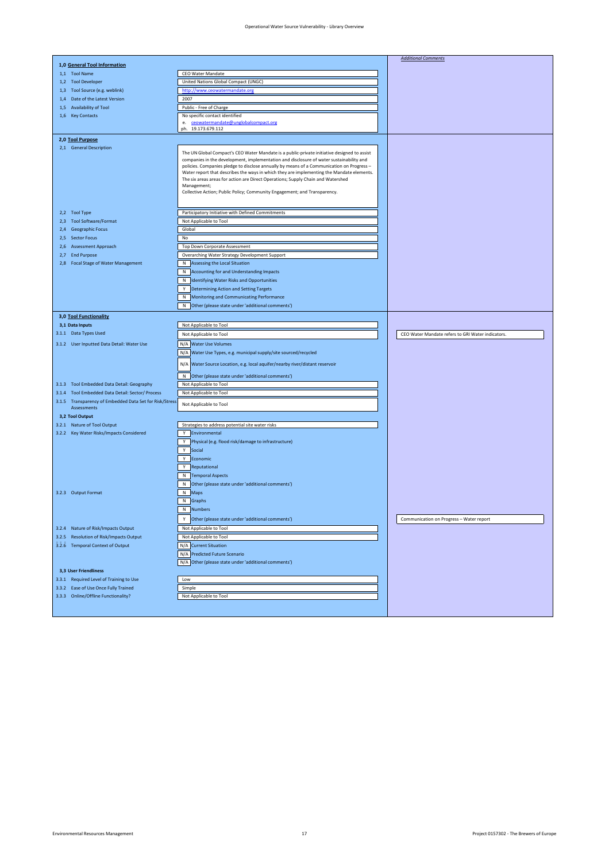| 1,0 General Tool Information                            |                                                                                                                                                                                      | <b>Additional Comments</b>                        |  |  |  |  |  |  |  |  |  |
|---------------------------------------------------------|--------------------------------------------------------------------------------------------------------------------------------------------------------------------------------------|---------------------------------------------------|--|--|--|--|--|--|--|--|--|
| 1,1 Tool Name                                           | CEO Water Mandate                                                                                                                                                                    |                                                   |  |  |  |  |  |  |  |  |  |
| 1,2 Tool Developer                                      | United Nations Global Compact (UNGC)                                                                                                                                                 |                                                   |  |  |  |  |  |  |  |  |  |
| 1,3 Tool Source (e.g. weblink)                          | http://www.ceowatermandate.org                                                                                                                                                       |                                                   |  |  |  |  |  |  |  |  |  |
| 1,4 Date of the Latest Version                          | 2007                                                                                                                                                                                 |                                                   |  |  |  |  |  |  |  |  |  |
| 1,5 Availability of Tool                                | Public - Free of Charge                                                                                                                                                              |                                                   |  |  |  |  |  |  |  |  |  |
| 1,6 Key Contacts                                        | No specific contact identified                                                                                                                                                       |                                                   |  |  |  |  |  |  |  |  |  |
|                                                         | e. ceowatermandate@unglobalcompact.org                                                                                                                                               |                                                   |  |  |  |  |  |  |  |  |  |
|                                                         | ph. 19.173.679.112                                                                                                                                                                   |                                                   |  |  |  |  |  |  |  |  |  |
| 2,0 Tool Purpose                                        |                                                                                                                                                                                      |                                                   |  |  |  |  |  |  |  |  |  |
| 2,1 General Description                                 |                                                                                                                                                                                      |                                                   |  |  |  |  |  |  |  |  |  |
|                                                         | The UN Global Compact's CEO Water Mandate is a public-private initiative designed to assist                                                                                          |                                                   |  |  |  |  |  |  |  |  |  |
|                                                         | companies in the development, implementation and disclosure of water sustainability and<br>policies. Companies pledge to disclose annually by means of a Communication on Progress - |                                                   |  |  |  |  |  |  |  |  |  |
|                                                         | Water report that describes the ways in which they are implementing the Mandate elements.                                                                                            |                                                   |  |  |  |  |  |  |  |  |  |
|                                                         | The six areas areas for action are Direct Operations; Supply Chain and Watershed                                                                                                     |                                                   |  |  |  |  |  |  |  |  |  |
|                                                         | Management;<br>Collective Action; Public Policy; Community Engagement; and Transparency.                                                                                             |                                                   |  |  |  |  |  |  |  |  |  |
|                                                         |                                                                                                                                                                                      |                                                   |  |  |  |  |  |  |  |  |  |
|                                                         |                                                                                                                                                                                      |                                                   |  |  |  |  |  |  |  |  |  |
| 2,2 Tool Type                                           | Participatory Initiative with Defined Commitments                                                                                                                                    |                                                   |  |  |  |  |  |  |  |  |  |
| 2,3 Tool Software/Format                                | Not Applicable to Tool                                                                                                                                                               |                                                   |  |  |  |  |  |  |  |  |  |
| 2,4 Geographic Focus                                    | Global                                                                                                                                                                               |                                                   |  |  |  |  |  |  |  |  |  |
| 2,5 Sector Focus                                        | No                                                                                                                                                                                   |                                                   |  |  |  |  |  |  |  |  |  |
| 2,6 Assessment Approach                                 | Top Down Corporate Assessment                                                                                                                                                        |                                                   |  |  |  |  |  |  |  |  |  |
| 2,7 End Purpose                                         | Overarching Water Strategy Development Support                                                                                                                                       |                                                   |  |  |  |  |  |  |  |  |  |
| 2,8 Focal Stage of Water Management                     | N Assessing the Local Situation                                                                                                                                                      |                                                   |  |  |  |  |  |  |  |  |  |
|                                                         | N Accounting for and Understanding Impacts                                                                                                                                           |                                                   |  |  |  |  |  |  |  |  |  |
|                                                         | N Identifying Water Risks and Opportunities                                                                                                                                          |                                                   |  |  |  |  |  |  |  |  |  |
|                                                         | Y Determining Action and Setting Targets                                                                                                                                             |                                                   |  |  |  |  |  |  |  |  |  |
|                                                         | N Monitoring and Communicating Performance                                                                                                                                           |                                                   |  |  |  |  |  |  |  |  |  |
|                                                         | N Other (please state under 'additional comments')                                                                                                                                   |                                                   |  |  |  |  |  |  |  |  |  |
| 3,0 Tool Functionality                                  |                                                                                                                                                                                      |                                                   |  |  |  |  |  |  |  |  |  |
| 3,1 Data Inputs                                         | Not Applicable to Tool                                                                                                                                                               |                                                   |  |  |  |  |  |  |  |  |  |
| 3.1.1 Data Types Used                                   | Not Applicable to Tool                                                                                                                                                               | CEO Water Mandate refers to GRI Water indicators. |  |  |  |  |  |  |  |  |  |
| 3.1.2 User Inputted Data Detail: Water Use              | N/A Water Use Volumes                                                                                                                                                                |                                                   |  |  |  |  |  |  |  |  |  |
|                                                         | N/A Water Use Types, e.g. municipal supply/site sourced/recycled                                                                                                                     |                                                   |  |  |  |  |  |  |  |  |  |
|                                                         |                                                                                                                                                                                      |                                                   |  |  |  |  |  |  |  |  |  |
|                                                         | N/A Water Source Location, e.g. local aquifer/nearby river/distant reservoir                                                                                                         |                                                   |  |  |  |  |  |  |  |  |  |
|                                                         | N Other (please state under 'additional comments')                                                                                                                                   |                                                   |  |  |  |  |  |  |  |  |  |
| 3.1.3 Tool Embedded Data Detail: Geography              | Not Applicable to Tool                                                                                                                                                               |                                                   |  |  |  |  |  |  |  |  |  |
| 3.1.4 Tool Embedded Data Detail: Sector/ Process        | Not Applicable to Tool                                                                                                                                                               |                                                   |  |  |  |  |  |  |  |  |  |
| 3.1.5 Transparency of Embedded Data Set for Risk/Stress | Not Applicable to Tool                                                                                                                                                               |                                                   |  |  |  |  |  |  |  |  |  |
| Assessments                                             |                                                                                                                                                                                      |                                                   |  |  |  |  |  |  |  |  |  |
| 3,2 Tool Output                                         |                                                                                                                                                                                      |                                                   |  |  |  |  |  |  |  |  |  |
| 3.2.1 Nature of Tool Output                             | Strategies to address potential site water risks                                                                                                                                     |                                                   |  |  |  |  |  |  |  |  |  |
| 3.2.2 Key Water Risks/Impacts Considered                | Y Environmental                                                                                                                                                                      |                                                   |  |  |  |  |  |  |  |  |  |
|                                                         | Y Physical (e.g. flood risk/damage to infrastructure)                                                                                                                                |                                                   |  |  |  |  |  |  |  |  |  |
|                                                         | Y Social                                                                                                                                                                             |                                                   |  |  |  |  |  |  |  |  |  |
|                                                         | Y Economic                                                                                                                                                                           |                                                   |  |  |  |  |  |  |  |  |  |
|                                                         | Y Reputational                                                                                                                                                                       |                                                   |  |  |  |  |  |  |  |  |  |
|                                                         | N Temporal Aspects                                                                                                                                                                   |                                                   |  |  |  |  |  |  |  |  |  |
|                                                         | N Other (please state under 'additional comments')                                                                                                                                   |                                                   |  |  |  |  |  |  |  |  |  |
| 3.2.3 Output Format                                     | N Maps                                                                                                                                                                               |                                                   |  |  |  |  |  |  |  |  |  |
|                                                         | N Graphs                                                                                                                                                                             |                                                   |  |  |  |  |  |  |  |  |  |
|                                                         | N Numbers                                                                                                                                                                            |                                                   |  |  |  |  |  |  |  |  |  |
|                                                         | Υ<br>Other (please state under 'additional comments')                                                                                                                                | Communication on Progress - Water report          |  |  |  |  |  |  |  |  |  |
| 3.2.4 Nature of Risk/Impacts Output                     | Not Applicable to Tool                                                                                                                                                               |                                                   |  |  |  |  |  |  |  |  |  |
| 3.2.5 Resolution of Risk/Impacts Output                 | Not Applicable to Tool                                                                                                                                                               |                                                   |  |  |  |  |  |  |  |  |  |
| 3.2.6 Temporal Context of Output                        | N/A Current Situation                                                                                                                                                                |                                                   |  |  |  |  |  |  |  |  |  |
|                                                         | N/A Predicted Future Scenario                                                                                                                                                        |                                                   |  |  |  |  |  |  |  |  |  |
|                                                         | N/A Other (please state under 'additional comments')                                                                                                                                 |                                                   |  |  |  |  |  |  |  |  |  |
| 3,3 User Friendliness                                   |                                                                                                                                                                                      |                                                   |  |  |  |  |  |  |  |  |  |
| 3.3.1 Required Level of Training to Use                 | Low                                                                                                                                                                                  |                                                   |  |  |  |  |  |  |  |  |  |
| 3.3.2 Ease of Use Once Fully Trained                    | Simple                                                                                                                                                                               |                                                   |  |  |  |  |  |  |  |  |  |
| 3.3.3 Online/Offline Functionality?                     | Not Applicable to Tool                                                                                                                                                               |                                                   |  |  |  |  |  |  |  |  |  |
|                                                         |                                                                                                                                                                                      |                                                   |  |  |  |  |  |  |  |  |  |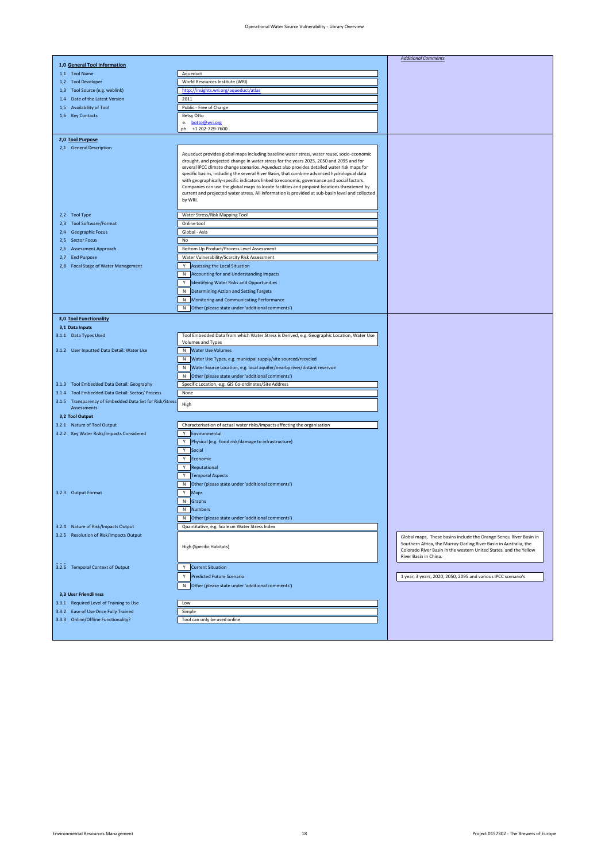|                                                                                |                                                                                                                                                                                           | <b>Additional Comments</b>                                                                                                             |  |  |  |  |  |  |  |
|--------------------------------------------------------------------------------|-------------------------------------------------------------------------------------------------------------------------------------------------------------------------------------------|----------------------------------------------------------------------------------------------------------------------------------------|--|--|--|--|--|--|--|
| 1,0 General Tool Information                                                   |                                                                                                                                                                                           |                                                                                                                                        |  |  |  |  |  |  |  |
| 1,1 Tool Name                                                                  | Aqueduct                                                                                                                                                                                  |                                                                                                                                        |  |  |  |  |  |  |  |
| 1,2 Tool Developer                                                             | World Resources Institute (WRI)                                                                                                                                                           |                                                                                                                                        |  |  |  |  |  |  |  |
| 1,3 Tool Source (e.g. weblink)                                                 | http://insights.wri.org/aqueduct/atlas                                                                                                                                                    |                                                                                                                                        |  |  |  |  |  |  |  |
| 1,4 Date of the Latest Version                                                 | 2011                                                                                                                                                                                      |                                                                                                                                        |  |  |  |  |  |  |  |
| 1,5 Availability of Tool                                                       | Public - Free of Charge                                                                                                                                                                   |                                                                                                                                        |  |  |  |  |  |  |  |
| 1,6 Key Contacts                                                               | Betsy Otto                                                                                                                                                                                |                                                                                                                                        |  |  |  |  |  |  |  |
|                                                                                | e. botto@wri.org                                                                                                                                                                          |                                                                                                                                        |  |  |  |  |  |  |  |
|                                                                                | ph. +1 202-729-7600                                                                                                                                                                       |                                                                                                                                        |  |  |  |  |  |  |  |
| 2,0 Tool Purpose                                                               |                                                                                                                                                                                           |                                                                                                                                        |  |  |  |  |  |  |  |
| 2,1 General Description                                                        |                                                                                                                                                                                           |                                                                                                                                        |  |  |  |  |  |  |  |
|                                                                                | Aqueduct provides global maps including baseline water stress, water reuse, socio-economic<br>drought, and projected change in water stress for the years 2025, 2050 and 2095 and for     |                                                                                                                                        |  |  |  |  |  |  |  |
|                                                                                | several IPCC climate change scenarios. Aqueduct also provides detailed water risk maps for                                                                                                |                                                                                                                                        |  |  |  |  |  |  |  |
|                                                                                | specific basins, including the several River Basin, that combine advanced hydrological data                                                                                               |                                                                                                                                        |  |  |  |  |  |  |  |
|                                                                                | with geographically-specific indicators linked to economic, governance and social factors.<br>Companies can use the global maps to locate facilities and pinpoint locations threatened by |                                                                                                                                        |  |  |  |  |  |  |  |
|                                                                                | current and projected water stress. All information is provided at sub-basin level and collected                                                                                          |                                                                                                                                        |  |  |  |  |  |  |  |
|                                                                                | by WRI.                                                                                                                                                                                   |                                                                                                                                        |  |  |  |  |  |  |  |
|                                                                                |                                                                                                                                                                                           |                                                                                                                                        |  |  |  |  |  |  |  |
| 2,2 Tool Type                                                                  | Water Stress/Risk Mapping Tool                                                                                                                                                            |                                                                                                                                        |  |  |  |  |  |  |  |
| 2,3 Tool Software/Format                                                       | Online tool                                                                                                                                                                               |                                                                                                                                        |  |  |  |  |  |  |  |
| 2,4 Geographic Focus                                                           | Global - Asia                                                                                                                                                                             |                                                                                                                                        |  |  |  |  |  |  |  |
| 2,5 Sector Focus                                                               | No                                                                                                                                                                                        |                                                                                                                                        |  |  |  |  |  |  |  |
| 2,6 Assessment Approach                                                        | Bottom Up Product/Process Level Assessment                                                                                                                                                |                                                                                                                                        |  |  |  |  |  |  |  |
| 2,7 End Purpose                                                                | Water Vulnerability/Scarcity Risk Assessment                                                                                                                                              |                                                                                                                                        |  |  |  |  |  |  |  |
| 2,8 Focal Stage of Water Management                                            | Y Assessing the Local Situation                                                                                                                                                           |                                                                                                                                        |  |  |  |  |  |  |  |
|                                                                                | N Accounting for and Understanding Impacts                                                                                                                                                |                                                                                                                                        |  |  |  |  |  |  |  |
|                                                                                | Y Identifying Water Risks and Opportunities                                                                                                                                               |                                                                                                                                        |  |  |  |  |  |  |  |
|                                                                                | N Determining Action and Setting Targets                                                                                                                                                  |                                                                                                                                        |  |  |  |  |  |  |  |
|                                                                                | N<br>Monitoring and Communicating Performance                                                                                                                                             |                                                                                                                                        |  |  |  |  |  |  |  |
|                                                                                | N Other (please state under 'additional comments')                                                                                                                                        |                                                                                                                                        |  |  |  |  |  |  |  |
| 3,0 Tool Functionality                                                         |                                                                                                                                                                                           |                                                                                                                                        |  |  |  |  |  |  |  |
| 3,1 Data Inputs                                                                |                                                                                                                                                                                           |                                                                                                                                        |  |  |  |  |  |  |  |
| 3.1.1 Data Types Used                                                          | Tool Embedded Data from which Water Stress is Derived, e.g. Geographic Location, Water Use                                                                                                |                                                                                                                                        |  |  |  |  |  |  |  |
|                                                                                | Volumes and Types                                                                                                                                                                         |                                                                                                                                        |  |  |  |  |  |  |  |
| 3.1.2 User Inputted Data Detail: Water Use                                     | N Water Use Volumes                                                                                                                                                                       |                                                                                                                                        |  |  |  |  |  |  |  |
|                                                                                | N Water Use Types, e.g. municipal supply/site sourced/recycled                                                                                                                            |                                                                                                                                        |  |  |  |  |  |  |  |
|                                                                                | N Water Source Location, e.g. local aquifer/nearby river/distant reservoir                                                                                                                |                                                                                                                                        |  |  |  |  |  |  |  |
|                                                                                | N Other (please state under 'additional comments')                                                                                                                                        |                                                                                                                                        |  |  |  |  |  |  |  |
| 3.1.3 Tool Embedded Data Detail: Geography                                     | Specific Location, e.g. GIS Co-ordinates/Site Address                                                                                                                                     |                                                                                                                                        |  |  |  |  |  |  |  |
| 3.1.4 Tool Embedded Data Detail: Sector/ Process                               | None                                                                                                                                                                                      |                                                                                                                                        |  |  |  |  |  |  |  |
| 3.1.5 Transparency of Embedded Data Set for Risk/Stress                        | High                                                                                                                                                                                      |                                                                                                                                        |  |  |  |  |  |  |  |
| Assessments                                                                    |                                                                                                                                                                                           |                                                                                                                                        |  |  |  |  |  |  |  |
| 3,2 Tool Output                                                                |                                                                                                                                                                                           |                                                                                                                                        |  |  |  |  |  |  |  |
| 3.2.1 Nature of Tool Output<br>3.2.2 Key Water Risks/Impacts Considered        | Characterisation of actual water risks/impacts affecting the organisation<br>Y Environmental                                                                                              |                                                                                                                                        |  |  |  |  |  |  |  |
|                                                                                |                                                                                                                                                                                           |                                                                                                                                        |  |  |  |  |  |  |  |
|                                                                                | Y Physical (e.g. flood risk/damage to infrastructure)<br>Y Social                                                                                                                         |                                                                                                                                        |  |  |  |  |  |  |  |
|                                                                                |                                                                                                                                                                                           |                                                                                                                                        |  |  |  |  |  |  |  |
|                                                                                | Y Economic<br>Y Reputational                                                                                                                                                              |                                                                                                                                        |  |  |  |  |  |  |  |
|                                                                                | Y Temporal Aspects                                                                                                                                                                        |                                                                                                                                        |  |  |  |  |  |  |  |
|                                                                                |                                                                                                                                                                                           |                                                                                                                                        |  |  |  |  |  |  |  |
| 3.2.3 Output Format                                                            | N Other (please state under 'additional comments')<br>Y Maps                                                                                                                              |                                                                                                                                        |  |  |  |  |  |  |  |
|                                                                                |                                                                                                                                                                                           |                                                                                                                                        |  |  |  |  |  |  |  |
|                                                                                | N Graphs<br>N Numbers                                                                                                                                                                     |                                                                                                                                        |  |  |  |  |  |  |  |
|                                                                                |                                                                                                                                                                                           |                                                                                                                                        |  |  |  |  |  |  |  |
|                                                                                | N Other (please state under 'additional comments')<br>Quantitative, e.g. Scale on Water Stress Index                                                                                      |                                                                                                                                        |  |  |  |  |  |  |  |
| 3.2.4 Nature of Risk/Impacts Output<br>3.2.5 Resolution of Risk/Impacts Output |                                                                                                                                                                                           |                                                                                                                                        |  |  |  |  |  |  |  |
|                                                                                |                                                                                                                                                                                           | Global maps, These basins include the Orange-Senqu River Basin in<br>Southern Africa, the Murray-Darling River Basin in Australia, the |  |  |  |  |  |  |  |
|                                                                                | High (Specific Habitats)                                                                                                                                                                  | Colorado River Basin in the western United States, and the Yellow                                                                      |  |  |  |  |  |  |  |
|                                                                                |                                                                                                                                                                                           | River Basin in China.                                                                                                                  |  |  |  |  |  |  |  |
| 3.2.6 Temporal Context of Output                                               | Y Current Situation                                                                                                                                                                       |                                                                                                                                        |  |  |  |  |  |  |  |
|                                                                                | <b>Predicted Future Scenario</b><br>Y                                                                                                                                                     | 1 year, 3 years, 2020, 2050, 2095 and various IPCC scenario's                                                                          |  |  |  |  |  |  |  |
|                                                                                | N Other (please state under 'additional comments')                                                                                                                                        |                                                                                                                                        |  |  |  |  |  |  |  |
| 3,3 User Friendliness                                                          |                                                                                                                                                                                           |                                                                                                                                        |  |  |  |  |  |  |  |
| 3.3.1 Required Level of Training to Use                                        | Low                                                                                                                                                                                       |                                                                                                                                        |  |  |  |  |  |  |  |
| 3.3.2 Ease of Use Once Fully Trained                                           | Simple                                                                                                                                                                                    |                                                                                                                                        |  |  |  |  |  |  |  |
| 3.3.3 Online/Offline Functionality?                                            | Tool can only be used online                                                                                                                                                              |                                                                                                                                        |  |  |  |  |  |  |  |
|                                                                                |                                                                                                                                                                                           |                                                                                                                                        |  |  |  |  |  |  |  |
|                                                                                |                                                                                                                                                                                           |                                                                                                                                        |  |  |  |  |  |  |  |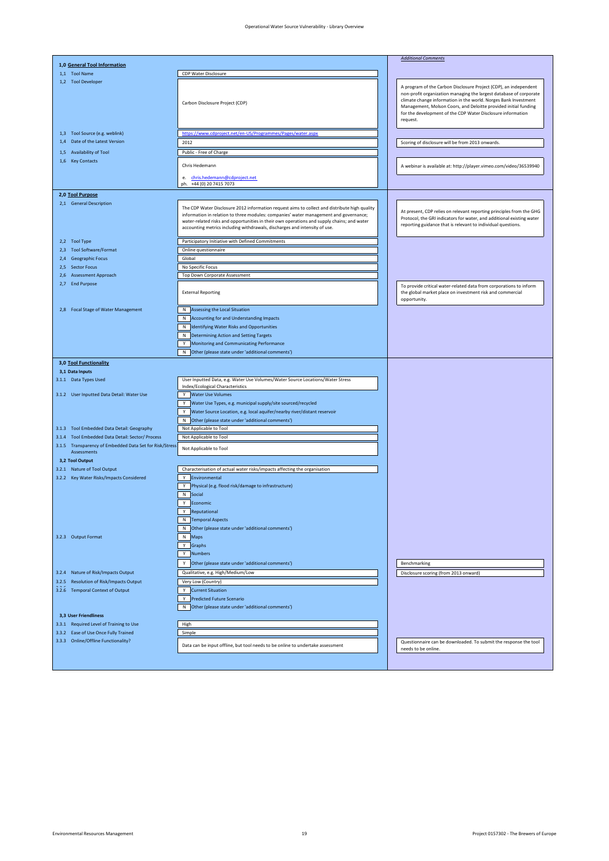| 1,0 General Tool Information<br>1,1 Tool Name<br>CDP Water Disclosure<br>1,2 Tool Developer<br>A program of the Carbon Disclosure Project (CDP), an independent<br>non-profit organization managing the largest database of corporate<br>climate change information in the world. Norges Bank Investment<br>Carbon Disclosure Project (CDP)<br>Management, Molson Coors, and Deloitte provided initial funding<br>for the development of the CDP Water Disclosure information<br>request.                                                                                                                      |  |  |  |
|----------------------------------------------------------------------------------------------------------------------------------------------------------------------------------------------------------------------------------------------------------------------------------------------------------------------------------------------------------------------------------------------------------------------------------------------------------------------------------------------------------------------------------------------------------------------------------------------------------------|--|--|--|
|                                                                                                                                                                                                                                                                                                                                                                                                                                                                                                                                                                                                                |  |  |  |
|                                                                                                                                                                                                                                                                                                                                                                                                                                                                                                                                                                                                                |  |  |  |
|                                                                                                                                                                                                                                                                                                                                                                                                                                                                                                                                                                                                                |  |  |  |
| 1,3 Tool Source (e.g. weblink)<br>https://www.cdproject.net/en-US/Programmes/Pages/water.aspx                                                                                                                                                                                                                                                                                                                                                                                                                                                                                                                  |  |  |  |
| 1,4 Date of the Latest Version<br>2012<br>Scoring of disclosure will be from 2013 onwards.                                                                                                                                                                                                                                                                                                                                                                                                                                                                                                                     |  |  |  |
| 1,5 Availability of Tool<br>Public - Free of Charge                                                                                                                                                                                                                                                                                                                                                                                                                                                                                                                                                            |  |  |  |
| 1,6 Key Contacts                                                                                                                                                                                                                                                                                                                                                                                                                                                                                                                                                                                               |  |  |  |
| Chris Hedemann<br>A webinar is available at: http://player.vimeo.com/video/36539940<br>e. chris.hedemann@cdproject.net                                                                                                                                                                                                                                                                                                                                                                                                                                                                                         |  |  |  |
| ph. +44 (0) 20 7415 7073                                                                                                                                                                                                                                                                                                                                                                                                                                                                                                                                                                                       |  |  |  |
| 2,0 Tool Purpose                                                                                                                                                                                                                                                                                                                                                                                                                                                                                                                                                                                               |  |  |  |
| 2,1 General Description<br>The CDP Water Disclosure 2012 information request aims to collect and distribute high quality<br>At present, CDP relies on relevant reporting principles from the GHG<br>information in relation to three modules: companies' water management and governance;<br>Protocol, the GRI indicators for water, and additional existing water<br>water-related risks and opportunities in their own operations and supply chains; and water<br>reporting guidance that is relevant to individual questions.<br>accounting metrics including withdrawals, discharges and intensity of use. |  |  |  |
| Participatory Initiative with Defined Commitments<br>2,2 Tool Type                                                                                                                                                                                                                                                                                                                                                                                                                                                                                                                                             |  |  |  |
| 2,3 Tool Software/Format<br>Online questionnaire                                                                                                                                                                                                                                                                                                                                                                                                                                                                                                                                                               |  |  |  |
| 2,4 Geographic Focus<br>Global                                                                                                                                                                                                                                                                                                                                                                                                                                                                                                                                                                                 |  |  |  |
| 2,5 Sector Focus<br>No Specific Focus                                                                                                                                                                                                                                                                                                                                                                                                                                                                                                                                                                          |  |  |  |
| 2,6 Assessment Approach<br>Top Down Corporate Assessment                                                                                                                                                                                                                                                                                                                                                                                                                                                                                                                                                       |  |  |  |
| 2,7 End Purpose<br>To provide critical water-related data from corporations to inform<br><b>External Reporting</b><br>the global market place on investment risk and commercial<br>opportunity.                                                                                                                                                                                                                                                                                                                                                                                                                |  |  |  |
| 2,8 Focal Stage of Water Management<br>N Assessing the Local Situation<br>N Accounting for and Understanding Impacts<br>N Identifying Water Risks and Opportunities<br>N Determining Action and Setting Targets<br>Y Monitoring and Communicating Performance<br>N Other (please state under 'additional comments')                                                                                                                                                                                                                                                                                            |  |  |  |
|                                                                                                                                                                                                                                                                                                                                                                                                                                                                                                                                                                                                                |  |  |  |
| 3,0 Tool Functionality                                                                                                                                                                                                                                                                                                                                                                                                                                                                                                                                                                                         |  |  |  |
| 3,1 Data Inputs                                                                                                                                                                                                                                                                                                                                                                                                                                                                                                                                                                                                |  |  |  |
| 3.1.1 Data Types Used<br>User Inputted Data, e.g. Water Use Volumes/Water Source Locations/Water Stress<br>Index/Ecological Characteristics                                                                                                                                                                                                                                                                                                                                                                                                                                                                    |  |  |  |
| Y Water Use Volumes<br>3.1.2 User Inputted Data Detail: Water Use                                                                                                                                                                                                                                                                                                                                                                                                                                                                                                                                              |  |  |  |
| Y Water Use Types, e.g. municipal supply/site sourced/recycled                                                                                                                                                                                                                                                                                                                                                                                                                                                                                                                                                 |  |  |  |
| Y   Water Source Location, e.g. local aquifer/nearby river/distant reservoir                                                                                                                                                                                                                                                                                                                                                                                                                                                                                                                                   |  |  |  |
| N Other (please state under 'additional comments')                                                                                                                                                                                                                                                                                                                                                                                                                                                                                                                                                             |  |  |  |
| Not Applicable to Tool<br>3.1.3 Tool Embedded Data Detail: Geography                                                                                                                                                                                                                                                                                                                                                                                                                                                                                                                                           |  |  |  |
| 3.1.4 Tool Embedded Data Detail: Sector/ Process<br>Not Applicable to Tool                                                                                                                                                                                                                                                                                                                                                                                                                                                                                                                                     |  |  |  |
| 3.1.5 Transparency of Embedded Data Set for Risk/Stress<br>Not Applicable to Tool                                                                                                                                                                                                                                                                                                                                                                                                                                                                                                                              |  |  |  |
| Assessments<br>3,2 Tool Output                                                                                                                                                                                                                                                                                                                                                                                                                                                                                                                                                                                 |  |  |  |
| 3.2.1 Nature of Tool Output<br>Characterisation of actual water risks/impacts affecting the organisation                                                                                                                                                                                                                                                                                                                                                                                                                                                                                                       |  |  |  |
| 3.2.2 Key Water Risks/Impacts Considered<br>Y Environmental                                                                                                                                                                                                                                                                                                                                                                                                                                                                                                                                                    |  |  |  |
| Y Physical (e.g. flood risk/damage to infrastructure)                                                                                                                                                                                                                                                                                                                                                                                                                                                                                                                                                          |  |  |  |
| N Social                                                                                                                                                                                                                                                                                                                                                                                                                                                                                                                                                                                                       |  |  |  |
| Y Economic                                                                                                                                                                                                                                                                                                                                                                                                                                                                                                                                                                                                     |  |  |  |
| Y Reputational                                                                                                                                                                                                                                                                                                                                                                                                                                                                                                                                                                                                 |  |  |  |
| N Temporal Aspects                                                                                                                                                                                                                                                                                                                                                                                                                                                                                                                                                                                             |  |  |  |
| N Other (please state under 'additional comments')                                                                                                                                                                                                                                                                                                                                                                                                                                                                                                                                                             |  |  |  |
| 3.2.3 Output Format<br>N Maps                                                                                                                                                                                                                                                                                                                                                                                                                                                                                                                                                                                  |  |  |  |
| Y Graphs                                                                                                                                                                                                                                                                                                                                                                                                                                                                                                                                                                                                       |  |  |  |
| Y Numbers                                                                                                                                                                                                                                                                                                                                                                                                                                                                                                                                                                                                      |  |  |  |
| Other (please state under 'additional comments')<br>Υ<br>Benchmarking                                                                                                                                                                                                                                                                                                                                                                                                                                                                                                                                          |  |  |  |
| 3.2.4 Nature of Risk/Impacts Output<br>Qualitative, e.g. High/Medium/Low<br>Disclosure scoring (from 2013 onward)                                                                                                                                                                                                                                                                                                                                                                                                                                                                                              |  |  |  |
| 3.2.5 Resolution of Risk/Impacts Output<br>Very Low (Country)                                                                                                                                                                                                                                                                                                                                                                                                                                                                                                                                                  |  |  |  |
| 3.2.6 Temporal Context of Output<br>Y Current Situation                                                                                                                                                                                                                                                                                                                                                                                                                                                                                                                                                        |  |  |  |
| Y Predicted Future Scenario                                                                                                                                                                                                                                                                                                                                                                                                                                                                                                                                                                                    |  |  |  |
| N Other (please state under 'additional comments')                                                                                                                                                                                                                                                                                                                                                                                                                                                                                                                                                             |  |  |  |
| 3,3 User Friendliness                                                                                                                                                                                                                                                                                                                                                                                                                                                                                                                                                                                          |  |  |  |
| 3.3.1 Required Level of Training to Use<br>High                                                                                                                                                                                                                                                                                                                                                                                                                                                                                                                                                                |  |  |  |
| 3.3.2 Ease of Use Once Fully Trained<br>Simple                                                                                                                                                                                                                                                                                                                                                                                                                                                                                                                                                                 |  |  |  |
| 3.3.3 Online/Offline Functionality?<br>Questionnaire can be downloaded. To submit the response the tool<br>Data can be input offline, but tool needs to be online to undertake assessment                                                                                                                                                                                                                                                                                                                                                                                                                      |  |  |  |
| needs to be online.                                                                                                                                                                                                                                                                                                                                                                                                                                                                                                                                                                                            |  |  |  |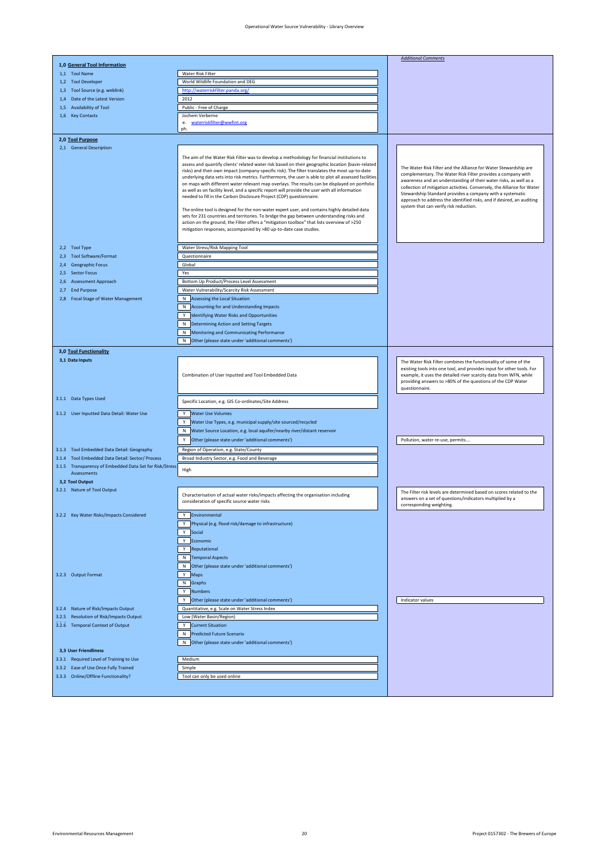| 1,0 General Tool Information                            |                                                                                                                                                                                                         | <b>Additional Comments</b>                                                                                                                 |
|---------------------------------------------------------|---------------------------------------------------------------------------------------------------------------------------------------------------------------------------------------------------------|--------------------------------------------------------------------------------------------------------------------------------------------|
| 1,1 Tool Name                                           | Water Risk Filter                                                                                                                                                                                       |                                                                                                                                            |
| 1,2 Tool Developer                                      | World Wildlife Foundation and DEG                                                                                                                                                                       |                                                                                                                                            |
| 1,3 Tool Source (e.g. weblink)                          | http://waterriskfilter.panda.org/                                                                                                                                                                       |                                                                                                                                            |
| 1,4 Date of the Latest Version                          | 2012                                                                                                                                                                                                    |                                                                                                                                            |
| 1,5 Availability of Tool                                | Public - Free of Charge                                                                                                                                                                                 |                                                                                                                                            |
| 1,6 Key Contacts                                        | Jochem Verberne                                                                                                                                                                                         |                                                                                                                                            |
|                                                         | e. waterriskfilter@wwfint.org                                                                                                                                                                           |                                                                                                                                            |
|                                                         | ph.                                                                                                                                                                                                     |                                                                                                                                            |
| 2,0 Tool Purpose                                        |                                                                                                                                                                                                         |                                                                                                                                            |
| 2,1 General Description                                 |                                                                                                                                                                                                         |                                                                                                                                            |
|                                                         | The aim of the Water Risk Filter was to develop a methodology for financial institutions to                                                                                                             |                                                                                                                                            |
|                                                         | assess and quantify clients' related water risk based on their geographic location (basin-related                                                                                                       | The Water Risk Filter and the Alliance for Water Stewardship are                                                                           |
|                                                         | risks) and their own impact (company-specific risk). The filter translates the most up-to-date<br>underlying data sets into risk metrics. Furthermore, the user is able to plot all assessed facilities | complementary. The Water Risk Filter provides a company with                                                                               |
|                                                         | on maps with different water relevant map overlays. The results can be displayed on portfolio                                                                                                           | awareness and an understanding of their water risks, as well as a                                                                          |
|                                                         | as well as on facility level, and a specific report will provide the user with all information                                                                                                          | collection of mitigation activities. Conversely, the Alliance for Water<br>Stewardship Standard provides a company with a systematic       |
|                                                         | needed to fill in the Carbon Disclosure Project (CDP) questionnaire.                                                                                                                                    | approach to address the identified risks, and if desired, an auditing                                                                      |
|                                                         | The online tool is designed for the non-water expert user, and contains highly detailed data                                                                                                            | system that can verify risk reduction.                                                                                                     |
|                                                         | sets for 231 countries and territories. To bridge the gap between understanding risks and                                                                                                               |                                                                                                                                            |
|                                                         | action on the ground, the Filter offers a "mitigation toolbox" that lists overview of >250                                                                                                              |                                                                                                                                            |
|                                                         | mitigation responses, accompanied by >80 up-to-date case studies.                                                                                                                                       |                                                                                                                                            |
|                                                         |                                                                                                                                                                                                         |                                                                                                                                            |
| 2,2 Tool Type                                           | Water Stress/Risk Mapping Tool                                                                                                                                                                          |                                                                                                                                            |
| 2,3 Tool Software/Format                                | Questionnaire                                                                                                                                                                                           |                                                                                                                                            |
| 2,4 Geographic Focus                                    | Global                                                                                                                                                                                                  |                                                                                                                                            |
| 2,5 Sector Focus                                        | Yes                                                                                                                                                                                                     |                                                                                                                                            |
| 2,6 Assessment Approach                                 | Bottom Up Product/Process Level Assessment                                                                                                                                                              |                                                                                                                                            |
| 2,7 End Purpose                                         | Water Vulnerability/Scarcity Risk Assessment                                                                                                                                                            |                                                                                                                                            |
| 2,8 Focal Stage of Water Management                     | N Assessing the Local Situation                                                                                                                                                                         |                                                                                                                                            |
|                                                         | N Accounting for and Understanding Impacts                                                                                                                                                              |                                                                                                                                            |
|                                                         | Y Identifying Water Risks and Opportunities                                                                                                                                                             |                                                                                                                                            |
|                                                         | N Determining Action and Setting Targets                                                                                                                                                                |                                                                                                                                            |
|                                                         | N Monitoring and Communicating Performance                                                                                                                                                              |                                                                                                                                            |
|                                                         | N Other (please state under 'additional comments')                                                                                                                                                      |                                                                                                                                            |
| 3,0 Tool Functionality                                  |                                                                                                                                                                                                         |                                                                                                                                            |
| 3,1 Data Inputs                                         |                                                                                                                                                                                                         | The Water Risk Filter combines the functionality of some of the                                                                            |
|                                                         | Combination of User Inputted and Tool Embedded Data                                                                                                                                                     | existing tools into one tool, and provides input for other tools. For<br>example, it uses the detailed river scarcity data from WFN, while |
|                                                         |                                                                                                                                                                                                         | providing answers to >80% of the questions of the CDP Water                                                                                |
|                                                         |                                                                                                                                                                                                         | questionnaire.                                                                                                                             |
| 3.1.1 Data Types Used                                   |                                                                                                                                                                                                         |                                                                                                                                            |
|                                                         | Specific Location, e.g. GIS Co-ordinates/Site Address                                                                                                                                                   |                                                                                                                                            |
| 3.1.2 User Inputted Data Detail: Water Use              | Y   Water Use Volumes                                                                                                                                                                                   |                                                                                                                                            |
|                                                         | Y Water Use Types, e.g. municipal supply/site sourced/recycled                                                                                                                                          |                                                                                                                                            |
|                                                         | N Water Source Location, e.g. local aquifer/nearby river/distant reservoir                                                                                                                              |                                                                                                                                            |
|                                                         | Y Other (please state under 'additional comments')                                                                                                                                                      | Pollution, water re-use, permits                                                                                                           |
| 3.1.3 Tool Embedded Data Detail: Geography              | Region of Operation, e.g. State/County                                                                                                                                                                  |                                                                                                                                            |
| 3.1.4 Tool Embedded Data Detail: Sector/ Process        | Broad Industry Sector, e.g. Food and Beverage                                                                                                                                                           |                                                                                                                                            |
| 3.1.5 Transparency of Embedded Data Set for Risk/Stress | High                                                                                                                                                                                                    |                                                                                                                                            |
| Assessments                                             |                                                                                                                                                                                                         |                                                                                                                                            |
| 3,2 Tool Output                                         |                                                                                                                                                                                                         |                                                                                                                                            |
| 3.2.1 Nature of Tool Output                             | Characterisation of actual water risks/impacts affecting the organisation including                                                                                                                     | The Filter risk levels are determined based on scores related to the                                                                       |
|                                                         | consideration of specific source water risks                                                                                                                                                            | answers on a set of questions/indicators multiplied by a<br>corresponding weighting.                                                       |
|                                                         |                                                                                                                                                                                                         |                                                                                                                                            |
| 3.2.2 Key Water Risks/Impacts Considered                | Y Environmental                                                                                                                                                                                         |                                                                                                                                            |
|                                                         | Y Physical (e.g. flood risk/damage to infrastructure)<br>Y Social                                                                                                                                       |                                                                                                                                            |
|                                                         |                                                                                                                                                                                                         |                                                                                                                                            |
|                                                         | Y Economic<br>Y Reputational                                                                                                                                                                            |                                                                                                                                            |
|                                                         | N Temporal Aspects                                                                                                                                                                                      |                                                                                                                                            |
|                                                         | N Other (please state under 'additional comments')                                                                                                                                                      |                                                                                                                                            |
| 3.2.3 Output Format                                     | Y Maps                                                                                                                                                                                                  |                                                                                                                                            |
|                                                         | N Graphs                                                                                                                                                                                                |                                                                                                                                            |
|                                                         | Y Numbers                                                                                                                                                                                               |                                                                                                                                            |
|                                                         | Y Other (please state under 'additional comments')                                                                                                                                                      | Indicator values                                                                                                                           |
| 3.2.4 Nature of Risk/Impacts Output                     | Quantitative, e.g. Scale on Water Stress Index                                                                                                                                                          |                                                                                                                                            |
| 3.2.5 Resolution of Risk/Impacts Output                 | Low (Water Basin/Region)                                                                                                                                                                                |                                                                                                                                            |
| 3.2.6 Temporal Context of Output                        | Y Current Situation                                                                                                                                                                                     |                                                                                                                                            |
|                                                         | N Predicted Future Scenario                                                                                                                                                                             |                                                                                                                                            |
|                                                         | N Other (please state under 'additional comments')                                                                                                                                                      |                                                                                                                                            |
| 3,3 User Friendliness                                   |                                                                                                                                                                                                         |                                                                                                                                            |
| 3.3.1 Required Level of Training to Use                 | Medium                                                                                                                                                                                                  |                                                                                                                                            |
| 3.3.2 Ease of Use Once Fully Trained                    | Simple                                                                                                                                                                                                  |                                                                                                                                            |
| 3.3.3 Online/Offline Functionality?                     | Tool can only be used online                                                                                                                                                                            |                                                                                                                                            |
|                                                         |                                                                                                                                                                                                         |                                                                                                                                            |
|                                                         |                                                                                                                                                                                                         |                                                                                                                                            |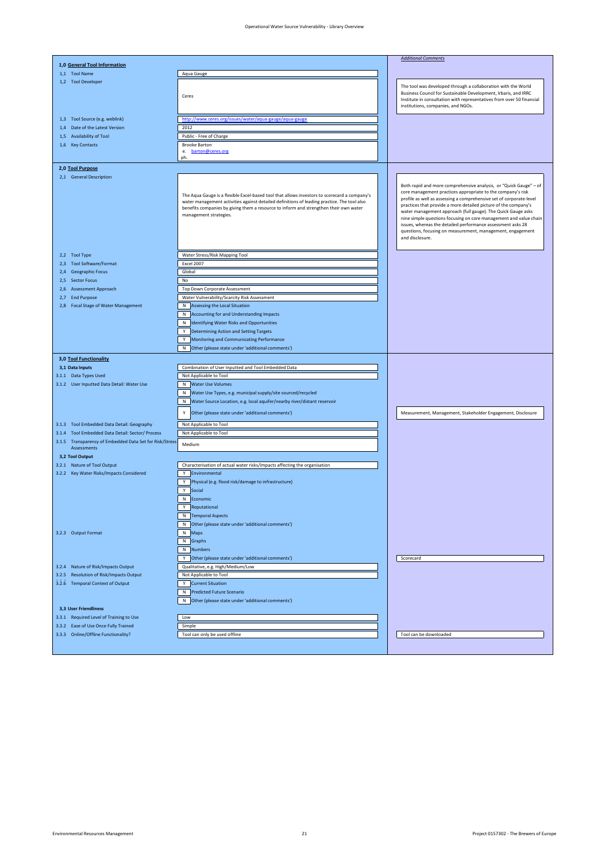| 1.0 General Tool Information                            |                                                                                              | <b>Additional Comments</b>                                                                                                               |
|---------------------------------------------------------|----------------------------------------------------------------------------------------------|------------------------------------------------------------------------------------------------------------------------------------------|
| 1,1 Tool Name                                           | Aqua Gauge                                                                                   |                                                                                                                                          |
| 1,2 Tool Developer                                      |                                                                                              |                                                                                                                                          |
|                                                         |                                                                                              | The tool was developed through a collaboration with the World                                                                            |
|                                                         | Ceres                                                                                        | Business Council for Sustainable Development, Irbaris, and IRRC<br>Institute in consultation with representatives from over 50 financial |
|                                                         |                                                                                              | institutions, companies, and NGOs.                                                                                                       |
|                                                         |                                                                                              |                                                                                                                                          |
| 1,3 Tool Source (e.g. weblink)                          | http://www.ceres.org/issues/water/aqua-gauge/aqua-gauge                                      |                                                                                                                                          |
| 1,4 Date of the Latest Version                          | 2012                                                                                         |                                                                                                                                          |
| 1,5 Availability of Tool                                | Public - Free of Charge                                                                      |                                                                                                                                          |
| 1,6 Key Contacts                                        | <b>Brooke Barton</b>                                                                         |                                                                                                                                          |
|                                                         | e. barton@ceres.org                                                                          |                                                                                                                                          |
|                                                         | ph.                                                                                          |                                                                                                                                          |
| 2,0 Tool Purpose                                        |                                                                                              |                                                                                                                                          |
|                                                         |                                                                                              |                                                                                                                                          |
| 2,1 General Description                                 |                                                                                              |                                                                                                                                          |
|                                                         |                                                                                              | Both rapid and more comprehensive analysis, or "Quick Gauge" - of                                                                        |
|                                                         | The Aqua Gauge is a flexible Excel-based tool that allows investors to scorecard a company's | core management practices appropriate to the company's risk<br>profile as well as assessing a comprehensive set of corporate-level       |
|                                                         | water management activities against detailed definitions of leading practice. The tool also  | practices that provide a more detailed picture of the company's                                                                          |
|                                                         | benefits companies by giving them a resource to inform and strengthen their own water        | water management approach (full gauge). The Quick Gauge asks                                                                             |
|                                                         | management strategies.                                                                       | nine simple questions focusing on core management and value chain                                                                        |
|                                                         |                                                                                              | issues, whereas the detailed performance assessment asks 28                                                                              |
|                                                         |                                                                                              | questions, focusing on measurement, management, engagement                                                                               |
|                                                         |                                                                                              | and disclosure.                                                                                                                          |
|                                                         |                                                                                              |                                                                                                                                          |
| 2,2 Tool Type                                           | Water Stress/Risk Mapping Tool                                                               |                                                                                                                                          |
| 2,3 Tool Software/Format                                | Excel 2007                                                                                   |                                                                                                                                          |
| 2,4 Geographic Focus                                    | Global                                                                                       |                                                                                                                                          |
|                                                         |                                                                                              |                                                                                                                                          |
| 2,5 Sector Focus                                        | No                                                                                           |                                                                                                                                          |
| 2,6 Assessment Approach                                 | Top Down Corporate Assessment                                                                |                                                                                                                                          |
| 2,7 End Purpose                                         | Water Vulnerability/Scarcity Risk Assessment                                                 |                                                                                                                                          |
| 2,8 Focal Stage of Water Management                     | N Assessing the Local Situation                                                              |                                                                                                                                          |
|                                                         | N Accounting for and Understanding Impacts                                                   |                                                                                                                                          |
|                                                         | N Identifying Water Risks and Opportunities                                                  |                                                                                                                                          |
|                                                         |                                                                                              |                                                                                                                                          |
|                                                         | Y Determining Action and Setting Targets                                                     |                                                                                                                                          |
|                                                         | Y Monitoring and Communicating Performance                                                   |                                                                                                                                          |
|                                                         | N Other (please state under 'additional comments')                                           |                                                                                                                                          |
| 3,0 Tool Functionality                                  |                                                                                              |                                                                                                                                          |
|                                                         |                                                                                              |                                                                                                                                          |
|                                                         |                                                                                              |                                                                                                                                          |
| 3,1 Data Inputs                                         | Combination of User Inputted and Tool Embedded Data                                          |                                                                                                                                          |
| 3.1.1 Data Types Used                                   | Not Applicable to Tool                                                                       |                                                                                                                                          |
| 3.1.2 User Inputted Data Detail: Water Use              | N Water Use Volumes                                                                          |                                                                                                                                          |
|                                                         | N Water Use Types, e.g. municipal supply/site sourced/recycled                               |                                                                                                                                          |
|                                                         | N Water Source Location, e.g. local aquifer/nearby river/distant reservoir                   |                                                                                                                                          |
|                                                         | Υ                                                                                            |                                                                                                                                          |
|                                                         | Other (please state under 'additional comments')                                             | Measurement, Management, Stakeholder Engagement, Disclosure                                                                              |
| 3.1.3 Tool Embedded Data Detail: Geography              | Not Applicable to Tool                                                                       |                                                                                                                                          |
| 3.1.4 Tool Embedded Data Detail: Sector/ Process        | Not Applicable to Tool                                                                       |                                                                                                                                          |
| 3.1.5 Transparency of Embedded Data Set for Risk/Stress |                                                                                              |                                                                                                                                          |
| Assessments                                             | Medium                                                                                       |                                                                                                                                          |
| 3,2 Tool Output                                         |                                                                                              |                                                                                                                                          |
| 3.2.1 Nature of Tool Output                             | Characterisation of actual water risks/impacts affecting the organisation                    |                                                                                                                                          |
| 3.2.2 Key Water Risks/Impacts Considered                | Y Environmental                                                                              |                                                                                                                                          |
|                                                         |                                                                                              |                                                                                                                                          |
|                                                         | Y Physical (e.g. flood risk/damage to infrastructure)                                        |                                                                                                                                          |
|                                                         | Y Social                                                                                     |                                                                                                                                          |
|                                                         | N Economic                                                                                   |                                                                                                                                          |
|                                                         | Reputational<br>Υ                                                                            |                                                                                                                                          |
|                                                         | N Temporal Aspects                                                                           |                                                                                                                                          |
|                                                         | N Other (please state under 'additional comments')                                           |                                                                                                                                          |
| 3.2.3 Output Format                                     | N Maps                                                                                       |                                                                                                                                          |
|                                                         |                                                                                              |                                                                                                                                          |
|                                                         | N Graphs                                                                                     |                                                                                                                                          |
|                                                         | N Numbers                                                                                    |                                                                                                                                          |
|                                                         | Y Other (please state under 'additional comments')                                           | Scorecard                                                                                                                                |
| 3.2.4 Nature of Risk/Impacts Output                     | Qualitative, e.g. High/Medium/Low                                                            |                                                                                                                                          |
| 3.2.5 Resolution of Risk/Impacts Output                 | Not Applicable to Tool                                                                       |                                                                                                                                          |
| 3.2.6 Temporal Context of Output                        | Y Current Situation                                                                          |                                                                                                                                          |
|                                                         |                                                                                              |                                                                                                                                          |
|                                                         | N Predicted Future Scenario                                                                  |                                                                                                                                          |
|                                                         | N Other (please state under 'additional comments')                                           |                                                                                                                                          |
| 3,3 User Friendliness                                   |                                                                                              |                                                                                                                                          |
| 3.3.1 Required Level of Training to Use                 | Low                                                                                          |                                                                                                                                          |
| 3.3.2 Ease of Use Once Fully Trained                    | Simple                                                                                       |                                                                                                                                          |
| 3.3.3 Online/Offline Functionality?                     | Tool can only be used offline                                                                | Tool can be downloaded                                                                                                                   |
|                                                         |                                                                                              |                                                                                                                                          |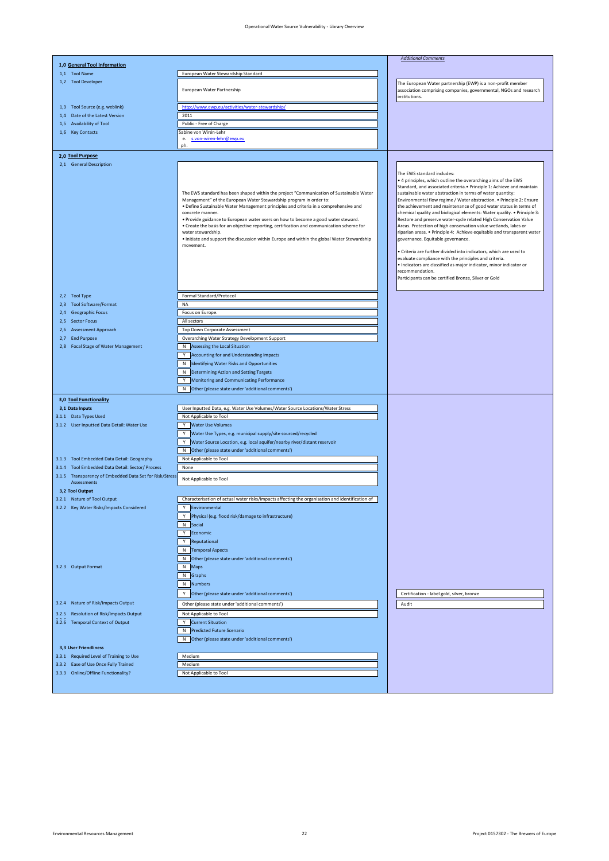|                                                                        |                                                                                                                                                                                                                                                                                                                                                                                                                                                                                                                                                                                               | <b>Additional Comments</b>                                                                                                                                                                                                                                                                                                                                                                                                                                                                                                                                                                                                                                                                                                                                                                                                                                                                                                                                                                    |
|------------------------------------------------------------------------|-----------------------------------------------------------------------------------------------------------------------------------------------------------------------------------------------------------------------------------------------------------------------------------------------------------------------------------------------------------------------------------------------------------------------------------------------------------------------------------------------------------------------------------------------------------------------------------------------|-----------------------------------------------------------------------------------------------------------------------------------------------------------------------------------------------------------------------------------------------------------------------------------------------------------------------------------------------------------------------------------------------------------------------------------------------------------------------------------------------------------------------------------------------------------------------------------------------------------------------------------------------------------------------------------------------------------------------------------------------------------------------------------------------------------------------------------------------------------------------------------------------------------------------------------------------------------------------------------------------|
| 1,0 General Tool Information                                           |                                                                                                                                                                                                                                                                                                                                                                                                                                                                                                                                                                                               |                                                                                                                                                                                                                                                                                                                                                                                                                                                                                                                                                                                                                                                                                                                                                                                                                                                                                                                                                                                               |
| 1,1 Tool Name                                                          | European Water Stewardship Standard                                                                                                                                                                                                                                                                                                                                                                                                                                                                                                                                                           |                                                                                                                                                                                                                                                                                                                                                                                                                                                                                                                                                                                                                                                                                                                                                                                                                                                                                                                                                                                               |
| 1,2 Tool Developer                                                     | European Water Partnership                                                                                                                                                                                                                                                                                                                                                                                                                                                                                                                                                                    | The European Water partnership (EWP) is a non-profit member<br>association comprising companies, governmental, NGOs and research<br>institutions.                                                                                                                                                                                                                                                                                                                                                                                                                                                                                                                                                                                                                                                                                                                                                                                                                                             |
| 1,3 Tool Source (e.g. weblink)                                         | http://www.ewp.eu/activities/water-stewardship/                                                                                                                                                                                                                                                                                                                                                                                                                                                                                                                                               |                                                                                                                                                                                                                                                                                                                                                                                                                                                                                                                                                                                                                                                                                                                                                                                                                                                                                                                                                                                               |
| 1,4 Date of the Latest Version                                         | 2011                                                                                                                                                                                                                                                                                                                                                                                                                                                                                                                                                                                          |                                                                                                                                                                                                                                                                                                                                                                                                                                                                                                                                                                                                                                                                                                                                                                                                                                                                                                                                                                                               |
| 1,5 Availability of Tool                                               | Public - Free of Charge                                                                                                                                                                                                                                                                                                                                                                                                                                                                                                                                                                       |                                                                                                                                                                                                                                                                                                                                                                                                                                                                                                                                                                                                                                                                                                                                                                                                                                                                                                                                                                                               |
| 1,6 Key Contacts                                                       | Sabine von Wirén-Lehr                                                                                                                                                                                                                                                                                                                                                                                                                                                                                                                                                                         |                                                                                                                                                                                                                                                                                                                                                                                                                                                                                                                                                                                                                                                                                                                                                                                                                                                                                                                                                                                               |
|                                                                        | e. s.von-wiren-lehr@ewp.eu<br>ph.                                                                                                                                                                                                                                                                                                                                                                                                                                                                                                                                                             |                                                                                                                                                                                                                                                                                                                                                                                                                                                                                                                                                                                                                                                                                                                                                                                                                                                                                                                                                                                               |
| 2,0 Tool Purpose                                                       |                                                                                                                                                                                                                                                                                                                                                                                                                                                                                                                                                                                               |                                                                                                                                                                                                                                                                                                                                                                                                                                                                                                                                                                                                                                                                                                                                                                                                                                                                                                                                                                                               |
| 2,1 General Description                                                |                                                                                                                                                                                                                                                                                                                                                                                                                                                                                                                                                                                               |                                                                                                                                                                                                                                                                                                                                                                                                                                                                                                                                                                                                                                                                                                                                                                                                                                                                                                                                                                                               |
|                                                                        | The EWS standard has been shaped within the project "Communication of Sustainable Water<br>Management" of the European Water Stewardship program in order to:<br>. Define Sustainable Water Management principles and criteria in a comprehensive and<br>concrete manner.<br>. Provide guidance to European water users on how to become a good water steward.<br>. Create the basis for an objective reporting, certification and communication scheme for<br>water stewardship.<br>. Initiate and support the discussion within Europe and within the global Water Stewardship<br>movement. | The EWS standard includes:<br>. 4 principles, which outline the overarching aims of the EWS<br>Standard, and associated criteria.• Principle 1: Achieve and maintain<br>sustainable water abstraction in terms of water quantity:<br>Environmental flow regime / Water abstraction. . Principle 2: Ensure<br>the achievement and maintenance of good water status in terms of<br>chemical quality and biological elements: Water quality. . Principle 3:<br>Restore and preserve water-cycle related High Conservation Value<br>Areas. Protection of high conservation value wetlands, lakes or<br>riparian areas. • Principle 4: Achieve equitable and transparent water<br>governance. Equitable governance.<br>· Criteria are further divided into indicators, which are used to<br>evaluate compliance with the principles and criteria.<br>· Indicators are classified as major indicator, minor indicator or<br>recommendation.<br>Participants can be certified Bronze, Silver or Gold |
| 2,2 Tool Type                                                          | Formal Standard/Protocol                                                                                                                                                                                                                                                                                                                                                                                                                                                                                                                                                                      |                                                                                                                                                                                                                                                                                                                                                                                                                                                                                                                                                                                                                                                                                                                                                                                                                                                                                                                                                                                               |
| 2,3 Tool Software/Format                                               | <b>NA</b>                                                                                                                                                                                                                                                                                                                                                                                                                                                                                                                                                                                     |                                                                                                                                                                                                                                                                                                                                                                                                                                                                                                                                                                                                                                                                                                                                                                                                                                                                                                                                                                                               |
| 2,4 Geographic Focus                                                   | Focus on Europe.                                                                                                                                                                                                                                                                                                                                                                                                                                                                                                                                                                              |                                                                                                                                                                                                                                                                                                                                                                                                                                                                                                                                                                                                                                                                                                                                                                                                                                                                                                                                                                                               |
| 2,5 Sector Focus                                                       | All sectors                                                                                                                                                                                                                                                                                                                                                                                                                                                                                                                                                                                   |                                                                                                                                                                                                                                                                                                                                                                                                                                                                                                                                                                                                                                                                                                                                                                                                                                                                                                                                                                                               |
| 2,6 Assessment Approach                                                | Top Down Corporate Assessment                                                                                                                                                                                                                                                                                                                                                                                                                                                                                                                                                                 |                                                                                                                                                                                                                                                                                                                                                                                                                                                                                                                                                                                                                                                                                                                                                                                                                                                                                                                                                                                               |
| 2,7 End Purpose                                                        | Overarching Water Strategy Development Support                                                                                                                                                                                                                                                                                                                                                                                                                                                                                                                                                |                                                                                                                                                                                                                                                                                                                                                                                                                                                                                                                                                                                                                                                                                                                                                                                                                                                                                                                                                                                               |
| 2,8 Focal Stage of Water Management                                    | N Assessing the Local Situation<br>Y Accounting for and Understanding Impacts                                                                                                                                                                                                                                                                                                                                                                                                                                                                                                                 |                                                                                                                                                                                                                                                                                                                                                                                                                                                                                                                                                                                                                                                                                                                                                                                                                                                                                                                                                                                               |
|                                                                        | N Identifying Water Risks and Opportunities                                                                                                                                                                                                                                                                                                                                                                                                                                                                                                                                                   |                                                                                                                                                                                                                                                                                                                                                                                                                                                                                                                                                                                                                                                                                                                                                                                                                                                                                                                                                                                               |
|                                                                        | N Determining Action and Setting Targets                                                                                                                                                                                                                                                                                                                                                                                                                                                                                                                                                      |                                                                                                                                                                                                                                                                                                                                                                                                                                                                                                                                                                                                                                                                                                                                                                                                                                                                                                                                                                                               |
|                                                                        | Y Monitoring and Communicating Performance                                                                                                                                                                                                                                                                                                                                                                                                                                                                                                                                                    |                                                                                                                                                                                                                                                                                                                                                                                                                                                                                                                                                                                                                                                                                                                                                                                                                                                                                                                                                                                               |
|                                                                        | N Other (please state under 'additional comments')                                                                                                                                                                                                                                                                                                                                                                                                                                                                                                                                            |                                                                                                                                                                                                                                                                                                                                                                                                                                                                                                                                                                                                                                                                                                                                                                                                                                                                                                                                                                                               |
| 3,0 Tool Functionality                                                 |                                                                                                                                                                                                                                                                                                                                                                                                                                                                                                                                                                                               |                                                                                                                                                                                                                                                                                                                                                                                                                                                                                                                                                                                                                                                                                                                                                                                                                                                                                                                                                                                               |
| 3,1 Data Inputs                                                        | User Inputted Data, e.g. Water Use Volumes/Water Source Locations/Water Stress                                                                                                                                                                                                                                                                                                                                                                                                                                                                                                                |                                                                                                                                                                                                                                                                                                                                                                                                                                                                                                                                                                                                                                                                                                                                                                                                                                                                                                                                                                                               |
| 3.1.1 Data Types Used                                                  | Not Applicable to Tool<br>Y Water Use Volumes                                                                                                                                                                                                                                                                                                                                                                                                                                                                                                                                                 |                                                                                                                                                                                                                                                                                                                                                                                                                                                                                                                                                                                                                                                                                                                                                                                                                                                                                                                                                                                               |
| 3.1.2 User Inputted Data Detail: Water Use                             | Y Water Use Types, e.g. municipal supply/site sourced/recycled                                                                                                                                                                                                                                                                                                                                                                                                                                                                                                                                |                                                                                                                                                                                                                                                                                                                                                                                                                                                                                                                                                                                                                                                                                                                                                                                                                                                                                                                                                                                               |
|                                                                        | Y Water Source Location, e.g. local aquifer/nearby river/distant reservoir                                                                                                                                                                                                                                                                                                                                                                                                                                                                                                                    |                                                                                                                                                                                                                                                                                                                                                                                                                                                                                                                                                                                                                                                                                                                                                                                                                                                                                                                                                                                               |
|                                                                        | N Other (please state under 'additional comments')                                                                                                                                                                                                                                                                                                                                                                                                                                                                                                                                            |                                                                                                                                                                                                                                                                                                                                                                                                                                                                                                                                                                                                                                                                                                                                                                                                                                                                                                                                                                                               |
| 3.1.3 Tool Embedded Data Detail: Geography                             | Not Applicable to Tool                                                                                                                                                                                                                                                                                                                                                                                                                                                                                                                                                                        |                                                                                                                                                                                                                                                                                                                                                                                                                                                                                                                                                                                                                                                                                                                                                                                                                                                                                                                                                                                               |
| 3.1.4 Tool Embedded Data Detail: Sector/ Process                       | None                                                                                                                                                                                                                                                                                                                                                                                                                                                                                                                                                                                          |                                                                                                                                                                                                                                                                                                                                                                                                                                                                                                                                                                                                                                                                                                                                                                                                                                                                                                                                                                                               |
| 3.1.5 Transparency of Embedded Data Set for Risk/Stress<br>Assessments | Not Applicable to Tool                                                                                                                                                                                                                                                                                                                                                                                                                                                                                                                                                                        |                                                                                                                                                                                                                                                                                                                                                                                                                                                                                                                                                                                                                                                                                                                                                                                                                                                                                                                                                                                               |
| 3,2 Tool Output                                                        |                                                                                                                                                                                                                                                                                                                                                                                                                                                                                                                                                                                               |                                                                                                                                                                                                                                                                                                                                                                                                                                                                                                                                                                                                                                                                                                                                                                                                                                                                                                                                                                                               |
| 3.2.1 Nature of Tool Output                                            | Characterisation of actual water risks/impacts affecting the organisation and identification of                                                                                                                                                                                                                                                                                                                                                                                                                                                                                               |                                                                                                                                                                                                                                                                                                                                                                                                                                                                                                                                                                                                                                                                                                                                                                                                                                                                                                                                                                                               |
| Key Water Risks/Impacts Considered<br>3.2.2                            | Y Environmental                                                                                                                                                                                                                                                                                                                                                                                                                                                                                                                                                                               |                                                                                                                                                                                                                                                                                                                                                                                                                                                                                                                                                                                                                                                                                                                                                                                                                                                                                                                                                                                               |
|                                                                        | Y Physical (e.g. flood risk/damage to infrastructure)                                                                                                                                                                                                                                                                                                                                                                                                                                                                                                                                         |                                                                                                                                                                                                                                                                                                                                                                                                                                                                                                                                                                                                                                                                                                                                                                                                                                                                                                                                                                                               |
|                                                                        | N Social                                                                                                                                                                                                                                                                                                                                                                                                                                                                                                                                                                                      |                                                                                                                                                                                                                                                                                                                                                                                                                                                                                                                                                                                                                                                                                                                                                                                                                                                                                                                                                                                               |
|                                                                        | Y Economic<br>Y Reputational                                                                                                                                                                                                                                                                                                                                                                                                                                                                                                                                                                  |                                                                                                                                                                                                                                                                                                                                                                                                                                                                                                                                                                                                                                                                                                                                                                                                                                                                                                                                                                                               |
|                                                                        | N Temporal Aspects                                                                                                                                                                                                                                                                                                                                                                                                                                                                                                                                                                            |                                                                                                                                                                                                                                                                                                                                                                                                                                                                                                                                                                                                                                                                                                                                                                                                                                                                                                                                                                                               |
|                                                                        | N Other (please state under 'additional comments')                                                                                                                                                                                                                                                                                                                                                                                                                                                                                                                                            |                                                                                                                                                                                                                                                                                                                                                                                                                                                                                                                                                                                                                                                                                                                                                                                                                                                                                                                                                                                               |
| 3.2.3 Output Format                                                    | N Maps                                                                                                                                                                                                                                                                                                                                                                                                                                                                                                                                                                                        |                                                                                                                                                                                                                                                                                                                                                                                                                                                                                                                                                                                                                                                                                                                                                                                                                                                                                                                                                                                               |
|                                                                        | N Graphs                                                                                                                                                                                                                                                                                                                                                                                                                                                                                                                                                                                      |                                                                                                                                                                                                                                                                                                                                                                                                                                                                                                                                                                                                                                                                                                                                                                                                                                                                                                                                                                                               |
|                                                                        | N Numbers                                                                                                                                                                                                                                                                                                                                                                                                                                                                                                                                                                                     |                                                                                                                                                                                                                                                                                                                                                                                                                                                                                                                                                                                                                                                                                                                                                                                                                                                                                                                                                                                               |
|                                                                        | Y Other (please state under 'additional comments')                                                                                                                                                                                                                                                                                                                                                                                                                                                                                                                                            | Certification - label gold, silver, bronze                                                                                                                                                                                                                                                                                                                                                                                                                                                                                                                                                                                                                                                                                                                                                                                                                                                                                                                                                    |
| 3.2.4 Nature of Risk/Impacts Output                                    | Other (please state under 'additional comments')                                                                                                                                                                                                                                                                                                                                                                                                                                                                                                                                              | Audit                                                                                                                                                                                                                                                                                                                                                                                                                                                                                                                                                                                                                                                                                                                                                                                                                                                                                                                                                                                         |
| 3.2.5 Resolution of Risk/Impacts Output                                | Not Applicable to Tool                                                                                                                                                                                                                                                                                                                                                                                                                                                                                                                                                                        |                                                                                                                                                                                                                                                                                                                                                                                                                                                                                                                                                                                                                                                                                                                                                                                                                                                                                                                                                                                               |
| 3.2.6 Temporal Context of Output                                       | Y Current Situation                                                                                                                                                                                                                                                                                                                                                                                                                                                                                                                                                                           |                                                                                                                                                                                                                                                                                                                                                                                                                                                                                                                                                                                                                                                                                                                                                                                                                                                                                                                                                                                               |
|                                                                        | N Predicted Future Scenario<br>N Other (please state under 'additional comments')                                                                                                                                                                                                                                                                                                                                                                                                                                                                                                             |                                                                                                                                                                                                                                                                                                                                                                                                                                                                                                                                                                                                                                                                                                                                                                                                                                                                                                                                                                                               |
| 3,3 User Friendliness                                                  |                                                                                                                                                                                                                                                                                                                                                                                                                                                                                                                                                                                               |                                                                                                                                                                                                                                                                                                                                                                                                                                                                                                                                                                                                                                                                                                                                                                                                                                                                                                                                                                                               |
| 3.3.1 Required Level of Training to Use                                | Medium                                                                                                                                                                                                                                                                                                                                                                                                                                                                                                                                                                                        |                                                                                                                                                                                                                                                                                                                                                                                                                                                                                                                                                                                                                                                                                                                                                                                                                                                                                                                                                                                               |
| 3.3.2 Ease of Use Once Fully Trained                                   | Medium                                                                                                                                                                                                                                                                                                                                                                                                                                                                                                                                                                                        |                                                                                                                                                                                                                                                                                                                                                                                                                                                                                                                                                                                                                                                                                                                                                                                                                                                                                                                                                                                               |
| 3.3.3 Online/Offline Functionality?                                    | Not Applicable to Tool                                                                                                                                                                                                                                                                                                                                                                                                                                                                                                                                                                        |                                                                                                                                                                                                                                                                                                                                                                                                                                                                                                                                                                                                                                                                                                                                                                                                                                                                                                                                                                                               |
|                                                                        |                                                                                                                                                                                                                                                                                                                                                                                                                                                                                                                                                                                               |                                                                                                                                                                                                                                                                                                                                                                                                                                                                                                                                                                                                                                                                                                                                                                                                                                                                                                                                                                                               |
|                                                                        |                                                                                                                                                                                                                                                                                                                                                                                                                                                                                                                                                                                               |                                                                                                                                                                                                                                                                                                                                                                                                                                                                                                                                                                                                                                                                                                                                                                                                                                                                                                                                                                                               |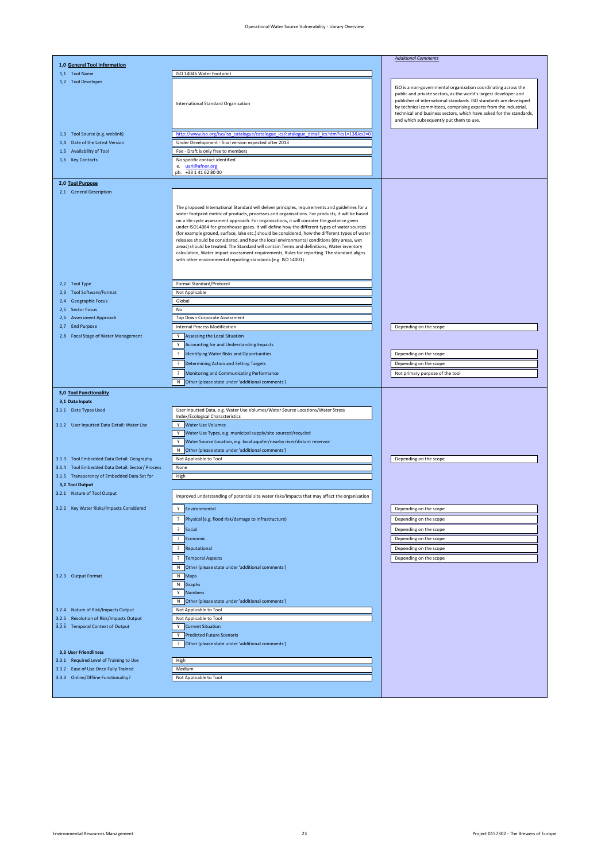|                                                                                |                                                                                                                                                                                                   | <b>Additional Comments</b>                                                                                                                                                                                                                                                  |
|--------------------------------------------------------------------------------|---------------------------------------------------------------------------------------------------------------------------------------------------------------------------------------------------|-----------------------------------------------------------------------------------------------------------------------------------------------------------------------------------------------------------------------------------------------------------------------------|
| 1,0 General Tool Information                                                   |                                                                                                                                                                                                   |                                                                                                                                                                                                                                                                             |
| 1,1 Tool Name                                                                  | ISO 14046 Water Footprint                                                                                                                                                                         |                                                                                                                                                                                                                                                                             |
| 1,2 Tool Developer                                                             | International Standard Organisation                                                                                                                                                               | ISO is a non-governmental organization coordinating across the<br>public and private sectors, as the world's largest developer and<br>publisher of international standards. ISO standards are developed<br>by technical committees, comprising experts from the industrial, |
| 1,3 Tool Source (e.g. weblink)                                                 | http://www.iso.org/iso/iso_catalogue/catalogue_ics/catalogue_detail_ics.htm?ics1=13&ics2=0                                                                                                        | technical and business sectors, which have asked for the standards,<br>and which subsequently put them to use.                                                                                                                                                              |
| 1,4 Date of the Latest Version                                                 | Under Development - final version expected after 2013                                                                                                                                             |                                                                                                                                                                                                                                                                             |
| 1,5 Availability of Tool                                                       | Fee - Draft is only free to members                                                                                                                                                               |                                                                                                                                                                                                                                                                             |
| 1,6 Key Contacts                                                               | No specific contact identified                                                                                                                                                                    |                                                                                                                                                                                                                                                                             |
|                                                                                | e. uari@afnor.org                                                                                                                                                                                 |                                                                                                                                                                                                                                                                             |
|                                                                                | ph. +33 1 41 62 80 00                                                                                                                                                                             |                                                                                                                                                                                                                                                                             |
| 2,0 Tool Purpose                                                               |                                                                                                                                                                                                   |                                                                                                                                                                                                                                                                             |
| 2,1 General Description                                                        |                                                                                                                                                                                                   |                                                                                                                                                                                                                                                                             |
|                                                                                |                                                                                                                                                                                                   |                                                                                                                                                                                                                                                                             |
|                                                                                | The proposed International Standard will deliver principles, requirements and guidelines for a<br>water footprint metric of products, processes and organisations. For products, it will be based |                                                                                                                                                                                                                                                                             |
|                                                                                | on a life cycle assessment approach. For organisations, it will consider the guidance given                                                                                                       |                                                                                                                                                                                                                                                                             |
|                                                                                | under ISO14064 for greenhouse gases. It will define how the different types of water sources                                                                                                      |                                                                                                                                                                                                                                                                             |
|                                                                                | (for example ground, surface, lake etc.) should be considered, how the different types of water<br>releases should be considered, and how the local environmental conditions (dry areas, wet      |                                                                                                                                                                                                                                                                             |
|                                                                                | areas) should be treated. The Standard will contain Terms and definitions, Water inventory                                                                                                        |                                                                                                                                                                                                                                                                             |
|                                                                                | calculation, Water impact assessment requirements, Rules for reporting. The standard aligns                                                                                                       |                                                                                                                                                                                                                                                                             |
|                                                                                | with other environmental reporting standards (e.g. ISO 14001).                                                                                                                                    |                                                                                                                                                                                                                                                                             |
|                                                                                |                                                                                                                                                                                                   |                                                                                                                                                                                                                                                                             |
|                                                                                | Formal Standard/Protocol                                                                                                                                                                          |                                                                                                                                                                                                                                                                             |
| 2,2 Tool Type                                                                  |                                                                                                                                                                                                   |                                                                                                                                                                                                                                                                             |
| 2,3 Tool Software/Format                                                       | Not Applicable                                                                                                                                                                                    |                                                                                                                                                                                                                                                                             |
| 2,4 Geographic Focus<br>2,5 Sector Focus                                       | Global                                                                                                                                                                                            |                                                                                                                                                                                                                                                                             |
|                                                                                | No                                                                                                                                                                                                |                                                                                                                                                                                                                                                                             |
| 2,6 Assessment Approach<br>2,7 End Purpose                                     | Top Down Corporate Assessment                                                                                                                                                                     |                                                                                                                                                                                                                                                                             |
|                                                                                | Internal Process Modification                                                                                                                                                                     | Depending on the scope                                                                                                                                                                                                                                                      |
| 2,8 Focal Stage of Water Management                                            | Y Assessing the Local Situation                                                                                                                                                                   |                                                                                                                                                                                                                                                                             |
|                                                                                | Y Accounting for and Understanding Impacts                                                                                                                                                        |                                                                                                                                                                                                                                                                             |
|                                                                                | Identifying Water Risks and Opportunities<br>?                                                                                                                                                    | Depending on the scope                                                                                                                                                                                                                                                      |
|                                                                                | ? Determining Action and Setting Targets                                                                                                                                                          | Depending on the scope                                                                                                                                                                                                                                                      |
|                                                                                | ?<br>Monitoring and Communicating Performance                                                                                                                                                     | Not primary purpose of the tool                                                                                                                                                                                                                                             |
|                                                                                | N Other (please state under 'additional comments')                                                                                                                                                |                                                                                                                                                                                                                                                                             |
| 3,0 Tool Functionality                                                         |                                                                                                                                                                                                   |                                                                                                                                                                                                                                                                             |
| 3,1 Data Inputs                                                                |                                                                                                                                                                                                   |                                                                                                                                                                                                                                                                             |
| 3.1.1 Data Types Used                                                          | User Inputted Data, e.g. Water Use Volumes/Water Source Locations/Water Stress                                                                                                                    |                                                                                                                                                                                                                                                                             |
|                                                                                | Index/Ecological Characteristics                                                                                                                                                                  |                                                                                                                                                                                                                                                                             |
| 3.1.2 User Inputted Data Detail: Water Use                                     | Y Water Use Volumes                                                                                                                                                                               |                                                                                                                                                                                                                                                                             |
|                                                                                | Y Water Use Types, e.g. municipal supply/site sourced/recycled                                                                                                                                    |                                                                                                                                                                                                                                                                             |
|                                                                                | Y   Water Source Location, e.g. local aquifer/nearby river/distant reservoir                                                                                                                      |                                                                                                                                                                                                                                                                             |
| 3.1.3 Tool Embedded Data Detail: Geography                                     | N Other (please state under 'additional comments')<br>Not Applicable to Tool                                                                                                                      | Depending on the scope                                                                                                                                                                                                                                                      |
| 3.1.4 Tool Embedded Data Detail: Sector/ Process                               | None                                                                                                                                                                                              |                                                                                                                                                                                                                                                                             |
| 3.1.5 Transparency of Embedded Data Set for                                    | High                                                                                                                                                                                              |                                                                                                                                                                                                                                                                             |
| 3,2 Tool Output                                                                |                                                                                                                                                                                                   |                                                                                                                                                                                                                                                                             |
| 3.2.1 Nature of Tool Output                                                    |                                                                                                                                                                                                   |                                                                                                                                                                                                                                                                             |
|                                                                                | Improved understanding of potential site water risks/impacts that may affect the organisation                                                                                                     |                                                                                                                                                                                                                                                                             |
| 3.2.2 Key Water Risks/Impacts Considered                                       | Y Environmental                                                                                                                                                                                   | Depending on the scope                                                                                                                                                                                                                                                      |
|                                                                                | Physical (e.g. flood risk/damage to infrastructure)                                                                                                                                               | Depending on the scope                                                                                                                                                                                                                                                      |
|                                                                                | ? Social                                                                                                                                                                                          | Depending on the scope                                                                                                                                                                                                                                                      |
|                                                                                | ? Economic                                                                                                                                                                                        | Depending on the scope                                                                                                                                                                                                                                                      |
|                                                                                |                                                                                                                                                                                                   |                                                                                                                                                                                                                                                                             |
|                                                                                | ? Reputational                                                                                                                                                                                    | Depending on the scope                                                                                                                                                                                                                                                      |
|                                                                                | ? Temporal Aspects                                                                                                                                                                                | Depending on the scope                                                                                                                                                                                                                                                      |
|                                                                                | N Other (please state under 'additional comments')                                                                                                                                                |                                                                                                                                                                                                                                                                             |
| 3.2.3 Output Format                                                            | N Maps                                                                                                                                                                                            |                                                                                                                                                                                                                                                                             |
|                                                                                | N Graphs                                                                                                                                                                                          |                                                                                                                                                                                                                                                                             |
|                                                                                | Y Numbers<br>N Other (please state under 'additional comments')                                                                                                                                   |                                                                                                                                                                                                                                                                             |
|                                                                                | Not Applicable to Tool                                                                                                                                                                            |                                                                                                                                                                                                                                                                             |
| 3.2.4 Nature of Risk/Impacts Output<br>3.2.5 Resolution of Risk/Impacts Output | Not Applicable to Tool                                                                                                                                                                            |                                                                                                                                                                                                                                                                             |
| 3.2.6 Temporal Context of Output                                               | Y Current Situation                                                                                                                                                                               |                                                                                                                                                                                                                                                                             |
|                                                                                | Y Predicted Future Scenario                                                                                                                                                                       |                                                                                                                                                                                                                                                                             |
|                                                                                | ? Other (please state under 'additional comments')                                                                                                                                                |                                                                                                                                                                                                                                                                             |
| 3,3 User Friendliness                                                          |                                                                                                                                                                                                   |                                                                                                                                                                                                                                                                             |
| 3.3.1 Required Level of Training to Use                                        | High                                                                                                                                                                                              |                                                                                                                                                                                                                                                                             |
| 3.3.2 Ease of Use Once Fully Trained                                           | Medium                                                                                                                                                                                            |                                                                                                                                                                                                                                                                             |
| 3.3.3 Online/Offline Functionality?                                            | Not Applicable to Tool                                                                                                                                                                            |                                                                                                                                                                                                                                                                             |
|                                                                                |                                                                                                                                                                                                   |                                                                                                                                                                                                                                                                             |
|                                                                                |                                                                                                                                                                                                   |                                                                                                                                                                                                                                                                             |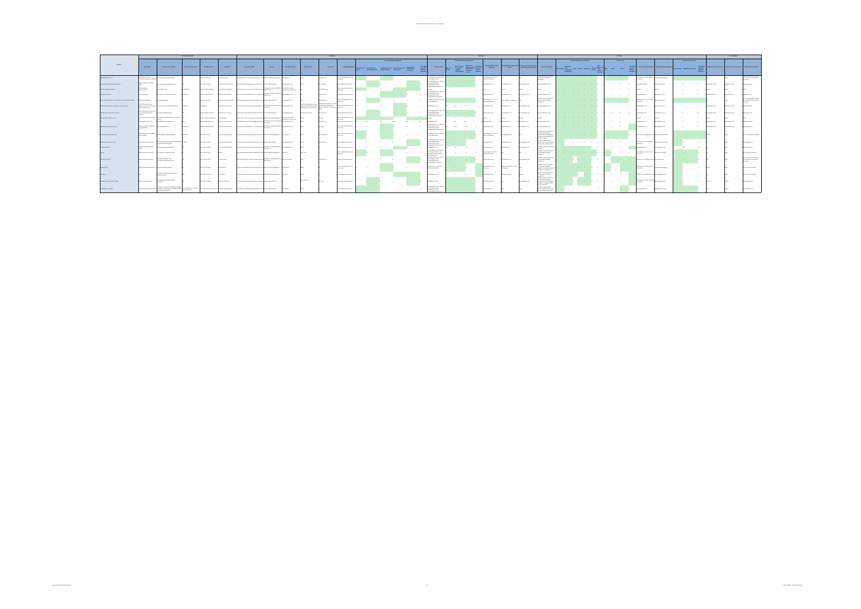|                                             | <b><i><u><i><u>Additioning Contract Contract Contract Contract Contract Contract Contract Contract Contract Contract Contract Contract Contract Contract Contract Contract Contract Contract Contract Contract Contract Contract Contrac</u></i></u></i></b> | <b>National Agent Bay</b>                                                                              | <b>BAVIN LAUTERIA</b>                  | <b>Automotive Contract</b>          | <b>Nytenda</b>                               | <b>Management</b>                                                                         | <b>TARTIST</b>                                    | <b><i><u>Railway</u></i></b>                                                 | <b>Registration</b>                                                                     | <b>Baltimore</b>                                                                      | Australian                                  |                          | <b><i><u>Radio Andrew American</u></i></b><br>hadrone constitution on analysism - to strategicke construction<br><b>VIA ANTIQUES ANTIQUISTION SERVICES</b> | <b>Advanced</b> | $rac{1}{\sqrt{2}}$<br><b>ANNUS</b> | <b>BANDROOM</b>                                                                                                                       |                                   | <b>WASHINGTON POSTAGE</b><br>$= 7.5$       | <b>NATIONAL REGISTERS BANK</b><br><b>Service Contractor</b> | <b>Contact Contact Contact</b>                                       | <b>Safe Walkaupunkan</b>      | <b><i><u>Bahasa al'Asalinagea</u></i></b>                                                                                            | <b><i>RAMARAN</i></b><br><b>Hampton</b> | <b>Barbara Machinery Services</b>                                                         | and come spokes that you will see a seat<br><b>STATISTICS</b><br><b>AMERICA</b>                                 |                          | <b><i><u>RAMARING</u></i></b><br><b>STATES</b><br>$-$ | <b>COLUMN</b>                                         |                                            | <b>SHANNHAMMA</b><br><b>STARS FIRSTALLING COMPANY</b> | <b>TRANSPORT</b><br><b>Contract Contract</b> |                                     |                       | <b>SAFEKEEPING PARK AND A REGISTERATION</b>            |
|---------------------------------------------|--------------------------------------------------------------------------------------------------------------------------------------------------------------------------------------------------------------------------------------------------------------|--------------------------------------------------------------------------------------------------------|----------------------------------------|-------------------------------------|----------------------------------------------|-------------------------------------------------------------------------------------------|---------------------------------------------------|------------------------------------------------------------------------------|-----------------------------------------------------------------------------------------|---------------------------------------------------------------------------------------|---------------------------------------------|--------------------------|------------------------------------------------------------------------------------------------------------------------------------------------------------|-----------------|------------------------------------|---------------------------------------------------------------------------------------------------------------------------------------|-----------------------------------|--------------------------------------------|-------------------------------------------------------------|----------------------------------------------------------------------|-------------------------------|--------------------------------------------------------------------------------------------------------------------------------------|-----------------------------------------|-------------------------------------------------------------------------------------------|-----------------------------------------------------------------------------------------------------------------|--------------------------|-------------------------------------------------------|-------------------------------------------------------|--------------------------------------------|-------------------------------------------------------|----------------------------------------------|-------------------------------------|-----------------------|--------------------------------------------------------|
| <b>BUT MACHINERY</b>                        | <b>Magazine Street</b><br><b>MADE REMOVED</b>                                                                                                                                                                                                                | and contrast sharing the dealer                                                                        |                                        | <b>Michael Street</b>               | <b><i><u>ARCHITECT</u></i></b>               |                                                                                           |                                                   |                                                                              |                                                                                         | <b>ANTI TAXA</b>                                                                      | <b><i>A SATURATURA LA LA</i></b>            |                          |                                                                                                                                                            |                 |                                    | <b><i>INFORMATION CONTINUES</i></b><br><b><i><u>ANGELESS</u></i></b>                                                                  | the contract of the con-          |                                            | <b>ALCOHOL: A REAL</b><br><b>CONTRACTOR</b>                 |                                                                      |                               | an international con-                                                                                                                |                                         | the company's company's company's                                                         |                                                                                                                 |                          | <b>Contract Contract Contract</b>                     | <b>BARBALLA SA METER</b><br>---                       | <b><i><u>International</u></i></b>         | <b>Contract Contract Contract</b>                     | <b>Contract Contract</b>                     |                                     |                       | <b>MANUFACTURERS</b>                                   |
| <b><i>DESIGNATION TO AUTHOR THEFT</i></b>   | Mana further treatment                                                                                                                                                                                                                                       | a durational machinery                                                                                 |                                        | <b>MAIL PALER FORM</b>              | <b>Manufacturer</b> , President Manufacturer | <b>MARCHARD AND CONTROL ASSOCIATES</b>                                                    |                                                   | <b>MARKETS</b>                                                               |                                                                                         | assets has                                                                            | <b>WEIGHT FURNISH AWARDS</b>                |                          |                                                                                                                                                            |                 |                                    | <b><i>SANADA LA TIERR</i></b><br><b>MARTINEZEA</b><br>and married and                                                                 | the company of the company of     |                                            | <b>MARGARETAR</b>                                           | <b>MARINE ROLL</b>                                                   | <b><i>SAFER BARBARA</i></b>   | <b><i>SAFE OF ASSISTANCE</i></b>                                                                                                     |                                         | the company's company's company's                                                         |                                                                                                                 |                          | .<br>$\sim$                                           | <b>MARINE MARINE</b>                                  | <b>MARKET</b>                              |                                                       |                                              | <b>Automatic News</b>               |                       |                                                        |
| <b>CANADA PANA MELBERG</b>                  | <b><i><i><u>AAA ASTEER</u></i></i></b><br><b><i><u>ABORDER</u></i></b>                                                                                                                                                                                       | A former court                                                                                         |                                        | <b>SERVICE BOOKSTONES</b>           | <b>Contract Contract Contract</b>            | Cultural de Monte Salvador de Print, em creir                                             | ---                                               | <b>Walder School and School Constitutions and</b><br><b>MARCHERS ASSAULT</b> |                                                                                         | saturationals.                                                                        | <b><i>CAR MARINE CRAIN AND</i></b>          |                          |                                                                                                                                                            |                 |                                    | <b>CONTRACTOR</b>                                                                                                                     |                                   | the contract of the con-                   |                                                             |                                                                      |                               |                                                                                                                                      |                                         | the company of the company of the company of the company of the company of the company of |                                                                                                                 |                          | <b>Contract Contract Contract</b>                     |                                                       |                                            |                                                       |                                              |                                     |                       |                                                        |
| <b>CONTRACTOR</b>                           | <b>CONTRACTOR</b>                                                                                                                                                                                                                                            | pa and all commensurables are                                                                          | <b><i><u>AMERICA</u></i></b>           | <b><i>ARANG Based City Ave.</i></b> | special pumps duration                       | <b>ATACA PARTICIPATION FOR THE PARTIES</b>                                                | <b>Williams Street and Advantage</b>              | <b><i>SAMARASSANI</i></b>                                                    |                                                                                         | <b>CONTRACTOR</b>                                                                     | <b>SERVICE REPORT REALTERS</b>              |                          | <b>Contract Contract</b>                                                                                                                                   |                 |                                    | <b>CONTRACTOR AND THEFT</b><br><b>MARTINEZEA</b><br><b>CONTRACTOR</b>                                                                 |                                   | the control of the control of              | <b>A FURNISH TOP</b>                                        | <b>MANUFACTURERS</b>                                                 | <b>Bullet of Alberta Road</b> | <b>COLORADO DE LA CASA</b>                                                                                                           |                                         | the company's company's company's                                                         |                                                                                                                 |                          | .                                                     | <b>MARGARETA TAL</b>                                  | THE R. P. LEWIS CO., LANSING.              | $\sim$                                                | $\sim$                                       | <b><i>Burnet &amp; Bradford</i></b> | <b>MARINE ROAD</b>    |                                                        |
|                                             | <b>CONTRACTOR</b>                                                                                                                                                                                                                                            | painterpolices                                                                                         |                                        | <b>Mitchell Park</b>                | Freehous, Bandier World.                     | butter framework and it is located that the state and after the office                    |                                                   | <b>MONTH CARD THE</b>                                                        |                                                                                         | property from                                                                         | <b>CAR MATERIAL COMPANY</b>                 |                          |                                                                                                                                                            |                 | $\sim$                             | <b>CONTRACTOR</b><br><b><i>INSURANCE AND THE PARTIES</i></b><br><b>ESTATISTICS</b>                                                    | the company's company's com-      |                                            | parts source, a a www.<br><b>BUSINESS</b>                   | printed by a cleaned rate                                            |                               | <b>MARKET CARDS</b><br>an productaneous<br><b><i><u>STARTON</u></i></b>                                                              |                                         | the company's company's company's                                                         |                                                                                                                 |                          | the company's company's                               | <b>BARBAG AL SAN STROY</b><br><b>SEATTLE</b>          | <b>MANUFACTURERS</b>                       |                                                       | the company's company's company's            |                                     |                       | <b><i>AND THE ART AND A CHARGE</i></b>                 |
| <b>EXCITATION SHOULD ASSESS AN ORDER TO</b> | <b>MARINEZING</b>                                                                                                                                                                                                                                            | Registrate Museum of National Art and National Association of Marine Regis                             |                                        | <b>MARINER</b>                      | <b>Contract Contract Avenue</b>              | <b>AN ART VESTIGATION SERVICE CONTINUE</b>                                                |                                                   | the photosystem without acceptance for                                       | <b><i>A CA BURNIER DIE WARE</i></b><br>West and control and selec-<br><b>CONTRACTOR</b> | <b>BERTH COMMUNIST COMPANY</b><br>collection discussions<br>TRANSPORTATION CONTINUES. | <b><i>MORE SERVICE ENTERTAINMENT</i></b>    |                          |                                                                                                                                                            |                 | $\sim$                             | <b>MARINE STAT</b>                                                                                                                    | <b>STATE</b>                      | <b>Selection</b><br>$\sim$                 | <b><i>CARDINAL STORE</i></b>                                | <b><i>Ballyde Margaret</i></b>                                       | <b>MARINE STATE</b>           | <b>SATISFACTORY &amp; THE</b>                                                                                                        |                                         | the company's company's company's                                                         |                                                                                                                 |                          | .                                                     | <b>MARINE MARINE</b>                                  | <b>MARINERS</b>                            | $\sim$                                                | $\sim$                                       | <b>Burner &amp; Text</b>            | ------                |                                                        |
| <b><i>CALIFORNIA PARTIES</i></b>            | To with the Autumn for<br><b>British Way Wayness</b>                                                                                                                                                                                                         | the appropriate products are                                                                           |                                        | <b><i>CONTRACTOR BUSINESS</i></b>   | <b>Marketin Science</b>                      | handled between and an advanced to an absent the second top                               |                                                   | <b>MARKETS AND</b>                                                           | What and dealership                                                                     | <b>ANTI TAXA</b>                                                                      | <b>COMPANYATION</b>                         |                          |                                                                                                                                                            |                 | $\sim$                             | <b>CONTRACTOR A STATE</b><br><b>ATACHERSTANIA</b>                                                                                     | the company's company's           |                                            | <b>MARGARETA TATALE</b>                                     | <b>MARKET MARKET</b>                                                 | <b><i>SAFER BARBARA</i></b>   | <b><i>SAFE OF ASSISTANCE</i></b>                                                                                                     |                                         | the company's company's company's                                                         |                                                                                                                 |                          | .                                                     | <b>MARINE MARINE</b>                                  | <b>MARINERS</b>                            | $\sim$                                                | $\sim$                                       | <b>But it is allowed in</b>         | <b>MARINE R. TAN.</b> |                                                        |
| <b>WASHINGTON AND ARRANGEMENT</b>           |                                                                                                                                                                                                                                                              | To history to purchase and from a way around our financial fraction that is                            |                                        | Total Total and Teachers'           | <b>Marketing</b>                             | potenced the flashes formations; performants is also believe throughout his gang from     |                                                   | <b><i><u><u>BASEARER</u></u></i></b><br><b>MARCHERS CRASH</b>                |                                                                                         | <b>MADE</b>                                                                           | <b>CAR MATERIAL PRODUCT</b><br>--           | <b>Contract Contract</b> |                                                                                                                                                            |                 |                                    | ATMOSPHERE COMPANY<br><b><i>CONTRACTOR IN THE</i></b>                                                                                 | <b>Contract Contract Contract</b> | <b>Contract Contract Contract Contract</b> |                                                             |                                                                      |                               |                                                                                                                                      |                                         | the company's company's company's                                                         |                                                                                                                 | <b>Contract Contract</b> |                                                       |                                                       |                                            |                                                       |                                              |                                     |                       |                                                        |
|                                             | <b>CONTRACTOR IN CONTRACTOR</b>                                                                                                                                                                                                                              | a Philadelphia program and                                                                             |                                        | <b><i>ATMOSPHERING</i></b>          | special pumps duration                       | <b>American Science Model William Street</b>                                              | <b>CRANDONARY VIA</b>                             | <b><i>CARDINAL CALL</i></b>                                                  |                                                                                         | <b>ANGELER</b>                                                                        | <b>SAN AND A REGISTERED MANAGER</b>         |                          |                                                                                                                                                            |                 | <b>Alla</b>                        | <b>Bally &amp; Midwell</b>                                                                                                            | <b>SALE</b>                       | <b>SOLUTION</b>                            | <b>MARGARETA</b>                                            | <b>Management</b>                                                    | <b>Management</b>             | <b>No. No. Associate to Not</b>                                                                                                      |                                         | the company of the company of the                                                         |                                                                                                                 |                          | $\sim$                                                | <b><i><i><u>AAABURUSTETA</u></i></i></b>              | <b><i><u>SHANNA TA</u></i></b>             |                                                       |                                              | <b><i>Antiquity is fare</i></b>     |                       |                                                        |
| <b><i>LESSARING PARADORS</i></b>            | <b>Manager Indiana Programment</b><br><b>Building Street</b>                                                                                                                                                                                                 | a brochun co.                                                                                          |                                        | <b>CANADA BULGINIANA</b>            | <b><i>Contract and Contract</i></b>          | that with a column to 11 Tobas a traities                                                 | <b>Minipellin, Indiana and Autom</b>              | <b>MARGARETA</b>                                                             |                                                                                         | <b>STATE</b>                                                                          | <b>CAR MATERIAL COMPANY</b>                 |                          |                                                                                                                                                            |                 |                                    | <b><i>TANADA LA TIER</i></b><br><b>MARTINEZIA</b><br>and married and                                                                  | <b>STATE</b>                      |                                            | <b>MARKETS THE</b>                                          | <b><i>DOMESTIC STATE</i></b>                                         | <b><i>ANTIQUESTS</i></b>      | <b>SATISFACEWAY AT LCCC.</b>                                                                                                         |                                         | the company's company's company's                                                         |                                                                                                                 |                          | .                                                     | <b>MANAGEMENT</b>                                     | <b>Market Market</b>                       |                                                       | $\sim$                                       | <b><i>Address Street</i></b>        | <b>MARINE STAR</b>    |                                                        |
| PERSONAL PROPERTY.                          | <b><i><u><b>RATIONS AND POINTS</b></u></i></b><br><b><i><u>Industrial Contracts</u></i></b>                                                                                                                                                                  | To cheap per expectant of                                                                              |                                        | <b>Mill Readings</b>                | <b><i>College Contract Ave.</i></b>          | tel papel and papel and papel and about an advertisement and an                           |                                                   | <b><i><u>International</u></i></b>                                           |                                                                                         | <b>ANTICOLOGY</b>                                                                     | <b>CAR MATERIAL CONTRACTOR</b>              |                          |                                                                                                                                                            |                 |                                    | <b>CONTRACTOR</b><br><b>Bridge draw reduction</b><br><b><i><u>STARTED TAX</u></i></b>                                                 | the company of the company        |                                            | parts source, a a www.<br><b><i>ANNA CARDS</i></b>          | <b><i><u>AMERICAN</u></i></b>                                        |                               | <b>CONTINUES FOR THE</b><br>an interactive manager<br><b>CONTRACTOR</b><br><b><i><u>A CONTRACTOR COMPANY</u></i></b><br>Channel Mark |                                         | the company's company's company's                                                         |                                                                                                                 |                          | the company's company's com-                          | Earthchic, a.g. mph/mathanyluse all                   |                                            |                                                       |                                              |                                     |                       |                                                        |
|                                             | <b><i>ANGELES AND RESERVES</i></b>                                                                                                                                                                                                                           | Library plant points against the<br><b>MARINE CONTROL</b>                                              |                                        | <b>MARCHART</b>                     | a conference period of                       | The control of procedure and disclosure burn. The discussion in the international         |                                                   | <b>MARKET AVENUE</b>                                                         |                                                                                         | <b>CONTRACTOR</b>                                                                     | <b>WEIGHT FURNISH PLAN COMPANY</b>          |                          |                                                                                                                                                            |                 |                                    | <b>CONTRACTOR A STATE</b><br><b>BENGINSTAND</b><br><b>CONTRACTOR</b><br><b><i>CONTRACTOR IN THE</i></b>                               | <b>Contract Contract</b>          | $\sim$                                     | <b>MARGARETA ST</b>                                         | <b>MAY ATACA MARATE</b>                                              | The American                  | <b>CARD CATHER A</b><br><b><i>CARD AT A BACK TALLY FOR THE</i></b><br><b>CONTRACTOR</b>                                              |                                         |                                                                                           | .                                                                                                               |                          | .                                                     | patholics, e.g. from or three<br>----                 | <b>Bally Search Ave.</b>                   |                                                       |                                              |                                     |                       |                                                        |
|                                             | <b><i>ERICHARD MACHINER</i></b>                                                                                                                                                                                                                              | <b>Manufacturers</b> (1995)                                                                            |                                        | <b>MAIL PALER FORM</b>              | <b><i>Contractor Internet Streets</i></b>    | <b>US SEACH AND AT THE WAY TO AN A</b>                                                    | <b><i><u>STARTS START AT ARTIST</u></i></b><br>-- | <b>MARKETA STATE</b>                                                         |                                                                                         |                                                                                       | <b>SARINE TURNING SUBJECT</b>               |                          |                                                                                                                                                            |                 |                                    | <b>MARINEZIA</b>                                                                                                                      | <b>SOLU</b>                       | <b>Select</b><br>$\sim$                    | <b><i>DAMINES</i></b> MONEY                                 | <b><i>AMERICAN</i></b>                                               | <b><i>SANAHA STA</i></b>      | <b>CONTRACTOR AND INCOME.</b><br>and the                                                                                             |                                         | the contract of the contract of the                                                       | $\sim$                                                                                                          | $\sim$                   | $\sim$                                                | <b>MANAGEMENT</b>                                     | <b>MARINE MARINE</b>                       |                                                       |                                              |                                     |                       |                                                        |
|                                             | <b>CONTRACTOR CONTRACTOR</b>                                                                                                                                                                                                                                 | abilitation of the factor                                                                              |                                        | and Found Party.                    |                                              | last procedured and procedure and and procedure agent and and and and                     |                                                   | <b>British Service</b>                                                       |                                                                                         |                                                                                       | <b>Billion op Product Process for</b><br>-- |                          |                                                                                                                                                            |                 |                                    | <b><i><u><i><u><b>DAMARENA TAR TARAN</b></u></i></u></i></b><br><b>Artificial Annual Ag-</b><br><b>INFORMATION</b><br><b>ASSAULTS</b> | . .                               | $\sim$<br>$\sim$                           | participanten, e g mitian.<br>AND A CANAD                   |                                                                      |                               | <b>MARKET CARDS</b><br>an interest of email and<br><b><i><u>COMPANY</u></i></b>                                                      |                                         | the company's company's company's and                                                     |                                                                                                                 |                          | .                                                     | <b>See Michael A. C. To Michael William</b>           | <b>MARKETHER</b>                           |                                                       |                                              |                                     |                       | <b>CAR BEING</b>                                       |
|                                             | <b>CONTINUES TO A THEFT</b>                                                                                                                                                                                                                                  | to channel response to the lot<br>A Pracy to a Pasackers' car                                          |                                        | <b>MAN - Found thange</b>           | <b><i><u>ANTHONY</u></i></b>                 | The line was an internal with a silver and a marginal                                     | ---                                               | printed in the first and defined a property and the                          |                                                                                         | <b>Marchine</b>                                                                       | <b><i>SERING THROUGH THOMSTERS</i></b>      |                          |                                                                                                                                                            |                 |                                    | <b>MTMMMMMAA EXTERN</b><br><b>BENGINSTAND</b><br>and a final state of<br><b><i>ANTHONY TANK WITH</i></b>                              | the company of the company of     |                                            | <b>MARGARETAN</b>                                           | <b>MARINE MARINE</b>                                                 | <b><i>BEARING STAT</i></b>    | <b>Manufacture of Activation</b><br>an important and<br>---                                                                          |                                         |                                                                                           |                                                                                                                 |                          | the company's company's                               |                                                       | Sandwice as manufacturer assessment        |                                                       |                                              |                                     |                       | the name must office Automo-<br><b>MARINE REGISTER</b> |
|                                             | <b>CONTRACTOR IN A STRUCTURE</b>                                                                                                                                                                                                                             | Contractor and Con-                                                                                    |                                        | an insulation                       |                                              | to an after the third of the way to develop a further and the household buying that       |                                                   | <b><i><u>SALESPARE</u></i></b>                                               |                                                                                         |                                                                                       | <b>MORE SECURE CONTRACT</b>                 |                          |                                                                                                                                                            |                 | $\sim$                             | participants, ag MN to<br><b>CONTRACTOR</b>                                                                                           | <b>Contract</b>                   |                                            | <b>CONTRACTOR</b><br><b><i><u>Residence</u></i></b>         | <b>Boot on a private reason from</b><br><b><i><u>Incones</u></i></b> |                               | <b>Manufacture of Activation</b><br>an interest of area for<br><b><i>INVESTIGATION CONTINUES</i></b><br>County more were too.        |                                         |                                                                                           | the contract of the contract of the contract of the contract of the contract of the contract of the contract of |                          | <b>Contract Contract</b>                              | <b>Bankholtz</b> , e.g. from or Moral<br><b>SALES</b> | page in the contract of                    |                                                       |                                              |                                     |                       | <b>MARIN MARINE</b>                                    |
|                                             |                                                                                                                                                                                                                                                              | applyment and growing to<br><b>Mandaloga</b>                                                           |                                        | <b>MAN PANATRUS</b>                 | <b>CARL BATHS</b>                            | The last of the agent of the control of the state of the control of the state of the con- |                                                   |                                                                              |                                                                                         |                                                                                       | <b>Black Followsky Avenueder</b>            |                          |                                                                                                                                                            |                 |                                    | <b><i>SAFER BARRASS</i></b>                                                                                                           | $\sim$                            |                                            | <b>MARINEZIN TAL</b>                                        | <b>MARKETING</b>                                                     |                               | <b>CONTRACTOR</b><br>a house afterna the                                                                                             |                                         | <b>Service Controllers</b>                                                                |                                                                                                                 |                          |                                                       |                                                       | <b>Bushine as highway that service and</b> |                                                       |                                              |                                     |                       | <b>MEAN MANAGER</b>                                    |
| <b>BAKING TRAVERS TO THE</b>                | <b>MONEY PLANTS</b>                                                                                                                                                                                                                                          | Chevrolet extensive heat.                                                                              |                                        | <b>Milk Associations</b>            | <b>PACK AT EXECUTIVE</b>                     | <b>EDITORIAL RESIDENCE IN A SERVICE AND RELEASE AND RELEASE OF A STATEMENT WAS</b>        |                                                   |                                                                              |                                                                                         |                                                                                       |                                             |                          |                                                                                                                                                            |                 |                                    | <b><i>SAFERWAY</i></b>                                                                                                                | the company of the company of     |                                            | <b><i>SUPERINGRAPH</i></b>                                  |                                                                      | <b>CARDINA STAT</b>           | <b>CONTINUES OF STUDIES</b><br>a hours afternoon<br><b>BASE AVENUES</b><br><b><i><u>Administration</u></i></b><br>Channel Store      |                                         |                                                                                           | <b>Contract Contract</b>                                                                                        | $\sim$                   | $\sim$                                                | <b><i>Effectivities can enter without</i></b>         | <b>MOARING STAFF</b>                       |                                                       |                                              |                                     |                       |                                                        |
|                                             |                                                                                                                                                                                                                                                              | a construction of the construction<br><b>MARCHINEERING AND ANNUAL RESIDENCES</b><br><b>MANUFACTURE</b> | <b>Advisorment for any</b><br>-------- |                                     | to make been done in a contract and a make   | The construction of the first and detailed a property that the construction               |                                                   |                                                                              |                                                                                         |                                                                                       | <b>BASE OF BUILDING &amp; COLLEGE</b>       |                          |                                                                                                                                                            |                 |                                    | <b><i>TANADA LA TIER</i></b><br><b>American State</b><br><b>CONTRACTOR</b>                                                            |                                   |                                            | <b>MARGARETA</b>                                            |                                                                      |                               | <b>CARD CATHER A</b><br><b><i>CARD AT A BACK TALLY FOR THE</i></b><br>full this affectible experience.                               |                                         |                                                                                           |                                                                                                                 |                          |                                                       | <b>MARGARET</b>                                       |                                            |                                                       |                                              |                                     |                       |                                                        |

Environmental Resources Managemental Resources Management 24 Project 0157302 - The Brewers of Europe of Europe of Europe of Europe of Europe of Europe of Europe of Europe of Europe of Europe of Europe of Europe of Europe o